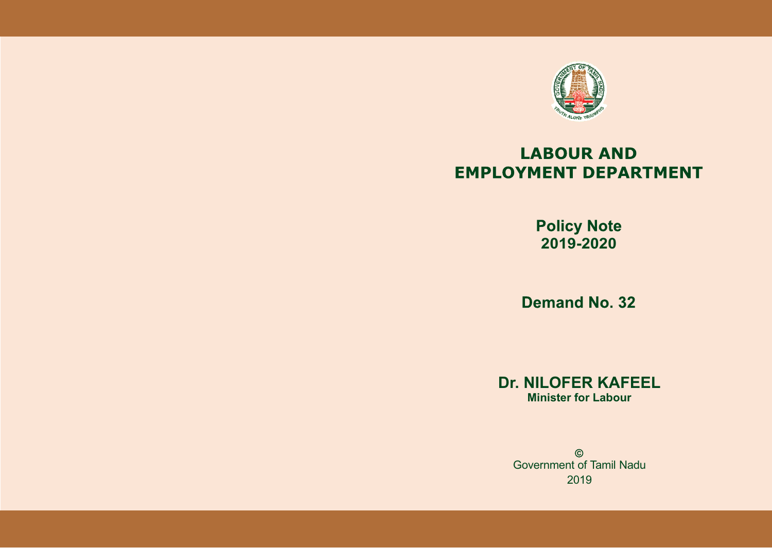

# **LABOUR AND EMPLOYMENT DEPARTMENT**

**Policy Note 2019-2020**

**Demand No. 32** 

**Dr. NILOFER KAFEEL Minister for Labour**

 $\odot$ Government of Tamil Nadu2019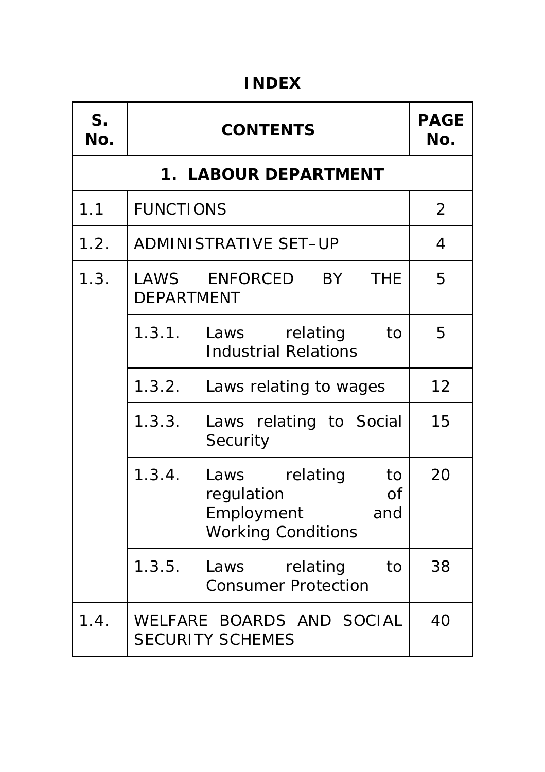#### **INDEX**

| S <sub>1</sub><br>No. |                   | <b>CONTENTS</b>                                                                                     | <b>PAGE</b><br>No. |
|-----------------------|-------------------|-----------------------------------------------------------------------------------------------------|--------------------|
|                       |                   | <b>1. LABOUR DEPARTMENT</b>                                                                         |                    |
| 1.1                   | <b>FUNCTIONS</b>  |                                                                                                     | 2                  |
| 1.2.                  |                   | <b>ADMINISTRATIVE SET-UP</b>                                                                        | 4                  |
| 1.3.                  | <b>DEPARTMENT</b> | <b>THE</b><br>LAWS ENFORCED<br>BY                                                                   | 5                  |
|                       | 1.3.1.            | relating<br>Laws<br>to<br><b>Industrial Relations</b>                                               | 5                  |
|                       | 1.3.2.            | Laws relating to wages                                                                              | 12                 |
|                       | 1.3.3.            | Laws relating to Social<br>Security                                                                 | 15                 |
|                       | 1.3.4.            | relating<br>to<br>Laws<br>regulation<br><b>of</b><br>Employment<br>and<br><b>Working Conditions</b> | 20                 |
|                       | 1.3.5.            | Laws<br>relating<br>to<br><b>Consumer Protection</b>                                                | 38                 |
| 1.4.                  |                   | WELFARE BOARDS AND SOCIAL<br><b>SECURITY SCHEMES</b>                                                | 40                 |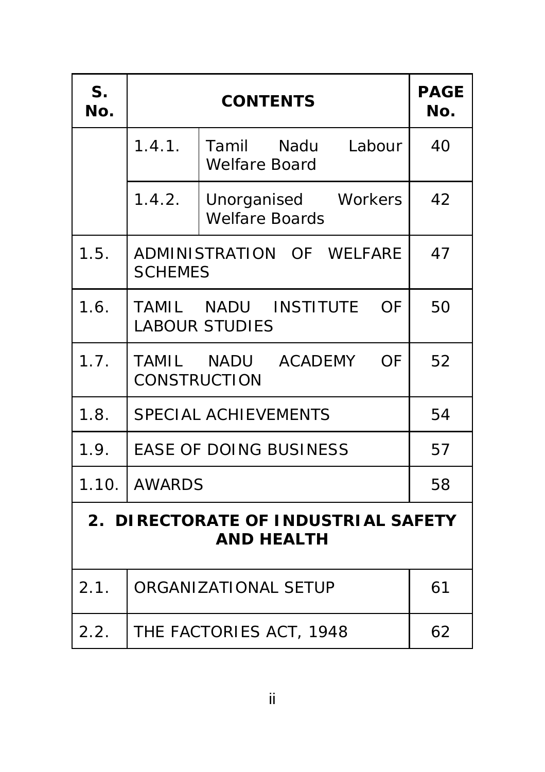| S <sub>1</sub><br>No.                                    | <b>CONTENTS</b>     |                                                     | <b>PAGE</b><br>No. |
|----------------------------------------------------------|---------------------|-----------------------------------------------------|--------------------|
|                                                          | 1.4.1.              | Tamil Nadu<br>Labour<br><b>Welfare Board</b>        | 40                 |
|                                                          | 1.4.2.              | Unorganised Workers<br><b>Welfare Boards</b>        | 42                 |
| 1.5.                                                     | <b>SCHEMES</b>      | ADMINISTRATION OF WELFARE                           | 47                 |
| 1.6.                                                     |                     | TAMIL NADU INSTITUTE<br>OF<br><b>LABOUR STUDIES</b> | 50                 |
| 1.7.                                                     | <b>CONSTRUCTION</b> | TAMIL NADU ACADEMY<br><b>OF</b>                     | 52                 |
| 1.8.                                                     |                     | <b>SPECIAL ACHIEVEMENTS</b>                         | 54                 |
| 1.9.                                                     |                     | <b>EASE OF DOING BUSINESS</b>                       | 57                 |
| 1.10.                                                    | AWARDS              |                                                     | 58                 |
| 2. DIRECTORATE OF INDUSTRIAL SAFETY<br><b>AND HEALTH</b> |                     |                                                     |                    |
| 2.1.                                                     |                     | ORGANIZATIONAL SETUP                                | 61                 |
| 2.2.                                                     |                     | THE FACTORIES ACT, 1948                             | 62                 |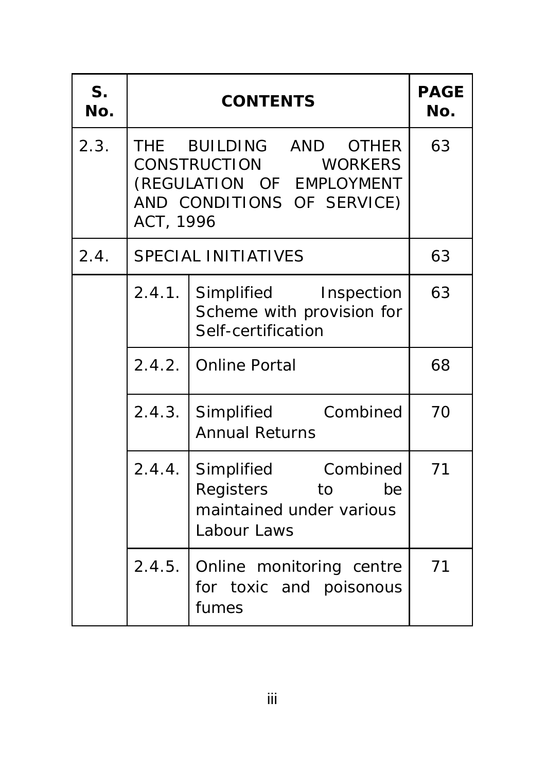| S <sub>1</sub><br>No. |           | <b>CONTENTS</b>                                                                                           | <b>PAGE</b><br>No. |
|-----------------------|-----------|-----------------------------------------------------------------------------------------------------------|--------------------|
| 2.3.                  | ACT, 1996 | THE BUILDING AND OTHER<br>CONSTRUCTION WORKERS<br>(REGULATION OF EMPLOYMENT<br>AND CONDITIONS OF SERVICE) | 63                 |
| 2.4.                  |           | <b>SPECIAL INITIATIVES</b>                                                                                | 63                 |
|                       | 2.4.1.    | Simplified Inspection<br>Scheme with provision for<br>Self-certification                                  | 63                 |
|                       |           | 2.4.2. Online Portal                                                                                      | 68                 |
|                       | 2.4.3.    | Simplified Combined<br><b>Annual Returns</b>                                                              | 70                 |
|                       | 2.4.4.    | Simplified Combined<br>Registers to<br>be<br>maintained under various<br>Labour Laws                      | 71                 |
|                       | 2.4.5.    | Online monitoring centre<br>for toxic and poisonous<br>fumes                                              | 71                 |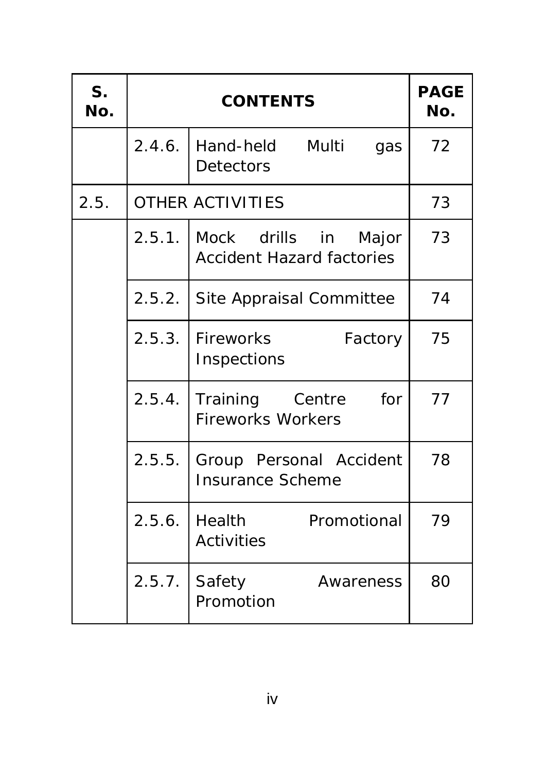| S <sub>1</sub><br>No. |        | <b>CONTENTS</b>                                             | <b>PAGE</b><br>No. |
|-----------------------|--------|-------------------------------------------------------------|--------------------|
|                       | 2.4.6. | Multi<br>Hand-held<br>gas<br><b>Detectors</b>               | 72                 |
| 2.5.                  |        | <b>OTHER ACTIVITIES</b>                                     | 73                 |
|                       | 2.5.1. | Mock drills in<br>Major<br><b>Accident Hazard factories</b> | 73                 |
|                       | 2.5.2. | Site Appraisal Committee                                    | 74                 |
|                       | 2.5.3. | Fireworks<br>Factory<br>Inspections                         | 75                 |
|                       | 2.5.4. | Training Centre<br>for<br><b>Fireworks Workers</b>          | 77                 |
|                       | 2.5.5. | Group Personal Accident<br><b>Insurance Scheme</b>          | 78                 |
|                       | 2.5.6. | Health<br>Promotional<br><b>Activities</b>                  | 79                 |
|                       | 2.5.7. | Safety<br>Awareness<br>Promotion                            | 80                 |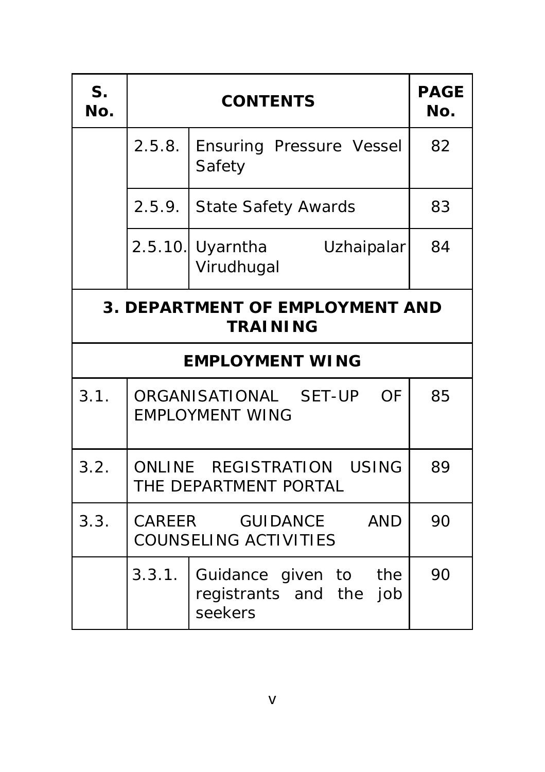| S <sub>1</sub><br>No.                                                 | <b>CONTENTS</b>                                           |                                                             | <b>PAGE</b><br>No. |
|-----------------------------------------------------------------------|-----------------------------------------------------------|-------------------------------------------------------------|--------------------|
|                                                                       | 2.5.8.                                                    | Ensuring Pressure Vessel<br>Safety                          | 82                 |
|                                                                       | 2.5.9.                                                    | State Safety Awards                                         | 83                 |
|                                                                       |                                                           | 2.5.10. Uyarntha<br>Uzhaipalar<br>Virudhugal                | 84                 |
|                                                                       | <b>3. DEPARTMENT OF EMPLOYMENT AND</b><br><b>TRAINING</b> |                                                             |                    |
|                                                                       |                                                           | <b>EMPLOYMENT WING</b>                                      |                    |
| 3.1.                                                                  |                                                           | ORGANISATIONAL SET-UP OF<br><b>EMPLOYMENT WING</b>          | 85                 |
| 3.2.                                                                  |                                                           | ONLINE REGISTRATION USING<br>THE DEPARTMENT PORTAL          | 89                 |
| 3.3.<br>CAREER GUIDANCE<br><b>AND</b><br><b>COUNSELING ACTIVITIES</b> |                                                           | 90                                                          |                    |
|                                                                       | 3.3.1.                                                    | Guidance given to the<br>registrants and the job<br>seekers | 90                 |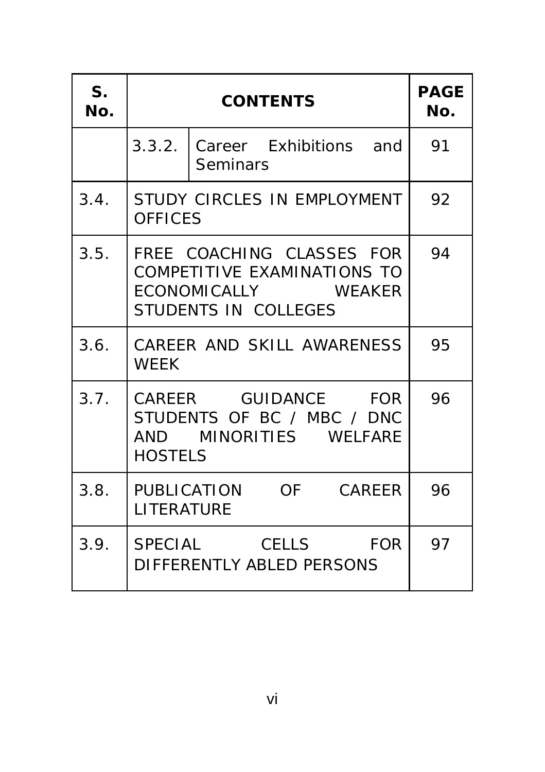| $S_{\cdot}$<br>No. |                | <b>PAGE</b><br>No.                                                                                      |    |
|--------------------|----------------|---------------------------------------------------------------------------------------------------------|----|
|                    |                | 3.3.2. Career Exhibitions and<br><b>Seminars</b>                                                        | 91 |
| 3.4.               | <b>OFFICES</b> | STUDY CIRCLES IN EMPLOYMENT                                                                             | 92 |
| 3.5.               |                | FREE COACHING CLASSES FOR<br>COMPETITIVE EXAMINATIONS TO<br>ECONOMICALLY WEAKER<br>STUDENTS IN COLLEGES | 94 |
| 3.6.               | <b>WEEK</b>    | CAREER AND SKILL AWARENESS                                                                              | 95 |
| 3.7.               | <b>HOSTELS</b> | CAREER GUIDANCE FOR<br>STUDENTS OF BC / MBC / DNC<br>AND MINORITIES WELFARE                             | 96 |
| 3.8.               | LITERATURE     | PUBLICATION OF CAREER                                                                                   | 96 |
| 3.9.               |                | SPECIAL CELLS FOR<br>DIFFERENTLY ABLED PERSONS                                                          | 97 |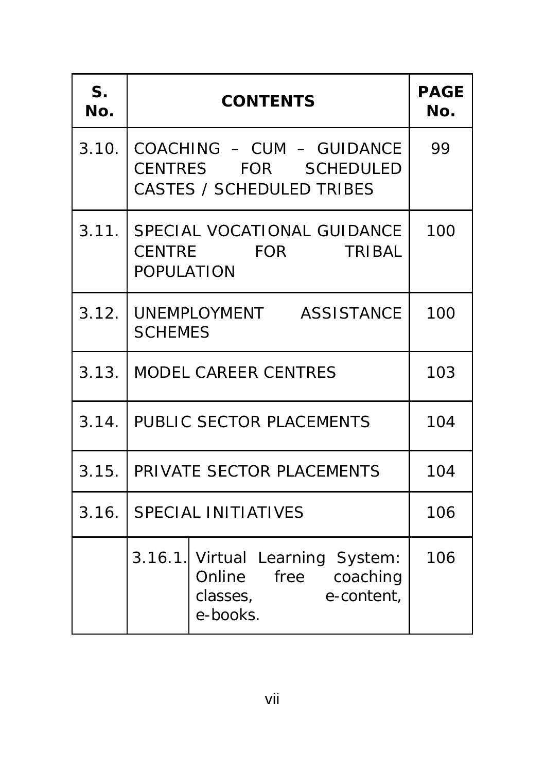| S.<br>No. | <b>CONTENTS</b>                                                                             | <b>PAGE</b><br>No. |
|-----------|---------------------------------------------------------------------------------------------|--------------------|
| 3.10.     | COACHING - CUM - GUIDANCE<br>CENTRES FOR SCHEDULED<br><b>CASTES / SCHEDULED TRIBES</b>      | 99                 |
|           | 3.11. SPECIAL VOCATIONAL GUIDANCE<br>CENTRE FOR<br><b>TRIBAL</b><br><b>POPULATION</b>       | 100                |
| 3.12.     | UNEMPLOYMENT ASSISTANCE<br><b>SCHEMES</b>                                                   | 100                |
| 3.13.     | <b>MODEL CAREER CENTRES</b>                                                                 | 103                |
| 3.14.     | PUBLIC SECTOR PLACEMENTS                                                                    | 104                |
| 3.15.     | PRIVATE SECTOR PLACEMENTS                                                                   | 104                |
| 3.16.     | <b>SPECIAL INITIATIVES</b>                                                                  | 106                |
|           | 3.16.1. Virtual Learning System:<br>Online free coaching<br>classes, e-content,<br>e-books. | 106                |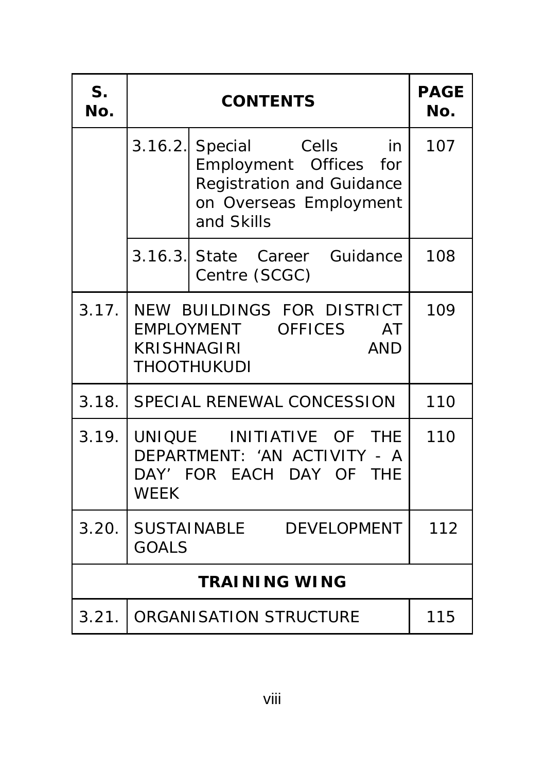| S <sub>1</sub><br>No. | <b>CONTENTS</b>                                                                                                                | <b>PAGE</b><br>No. |  |
|-----------------------|--------------------------------------------------------------------------------------------------------------------------------|--------------------|--|
|                       | 3.16.2. Special Cells in<br>Employment Offices for<br><b>Registration and Guidance</b><br>on Overseas Employment<br>and Skills | 107                |  |
|                       | 3.16.3. State Career Guidance<br>Centre (SCGC)                                                                                 | 108                |  |
| 3.17.                 | NEW BUILDINGS FOR DISTRICT<br>EMPLOYMENT OFFICES<br>AT<br><b>KRISHNAGIRI</b><br><b>AND</b><br>THOOTHUKUDI                      | 109                |  |
| 3.18.                 | SPECIAL RENEWAL CONCESSION                                                                                                     | 110                |  |
|                       | 3.19. UNIQUE INITIATIVE OF THE<br>DEPARTMENT: 'AN ACTIVITY - A<br>DAY' FOR EACH DAY OF THE<br><b>WEEK</b>                      | 110                |  |
|                       | 3.20. SUSTAINABLE DEVELOPMENT<br><b>GOALS</b>                                                                                  | 112                |  |
| <b>TRAINING WING</b>  |                                                                                                                                |                    |  |
| 3.21.                 | ORGANISATION STRUCTURE                                                                                                         | 115                |  |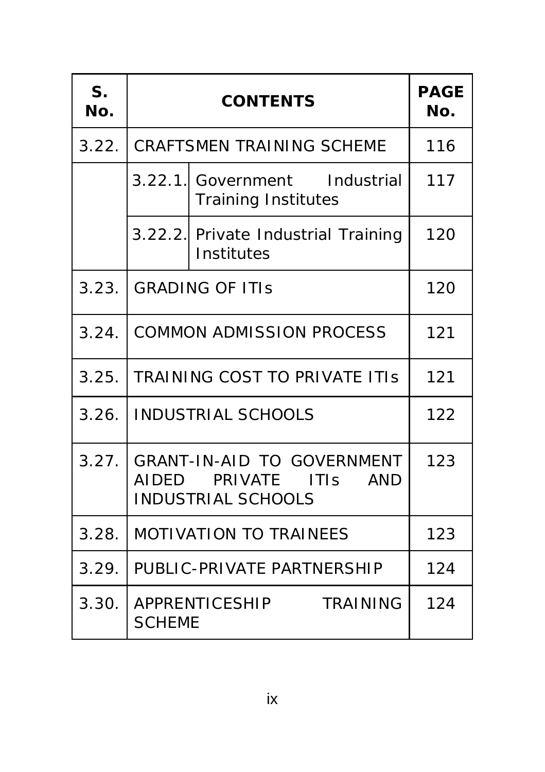| S <sub>1</sub><br>No. | <b>CONTENTS</b>                                                                                    |                                                             | <b>PAGE</b><br>No. |
|-----------------------|----------------------------------------------------------------------------------------------------|-------------------------------------------------------------|--------------------|
| 3.22.                 |                                                                                                    | <b>CRAFTSMEN TRAINING SCHEME</b>                            | 116                |
|                       |                                                                                                    | 3.22.1. Government Industrial<br><b>Training Institutes</b> | 117                |
|                       |                                                                                                    | 3.22.2. Private Industrial Training<br>Institutes           | 120                |
| 3.23.                 | <b>GRADING OF ITIS</b>                                                                             |                                                             | 120                |
| 3.24.                 | <b>COMMON ADMISSION PROCESS</b>                                                                    |                                                             | 121                |
| 3.25.                 | <b>TRAINING COST TO PRIVATE ITIS</b>                                                               |                                                             | 121                |
| 3.26.                 | <b>INDUSTRIAL SCHOOLS</b>                                                                          |                                                             | 122                |
| 3.27.                 | <b>GRANT-IN-AID TO GOVERNMENT</b><br>AIDED PRIVATE ITIS<br><b>AND</b><br><b>INDUSTRIAL SCHOOLS</b> |                                                             | 123                |
| 3.28.                 | <b>MOTIVATION TO TRAINEES</b>                                                                      |                                                             | 123                |
| 3.29.                 | PUBLIC-PRIVATE PARTNERSHIP                                                                         |                                                             | 124                |
| 3.30.                 | <b>SCHEME</b>                                                                                      | APPRENTICESHIP<br><b>TRAINING</b>                           | 124                |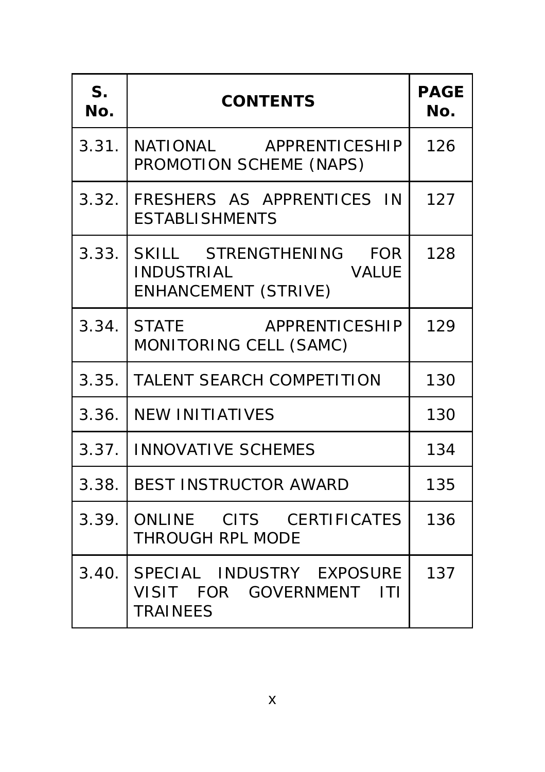| S.<br>No. | <b>CONTENTS</b>                                                                     | <b>PAGE</b><br>No. |
|-----------|-------------------------------------------------------------------------------------|--------------------|
| 3.31.     | NATIONAL APPRENTICESHIP<br>PROMOTION SCHEME (NAPS)                                  | 126                |
| 3.32.     | FRESHERS AS APPRENTICES IN<br><b>ESTABLISHMENTS</b>                                 | 127                |
|           | 3.33. SKILL STRENGTHENING FOR<br><b>INDUSTRIAL</b><br>VALUE<br>ENHANCEMENT (STRIVE) | 128                |
|           | 3.34. STATE APPRENTICESHIP<br>MONITORING CELL (SAMC)                                | 129                |
| 3.35.     | <b>TALENT SEARCH COMPETITION</b>                                                    | 130                |
| 3.36.     | <b>NEW INITIATIVES</b>                                                              | 130                |
| 3.37.     | <b>INNOVATIVE SCHEMES</b>                                                           | 134                |
| 3.38.     | <b>BEST INSTRUCTOR AWARD</b>                                                        | 135                |
| 3.39.     | ONLINE CITS CERTIFICATES<br>THROUGH RPL MODE                                        | 136                |
| 3.40.     | SPECIAL INDUSTRY EXPOSURE<br>VISIT FOR GOVERNMENT ITI<br><b>TRAINEES</b>            | 137                |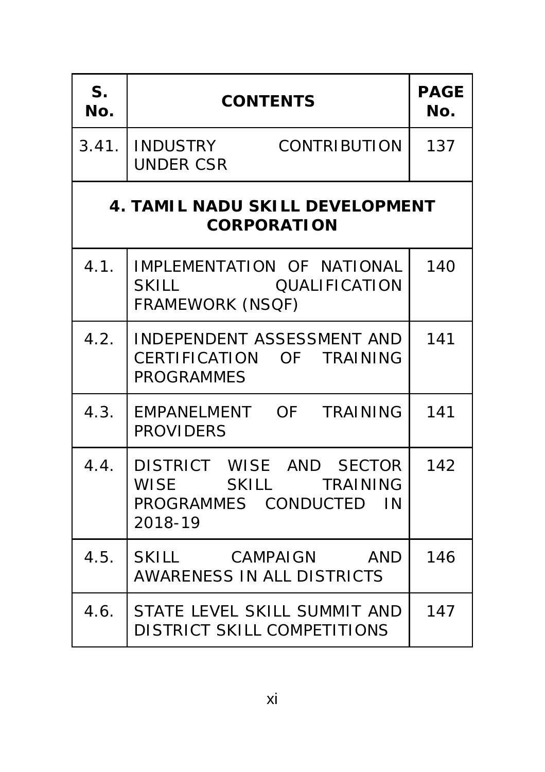| S <sub>1</sub><br>No. | <b>CONTENTS</b>                                                                       | <b>PAGE</b><br>No. |
|-----------------------|---------------------------------------------------------------------------------------|--------------------|
|                       | 3.41. INDUSTRY CONTRIBUTION<br><b>UNDER CSR</b>                                       | 137                |
|                       | <b>4. TAMIL NADU SKILL DEVELOPMENT</b><br><b>CORPORATION</b>                          |                    |
| 4.1.                  | IMPLEMENTATION OF NATIONAL<br>SKILL QUALIFICATION<br><b>FRAMEWORK (NSQF)</b>          | 140                |
| 4.2.                  | INDEPENDENT ASSESSMENT AND<br>CERTIFICATION OF TRAINING<br><b>PROGRAMMES</b>          | 141                |
| 4.3.                  | EMPANELMENT OF TRAINING<br><b>PROVIDERS</b>                                           | 141                |
| 4.4.                  | DISTRICT WISE AND SECTOR<br>WISE SKILL TRAINING<br>PROGRAMMES CONDUCTED IN<br>2018-19 | 142                |
| 4.5.                  | SKILL CAMPAIGN AND<br><b>AWARENESS IN ALL DISTRICTS</b>                               | 146                |
| 4.6.                  | STATE LEVEL SKILL SUMMIT AND<br><b>DISTRICT SKILL COMPETITIONS</b>                    | 147                |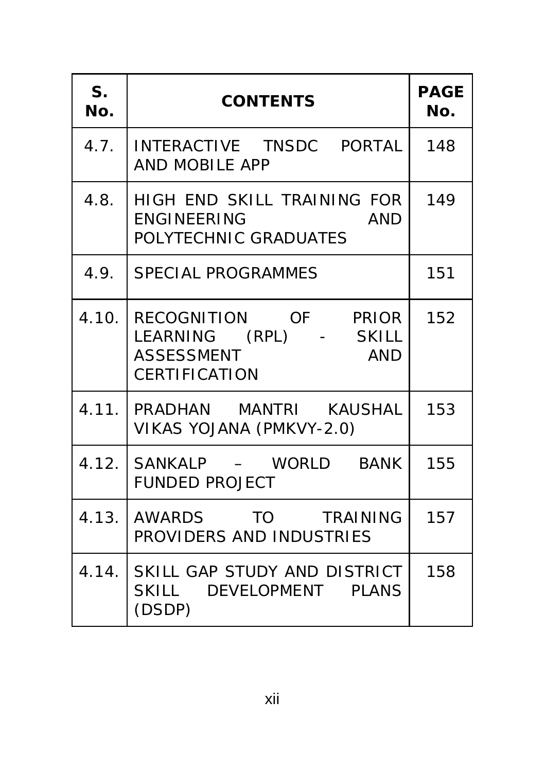| S <sub>1</sub><br>No. | <b>CONTENTS</b>                                                                                                 | <b>PAGE</b><br>No. |
|-----------------------|-----------------------------------------------------------------------------------------------------------------|--------------------|
| 4.7.                  | INTERACTIVE TNSDC PORTAL<br>AND MOBILE APP                                                                      | 148                |
| 4.8.                  | HIGH END SKILL TRAINING FOR<br><b>ENGINEERING</b><br><b>AND</b><br>POLYTECHNIC GRADUATES                        | 149                |
| 4.9.                  | <b>SPECIAL PROGRAMMES</b>                                                                                       | 151                |
|                       | 4.10. RECOGNITION OF PRIOR<br>LEARNING (RPL) - SKILL<br><b>ASSESSMENT</b><br><b>AND</b><br><b>CERTIFICATION</b> | 152                |
|                       | 4.11. PRADHAN MANTRI KAUSHAL<br>VIKAS YOJANA (PMKVY-2.0)                                                        | 153                |
|                       | 4.12. SANKALP - WORLD BANK<br><b>FUNDED PROJECT</b>                                                             | 155                |
|                       | 4.13. AWARDS TO TRAINING<br>PROVIDERS AND INDUSTRIES                                                            | 157                |
|                       | 4.14. SKILL GAP STUDY AND DISTRICT<br>SKILL DEVELOPMENT PLANS<br>(DSDP)                                         | 158                |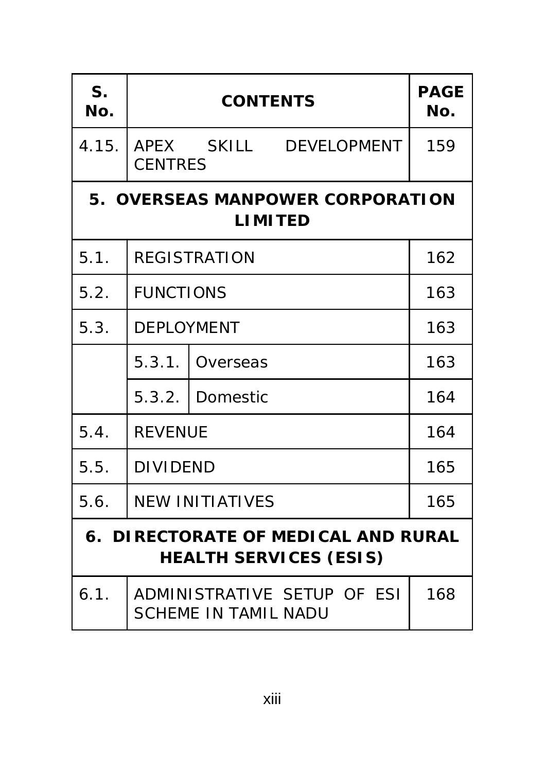| S.<br>No.                                                            |                        | <b>PAGE</b><br>No.                                         |     |  |  |
|----------------------------------------------------------------------|------------------------|------------------------------------------------------------|-----|--|--|
| 4.15.                                                                | <b>CENTRES</b>         | APEX SKILL DEVELOPMENT                                     | 159 |  |  |
| 5. OVERSEAS MANPOWER CORPORATION<br><b>LIMITED</b>                   |                        |                                                            |     |  |  |
| 5.1.                                                                 | <b>REGISTRATION</b>    |                                                            | 162 |  |  |
| 5.2.                                                                 | <b>FUNCTIONS</b>       | 163                                                        |     |  |  |
| 5.3.                                                                 | <b>DEPLOYMENT</b>      | 163                                                        |     |  |  |
|                                                                      | 5.3.1.                 | Overseas                                                   | 163 |  |  |
|                                                                      | 5.3.2.                 | Domestic                                                   | 164 |  |  |
| 5.4.                                                                 | <b>REVENUE</b>         |                                                            | 164 |  |  |
| 5.5.                                                                 | <b>DIVIDEND</b>        |                                                            | 165 |  |  |
| 5.6.                                                                 | <b>NEW INITIATIVES</b> |                                                            | 165 |  |  |
| 6. DIRECTORATE OF MEDICAL AND RURAL<br><b>HEALTH SERVICES (ESIS)</b> |                        |                                                            |     |  |  |
| 6.1.                                                                 |                        | ADMINISTRATIVE SETUP OF ESI<br><b>SCHEME IN TAMIL NADU</b> | 168 |  |  |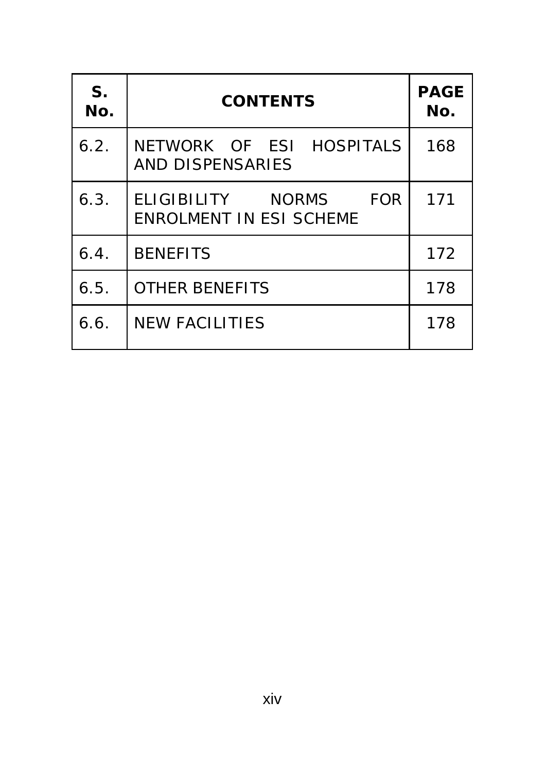| S.<br>No. | <b>CONTENTS</b>                                                      | <b>PAGE</b><br>No. |
|-----------|----------------------------------------------------------------------|--------------------|
| 6.2.      | NETWORK OF ESI HOSPITALS<br><b>AND DISPENSARIES</b>                  | 168                |
| 6.3.      | ELIGIBILITY<br><b>FOR</b><br>NORMS<br><b>ENROLMENT IN ESI SCHEME</b> | 171                |
| 6.4.      | <b>BENEFITS</b>                                                      | 172                |
| 6.5.      | <b>OTHER BENEFITS</b>                                                | 178                |
| 6.6.      | <b>NEW FACILITIES</b>                                                | 178                |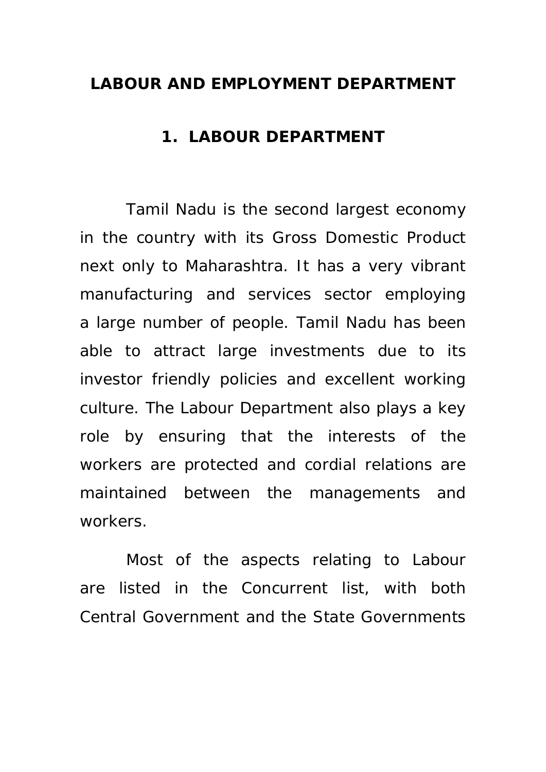#### **LABOUR AND EMPLOYMENT DEPARTMENT**

#### **1. LABOUR DEPARTMENT**

Tamil Nadu is the second largest economy in the country with its Gross Domestic Product next only to Maharashtra. It has a very vibrant manufacturing and services sector employing a large number of people. Tamil Nadu has been able to attract large investments due to its investor friendly policies and excellent working culture. The Labour Department also plays a key role by ensuring that the interests of the workers are protected and cordial relations are maintained between the managements and workers.

Most of the aspects relating to Labour are listed in the Concurrent list, with both Central Government and the State Governments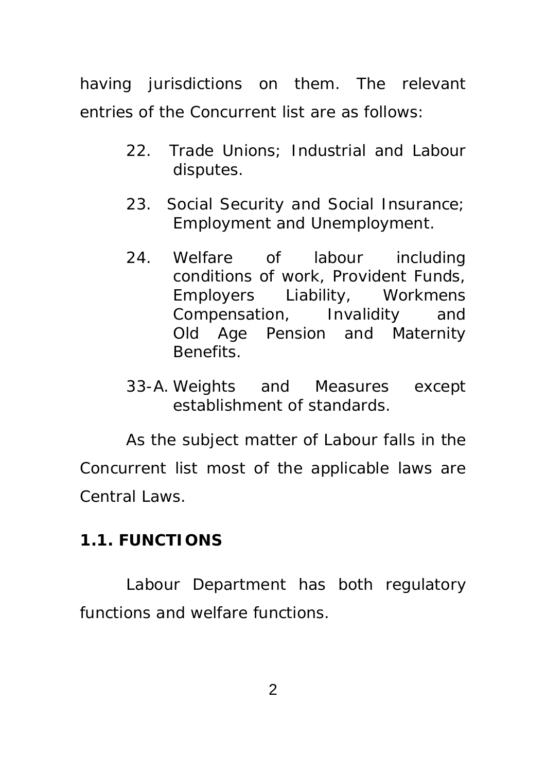having jurisdictions on them. The relevant entries of the Concurrent list are as follows:

- 22. Trade Unions; Industrial and Labour disputes.
- 23. Social Security and Social Insurance; Employment and Unemployment.
- 24. Welfare of labour including conditions of work, Provident Funds, Employers Liability, Workmens Compensation, Invalidity and Old Age Pension and Maternity Benefits.
- 33-A. Weights and Measures except establishment of standards.

 As the subject matter of Labour falls in the Concurrent list most of the applicable laws are Central Laws.

### **1.1. FUNCTIONS**

 Labour Department has both regulatory functions and welfare functions.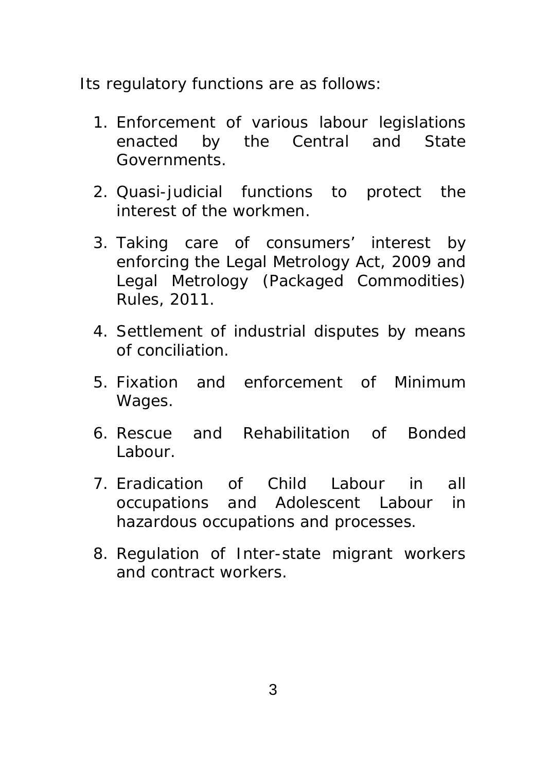Its regulatory functions are as follows:

- 1. Enforcement of various labour legislations enacted by the Central and State Governments.
- 2. Quasi-judicial functions to protect the interest of the workmen.
- 3. Taking care of consumers' interest by enforcing the Legal Metrology Act, 2009 and Legal Metrology (Packaged Commodities) Rules, 2011.
- 4. Settlement of industrial disputes by means of conciliation.
- 5. Fixation and enforcement of Minimum Wages.
- 6. Rescue and Rehabilitation of Bonded Labour.
- 7. Eradication of Child Labour in all occupations and Adolescent Labour in hazardous occupations and processes.
- 8. Regulation of Inter-state migrant workers and contract workers.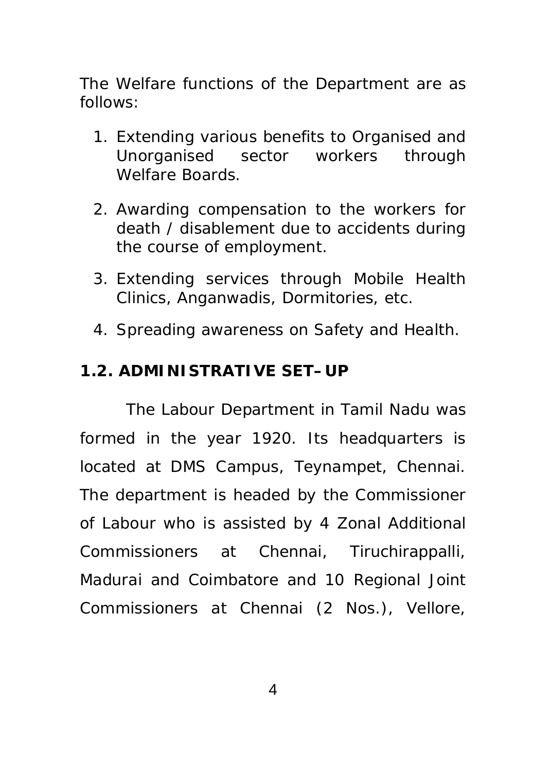The Welfare functions of the Department are as follows:

- 1. Extending various benefits to Organised and Unorganised sector workers through Welfare Boards.
- 2. Awarding compensation to the workers for death / disablement due to accidents during the course of employment.
- 3. Extending services through Mobile Health Clinics, Anganwadis, Dormitories, etc.
- 4. Spreading awareness on Safety and Health.

### **1.2. ADMINISTRATIVE SET–UP**

 The Labour Department in Tamil Nadu was formed in the year 1920. Its headquarters is located at DMS Campus, Teynampet, Chennai. The department is headed by the Commissioner of Labour who is assisted by 4 Zonal Additional Commissioners at Chennai, Tiruchirappalli, Madurai and Coimbatore and 10 Regional Joint Commissioners at Chennai (2 Nos.), Vellore,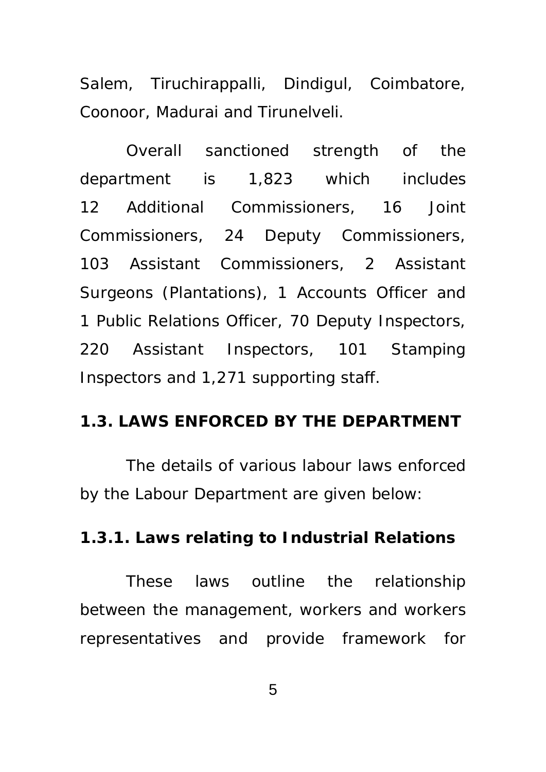Salem, Tiruchirappalli, Dindigul, Coimbatore, Coonoor, Madurai and Tirunelveli.

Overall sanctioned strength of the department is 1,823 which includes 12 Additional Commissioners, 16 Joint Commissioners, 24 Deputy Commissioners, 103 Assistant Commissioners, 2 Assistant Surgeons (Plantations), 1 Accounts Officer and 1 Public Relations Officer, 70 Deputy Inspectors, 220 Assistant Inspectors, 101 Stamping Inspectors and 1,271 supporting staff.

#### **1.3. LAWS ENFORCED BY THE DEPARTMENT**

The details of various labour laws enforced by the Labour Department are given below:

#### **1.3.1. Laws relating to Industrial Relations**

 These laws outline the relationship between the management, workers and workers representatives and provide framework for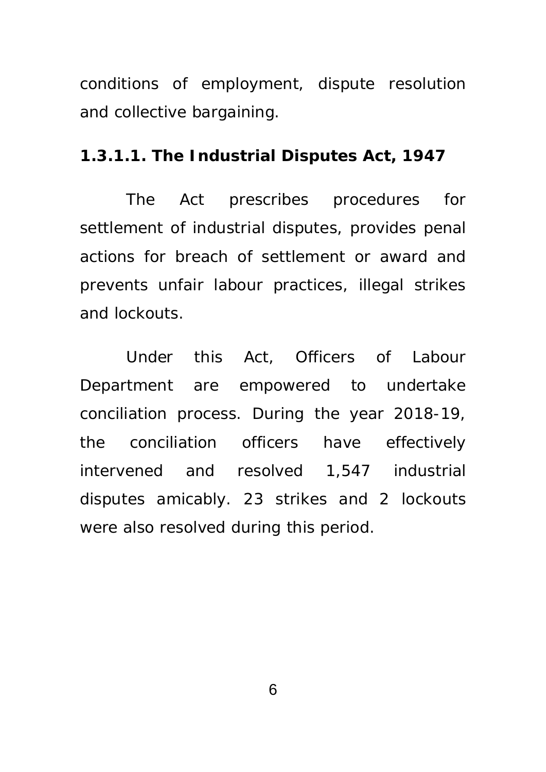conditions of employment, dispute resolution and collective bargaining.

#### **1.3.1.1. The Industrial Disputes Act, 1947**

The Act prescribes procedures for settlement of industrial disputes, provides penal actions for breach of settlement or award and prevents unfair labour practices, illegal strikes and lockouts.

 Under this Act, Officers of Labour Department are empowered to undertake conciliation process. During the year 2018-19, the conciliation officers have effectively intervened and resolved 1,547 industrial disputes amicably. 23 strikes and 2 lockouts were also resolved during this period.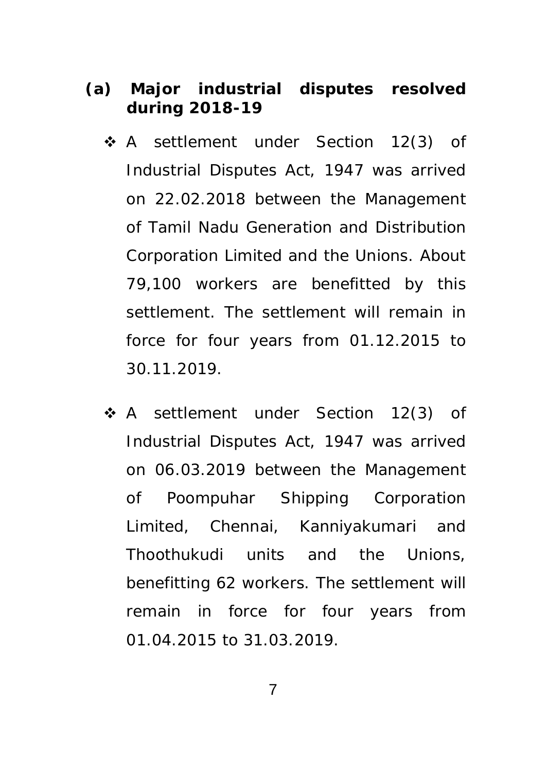### **(a) Major industrial disputes resolved during 2018-19**

- \* A settlement under Section 12(3) of Industrial Disputes Act, 1947 was arrived on 22.02.2018 between the Management of Tamil Nadu Generation and Distribution Corporation Limited and the Unions. About 79,100 workers are benefitted by this settlement. The settlement will remain in force for four years from 01.12.2015 to 30.11.2019.
- ◆ A settlement under Section 12(3) of Industrial Disputes Act, 1947 was arrived on 06.03.2019 between the Management of Poompuhar Shipping Corporation Limited, Chennai, Kanniyakumari and Thoothukudi units and the Unions, benefitting 62 workers. The settlement will remain in force for four years from 01.04.2015 to 31.03.2019.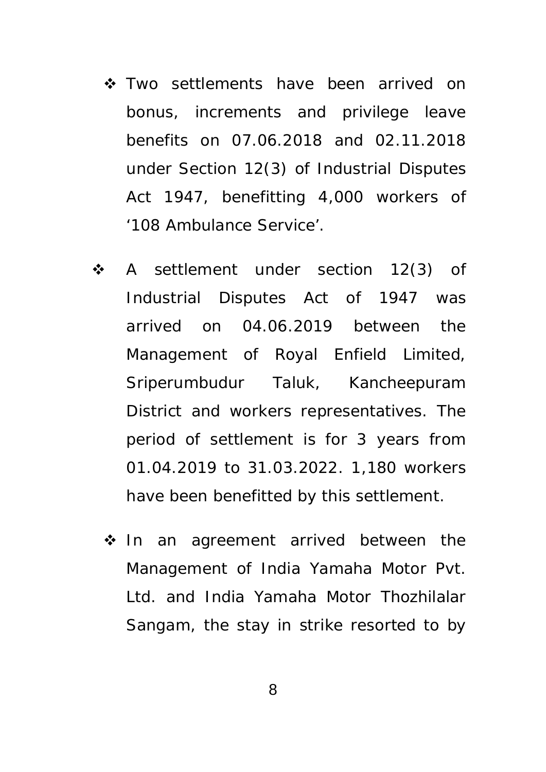- $\triangle$  Two settlements have been arrived on bonus, increments and privilege leave benefits on 07.06.2018 and 02.11.2018 under Section 12(3) of Industrial Disputes Act 1947, benefitting 4,000 workers of '108 Ambulance Service'.
- A settlement under section 12(3) of Industrial Disputes Act of 1947 was arrived on 04.06.2019 between the Management of Royal Enfield Limited, Sriperumbudur Taluk, Kancheepuram District and workers representatives. The period of settlement is for 3 years from 01.04.2019 to 31.03.2022. 1,180 workers have been benefitted by this settlement.
	- $\div$  In an agreement arrived between the Management of India Yamaha Motor Pvt. Ltd. and India Yamaha Motor Thozhilalar Sangam, the stay in strike resorted to by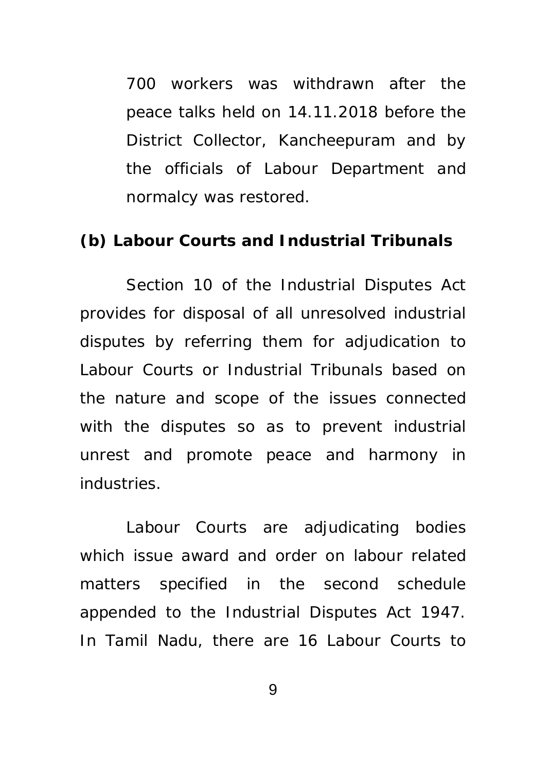700 workers was withdrawn after the peace talks held on 14.11.2018 before the District Collector, Kancheepuram and by the officials of Labour Department and normalcy was restored.

#### **(b) Labour Courts and Industrial Tribunals**

Section 10 of the Industrial Disputes Act provides for disposal of all unresolved industrial disputes by referring them for adjudication to Labour Courts or Industrial Tribunals based on the nature and scope of the issues connected with the disputes so as to prevent industrial unrest and promote peace and harmony in industries.

 Labour Courts are adjudicating bodies which issue award and order on labour related matters specified in the second schedule appended to the Industrial Disputes Act 1947. In Tamil Nadu, there are 16 Labour Courts to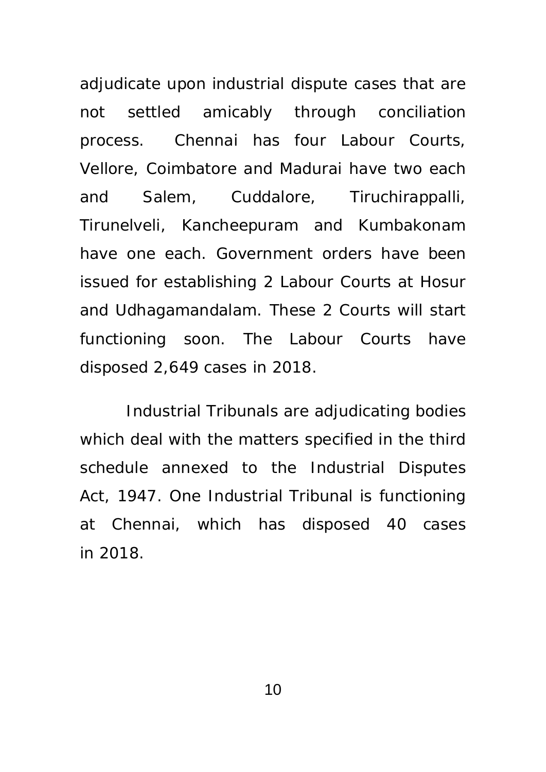adjudicate upon industrial dispute cases that are not settled amicably through conciliation process. Chennai has four Labour Courts, Vellore, Coimbatore and Madurai have two each and Salem, Cuddalore, Tiruchirappalli, Tirunelveli, Kancheepuram and Kumbakonam have one each. Government orders have been issued for establishing 2 Labour Courts at Hosur and Udhagamandalam. These 2 Courts will start functioning soon. The Labour Courts have disposed 2,649 cases in 2018.

Industrial Tribunals are adjudicating bodies which deal with the matters specified in the third schedule annexed to the Industrial Disputes Act, 1947. One Industrial Tribunal is functioning at Chennai, which has disposed 40 cases in 2018.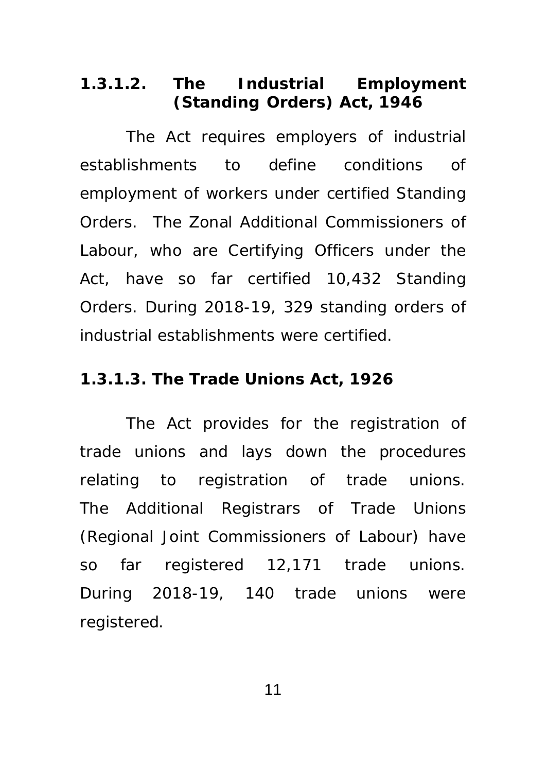### **1.3.1.2. The Industrial Employment (Standing Orders) Act, 1946**

 The Act requires employers of industrial establishments to define conditions of employment of workers under certified Standing Orders. The Zonal Additional Commissioners of Labour, who are Certifying Officers under the Act, have so far certified 10,432 Standing Orders. During 2018-19, 329 standing orders of industrial establishments were certified.

#### **1.3.1.3. The Trade Unions Act, 1926**

 The Act provides for the registration of trade unions and lays down the procedures relating to registration of trade unions. The Additional Registrars of Trade Unions (Regional Joint Commissioners of Labour) have so far registered 12,171 trade unions. During 2018-19, 140 trade unions were registered.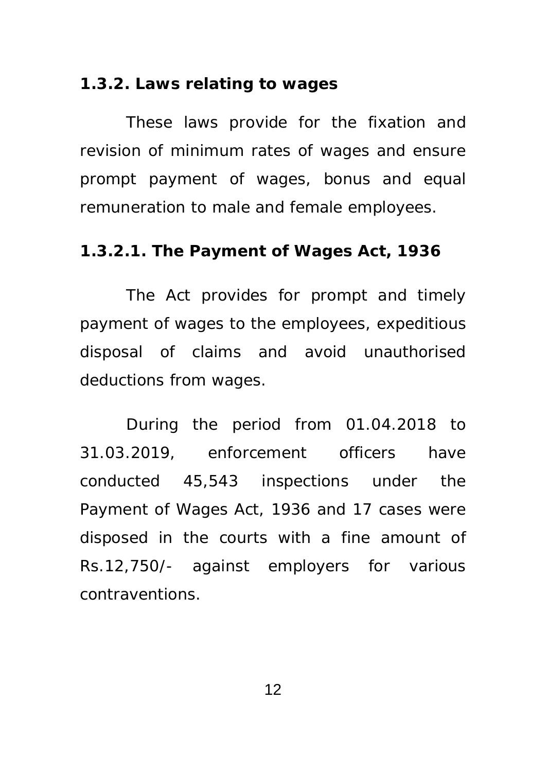#### **1.3.2. Laws relating to wages**

These laws provide for the fixation and revision of minimum rates of wages and ensure prompt payment of wages, bonus and equal remuneration to male and female employees.

#### **1.3.2.1. The Payment of Wages Act, 1936**

The Act provides for prompt and timely payment of wages to the employees, expeditious disposal of claims and avoid unauthorised deductions from wages.

 During the period from 01.04.2018 to 31.03.2019, enforcement officers have conducted 45,543 inspections under the Payment of Wages Act, 1936 and 17 cases were disposed in the courts with a fine amount of Rs.12,750/- against employers for various contraventions.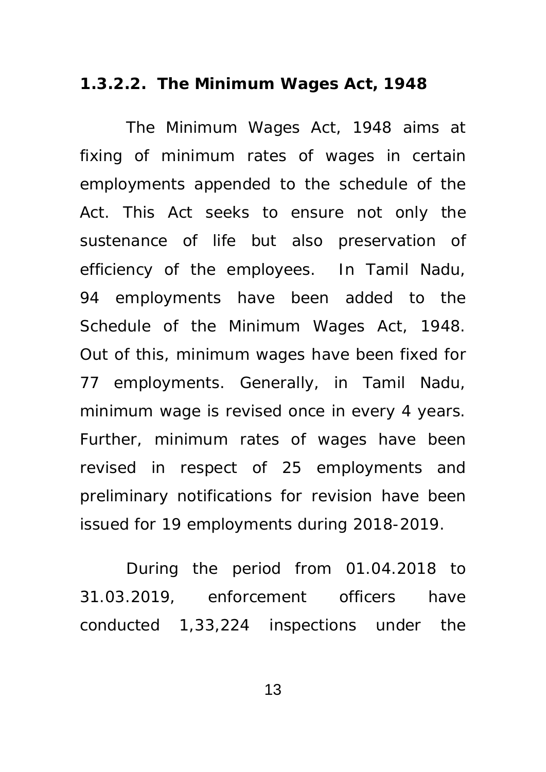#### **1.3.2.2. The Minimum Wages Act, 1948**

 The Minimum Wages Act, 1948 aims at fixing of minimum rates of wages in certain employments appended to the schedule of the Act. This Act seeks to ensure not only the sustenance of life but also preservation of efficiency of the employees. In Tamil Nadu, 94 employments have been added to the Schedule of the Minimum Wages Act, 1948. Out of this, minimum wages have been fixed for 77 employments. Generally, in Tamil Nadu, minimum wage is revised once in every 4 years. Further, minimum rates of wages have been revised in respect of 25 employments and preliminary notifications for revision have been issued for 19 employments during 2018-2019.

 During the period from 01.04.2018 to 31.03.2019, enforcement officers have conducted 1,33,224 inspections under the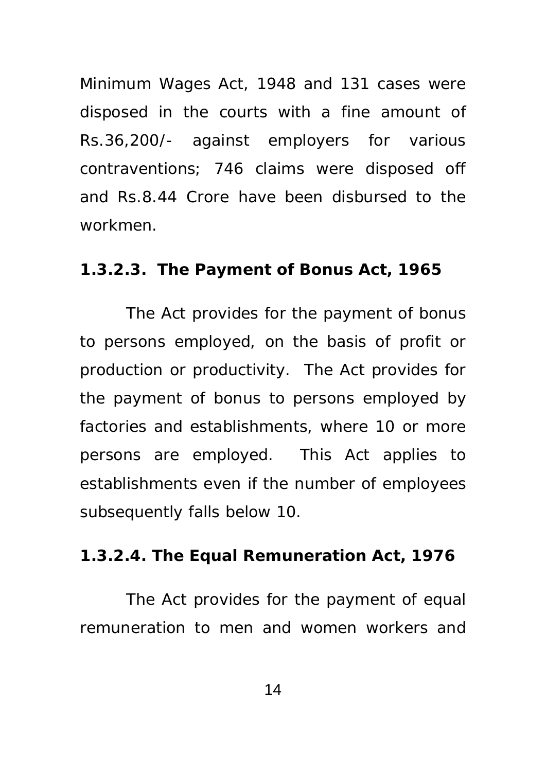Minimum Wages Act, 1948 and 131 cases were disposed in the courts with a fine amount of Rs.36,200/- against employers for various contraventions; 746 claims were disposed off and Rs.8.44 Crore have been disbursed to the workmen.

#### **1.3.2.3. The Payment of Bonus Act, 1965**

The Act provides for the payment of bonus to persons employed, on the basis of profit or production or productivity. The Act provides for the payment of bonus to persons employed by factories and establishments, where 10 or more persons are employed. This Act applies to establishments even if the number of employees subsequently falls below 10.

#### **1.3.2.4. The Equal Remuneration Act, 1976**

 The Act provides for the payment of equal remuneration to men and women workers and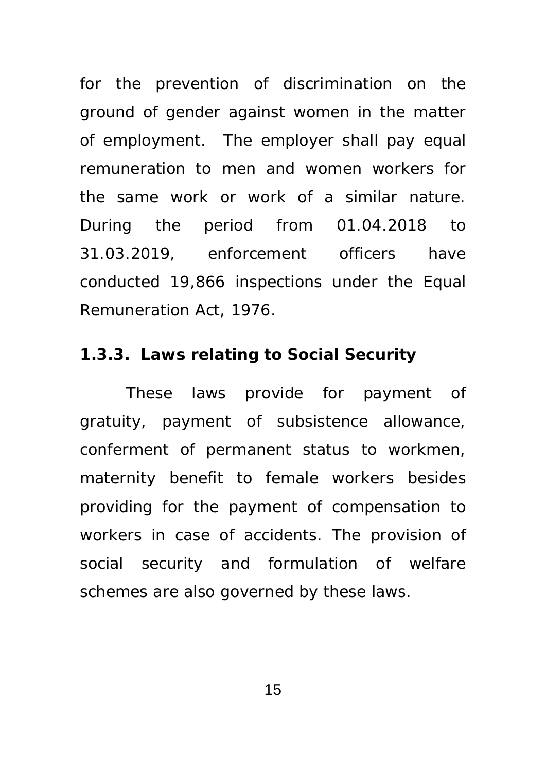for the prevention of discrimination on the ground of gender against women in the matter of employment. The employer shall pay equal remuneration to men and women workers for the same work or work of a similar nature. During the period from 01.04.2018 to 31.03.2019, enforcement officers have conducted 19,866 inspections under the Equal Remuneration Act, 1976.

#### **1.3.3. Laws relating to Social Security**

These laws provide for payment of gratuity, payment of subsistence allowance, conferment of permanent status to workmen, maternity benefit to female workers besides providing for the payment of compensation to workers in case of accidents. The provision of social security and formulation of welfare schemes are also governed by these laws.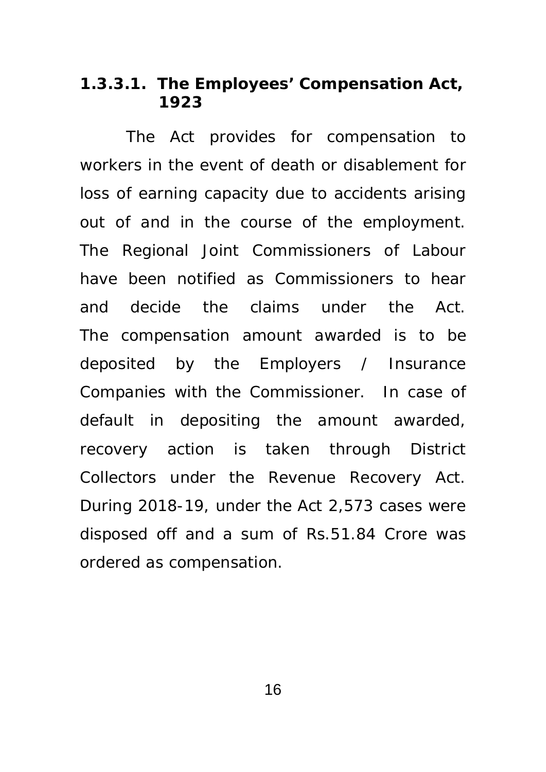#### **1.3.3.1. The Employees' Compensation Act, 1923**

 The Act provides for compensation to workers in the event of death or disablement for loss of earning capacity due to accidents arising out of and in the course of the employment. The Regional Joint Commissioners of Labour have been notified as Commissioners to hear and decide the claims under the Act. The compensation amount awarded is to be deposited by the Employers / Insurance Companies with the Commissioner. In case of default in depositing the amount awarded, recovery action is taken through District Collectors under the Revenue Recovery Act. During 2018-19, under the Act 2,573 cases were disposed off and a sum of Rs.51.84 Crore was ordered as compensation.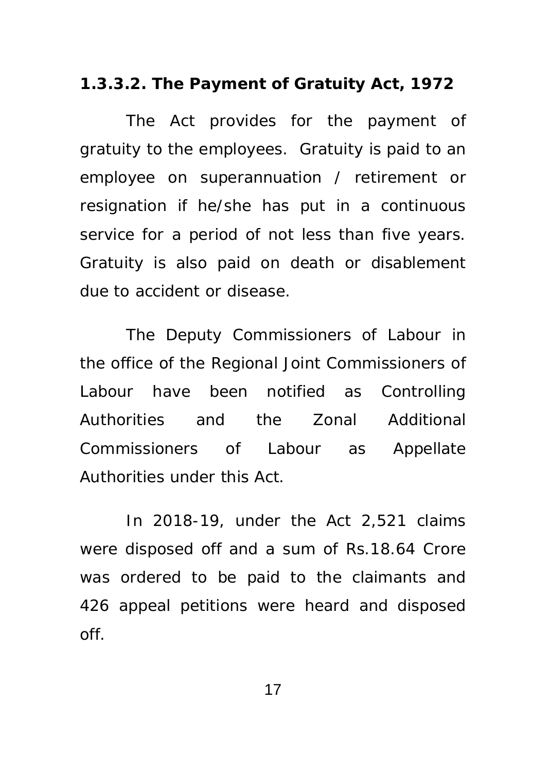#### **1.3.3.2. The Payment of Gratuity Act, 1972**

 The Act provides for the payment of gratuity to the employees. Gratuity is paid to an employee on superannuation / retirement or resignation if he/she has put in a continuous service for a period of not less than five years. Gratuity is also paid on death or disablement due to accident or disease.

 The Deputy Commissioners of Labour in the office of the Regional Joint Commissioners of Labour have been notified as Controlling Authorities and the Zonal Additional Commissioners of Labour as Appellate Authorities under this Act.

 In 2018-19, under the Act 2,521 claims were disposed off and a sum of Rs.18.64 Crore was ordered to be paid to the claimants and 426 appeal petitions were heard and disposed off.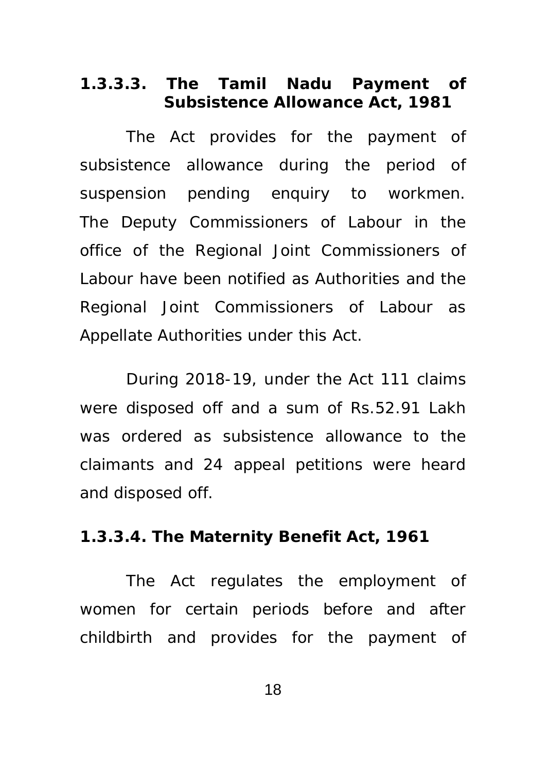### **1.3.3.3. The Tamil Nadu Payment of Subsistence Allowance Act, 1981**

 The Act provides for the payment of subsistence allowance during the period of suspension pending enquiry to workmen. The Deputy Commissioners of Labour in the office of the Regional Joint Commissioners of Labour have been notified as Authorities and the Regional Joint Commissioners of Labour as Appellate Authorities under this Act.

 During 2018-19, under the Act 111 claims were disposed off and a sum of Rs.52.91 Lakh was ordered as subsistence allowance to the claimants and 24 appeal petitions were heard and disposed off.

#### **1.3.3.4. The Maternity Benefit Act, 1961**

 The Act regulates the employment of women for certain periods before and after childbirth and provides for the payment of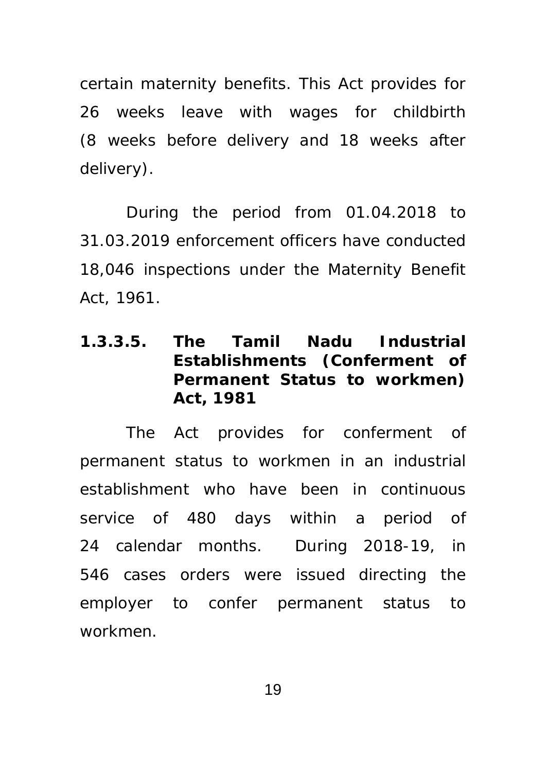certain maternity benefits. This Act provides for 26 weeks leave with wages for childbirth (8 weeks before delivery and 18 weeks after delivery).

 During the period from 01.04.2018 to 31.03.2019 enforcement officers have conducted 18,046 inspections under the Maternity Benefit Act, 1961.

## **1.3.3.5. The Tamil Nadu Industrial Establishments (Conferment of Permanent Status to workmen) Act, 1981**

 The Act provides for conferment of permanent status to workmen in an industrial establishment who have been in continuous service of 480 days within a period of 24 calendar months. During 2018-19, in 546 cases orders were issued directing the employer to confer permanent status to workmen.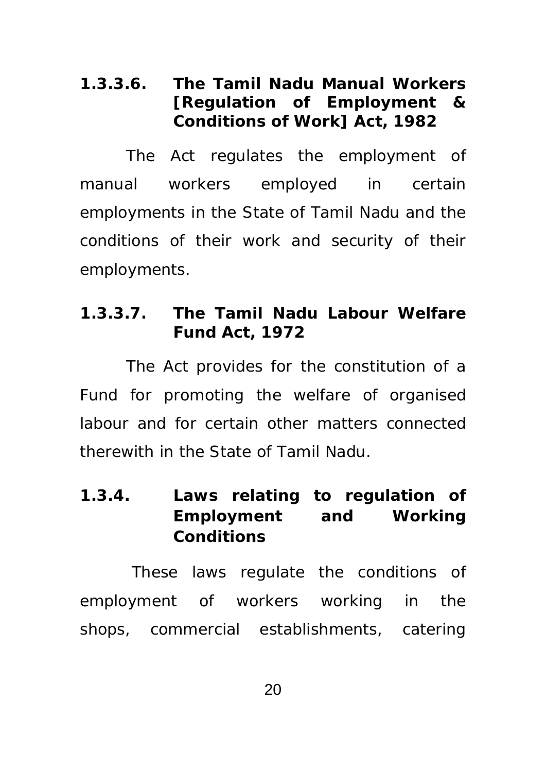## **1.3.3.6. The Tamil Nadu Manual Workers [Regulation of Employment & Conditions of Work] Act, 1982**

 The Act regulates the employment of manual workers employed in certain employments in the State of Tamil Nadu and the conditions of their work and security of their employments.

## **1.3.3.7. The Tamil Nadu Labour Welfare Fund Act, 1972**

 The Act provides for the constitution of a Fund for promoting the welfare of organised labour and for certain other matters connected therewith in the State of Tamil Nadu.

# **1.3.4. Laws relating to regulation of Employment and Working Conditions**

These laws regulate the conditions of employment of workers working in the shops, commercial establishments, catering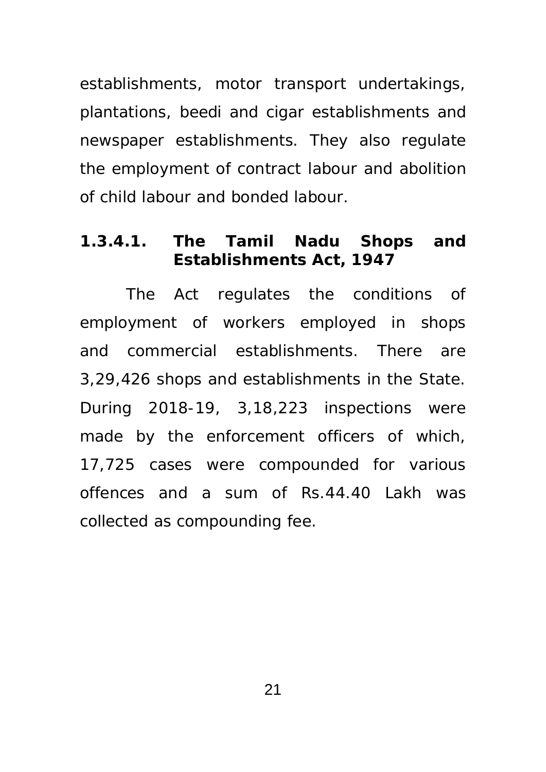establishments, motor transport undertakings, plantations, beedi and cigar establishments and newspaper establishments. They also regulate the employment of contract labour and abolition of child labour and bonded labour.

### **1.3.4.1. The Tamil Nadu Shops and Establishments Act, 1947**

The Act regulates the conditions of employment of workers employed in shops and commercial establishments. There are 3,29,426 shops and establishments in the State. During 2018-19, 3,18,223 inspections were made by the enforcement officers of which, 17,725 cases were compounded for various offences and a sum of Rs.44.40 Lakh was collected as compounding fee.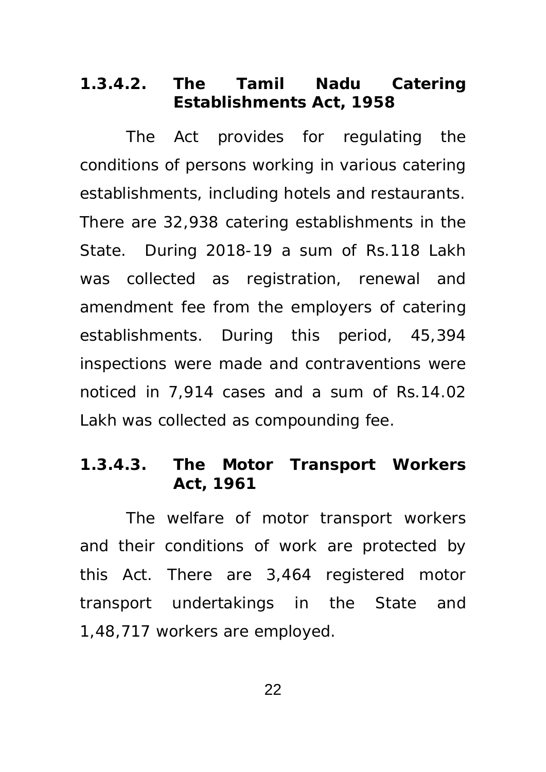#### **1.3.4.2. The Tamil Nadu Catering Establishments Act, 1958**

The Act provides for regulating the conditions of persons working in various catering establishments, including hotels and restaurants. There are 32,938 catering establishments in the State. During 2018-19 a sum of Rs.118 Lakh was collected as registration, renewal and amendment fee from the employers of catering establishments. During this period, 45,394 inspections were made and contraventions were noticed in 7,914 cases and a sum of Rs.14.02 Lakh was collected as compounding fee.

#### **1.3.4.3. The Motor Transport Workers Act, 1961**

The welfare of motor transport workers and their conditions of work are protected by this Act. There are 3,464 registered motor transport undertakings in the State and 1,48,717 workers are employed.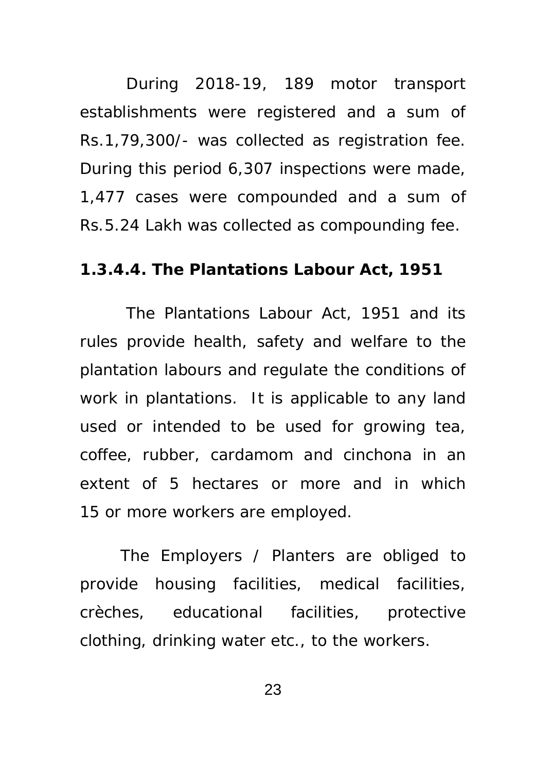During 2018-19, 189 motor transport establishments were registered and a sum of Rs.1,79,300/- was collected as registration fee. During this period 6,307 inspections were made, 1,477 cases were compounded and a sum of Rs.5.24 Lakh was collected as compounding fee.

#### **1.3.4.4. The Plantations Labour Act, 1951**

The Plantations Labour Act, 1951 and its rules provide health, safety and welfare to the plantation labours and regulate the conditions of work in plantations. It is applicable to any land used or intended to be used for growing tea, coffee, rubber, cardamom and cinchona in an extent of 5 hectares or more and in which 15 or more workers are employed.

The Employers / Planters are obliged to provide housing facilities, medical facilities, crèches, educational facilities, protective clothing, drinking water etc., to the workers.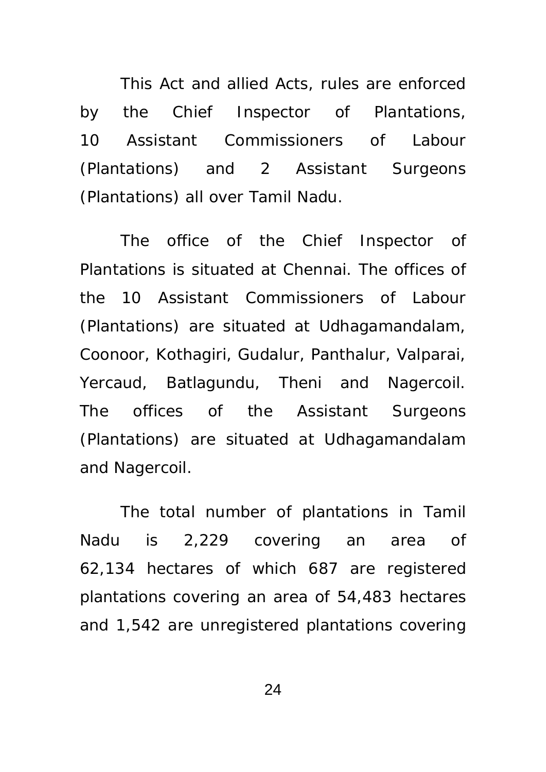This Act and allied Acts, rules are enforced by the Chief Inspector of Plantations, 10 Assistant Commissioners of Labour (Plantations) and 2 Assistant Surgeons (Plantations) all over Tamil Nadu.

The office of the Chief Inspector of Plantations is situated at Chennai. The offices of the 10 Assistant Commissioners of Labour (Plantations) are situated at Udhagamandalam, Coonoor, Kothagiri, Gudalur, Panthalur, Valparai, Yercaud, Batlagundu, Theni and Nagercoil. The offices of the Assistant Surgeons (Plantations) are situated at Udhagamandalam and Nagercoil.

The total number of plantations in Tamil Nadu is 2,229 covering an area of 62,134 hectares of which 687 are registered plantations covering an area of 54,483 hectares and 1,542 are unregistered plantations covering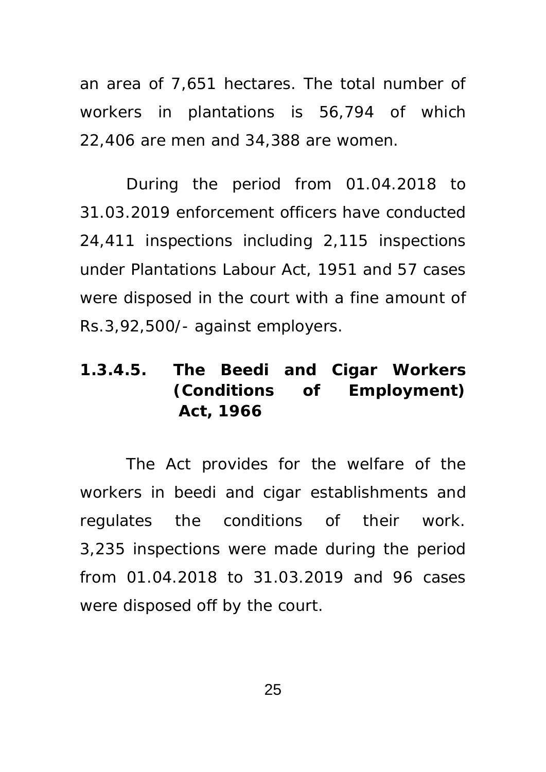an area of 7,651 hectares. The total number of workers in plantations is 56,794 of which 22,406 are men and 34,388 are women.

 During the period from 01.04.2018 to 31.03.2019 enforcement officers have conducted 24,411 inspections including 2,115 inspections under Plantations Labour Act, 1951 and 57 cases were disposed in the court with a fine amount of Rs.3,92,500/- against employers.

# **1.3.4.5. The Beedi and Cigar Workers (Conditions of Employment) Act, 1966**

The Act provides for the welfare of the workers in beedi and cigar establishments and regulates the conditions of their work. 3,235 inspections were made during the period from 01.04.2018 to 31.03.2019 and 96 cases were disposed off by the court.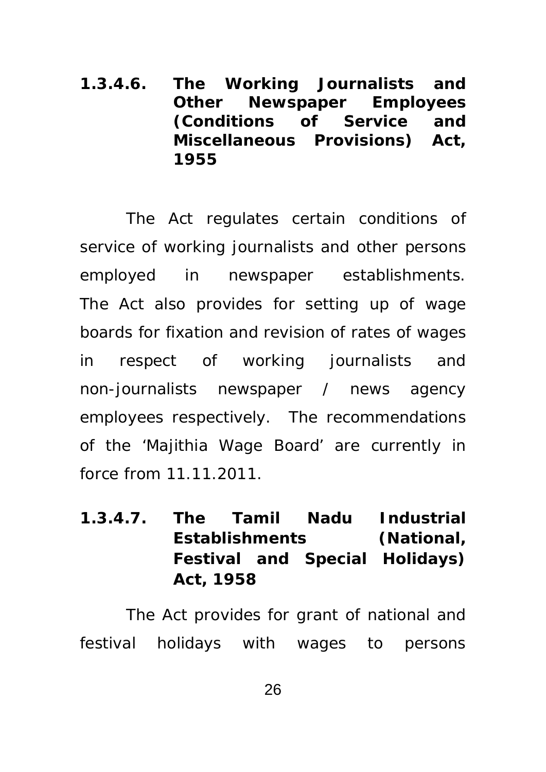**1.3.4.6. The Working Journalists and Other Newspaper Employees (Conditions of Service and Miscellaneous Provisions) Act, 1955** 

The Act regulates certain conditions of service of working journalists and other persons employed in newspaper establishments. The Act also provides for setting up of wage boards for fixation and revision of rates of wages in respect of working journalists and non-journalists newspaper / news agency employees respectively. The recommendations of the 'Majithia Wage Board' are currently in force from 11.11.2011.

**1.3.4.7. The Tamil Nadu Industrial Establishments (National, Festival and Special Holidays) Act, 1958** 

The Act provides for grant of national and festival holidays with wages to persons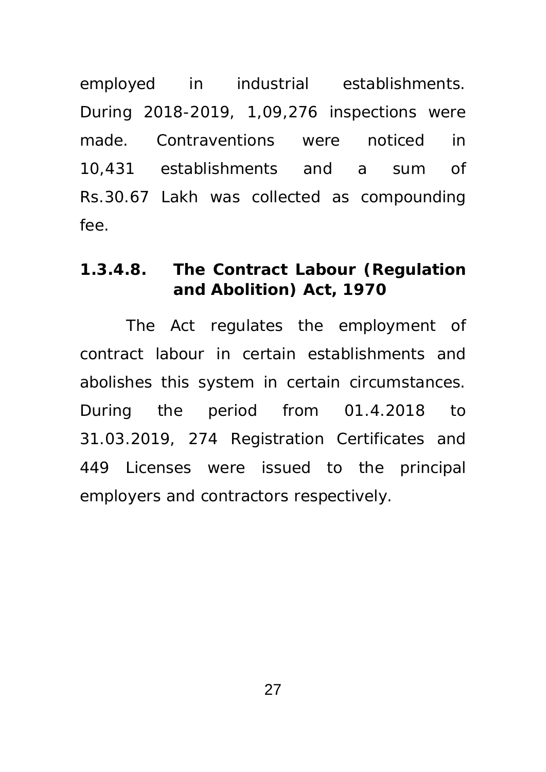employed in industrial establishments. During 2018-2019, 1,09,276 inspections were made. Contraventions were noticed in 10,431 establishments and a sum of Rs.30.67 Lakh was collected as compounding fee.

## **1.3.4.8. The Contract Labour (Regulation and Abolition) Act, 1970**

The Act regulates the employment of contract labour in certain establishments and abolishes this system in certain circumstances. During the period from 01.4.2018 to 31.03.2019, 274 Registration Certificates and 449 Licenses were issued to the principal employers and contractors respectively.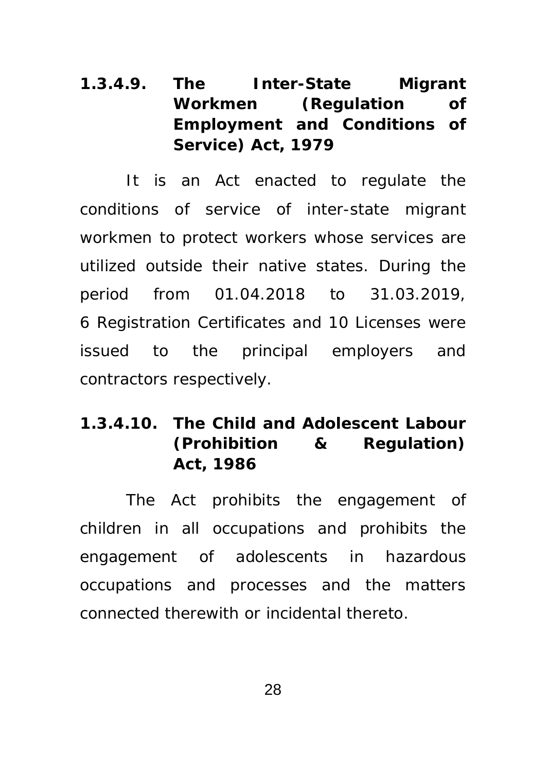# **1.3.4.9. The Inter-State Migrant Workmen (Regulation of Employment and Conditions of Service) Act, 1979**

It is an Act enacted to regulate the conditions of service of inter-state migrant workmen to protect workers whose services are utilized outside their native states. During the period from 01.04.2018 to 31.03.2019, 6 Registration Certificates and 10 Licenses were issued to the principal employers and contractors respectively.

# **1.3.4.10. The Child and Adolescent Labour (Prohibition & Regulation) Act, 1986**

The Act prohibits the engagement of children in all occupations and prohibits the engagement of adolescents in hazardous occupations and processes and the matters connected therewith or incidental thereto.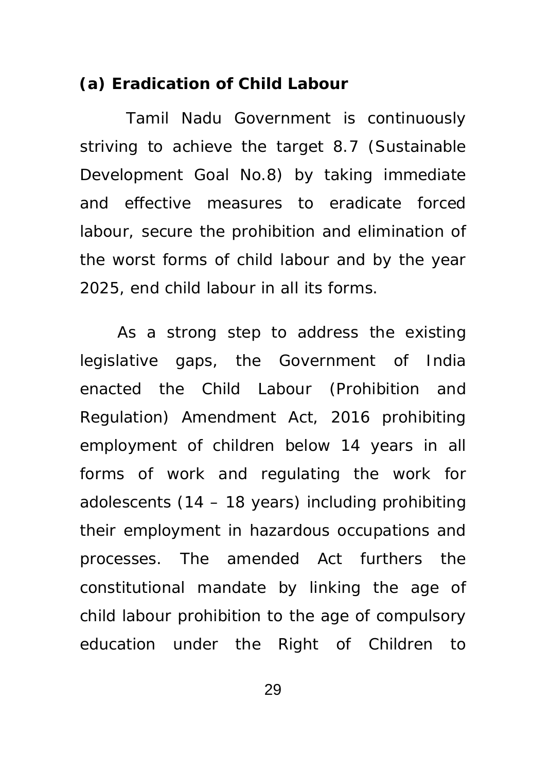## **(a) Eradication of Child Labour**

 Tamil Nadu Government is continuously striving to achieve the target 8.7 (Sustainable Development Goal No.8) by taking immediate and effective measures to eradicate forced labour, secure the prohibition and elimination of the worst forms of child labour and by the year 2025, end child labour in all its forms.

 As a strong step to address the existing legislative gaps, the Government of India enacted the Child Labour (Prohibition and Regulation) Amendment Act, 2016 prohibiting employment of children below 14 years in all forms of work and regulating the work for adolescents (14 – 18 years) including prohibiting their employment in hazardous occupations and processes. The amended Act furthers the constitutional mandate by linking the age of child labour prohibition to the age of compulsory education under the Right of Children to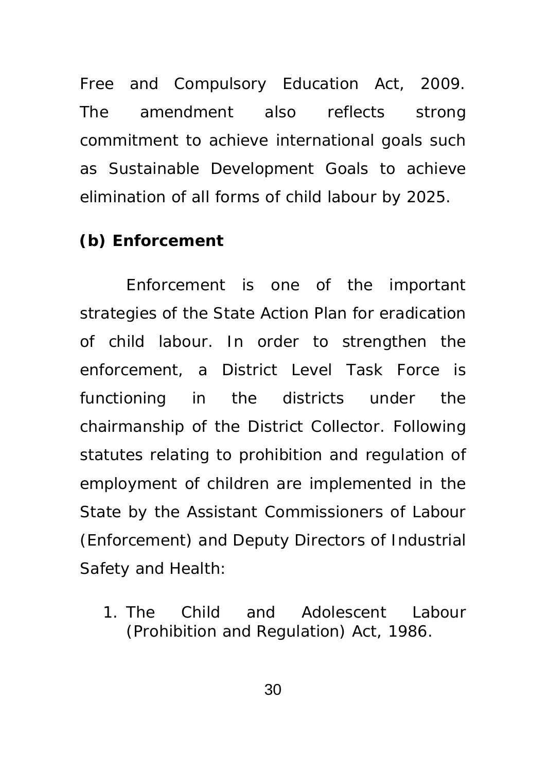Free and Compulsory Education Act, 2009. The amendment also reflects strong commitment to achieve international goals such as Sustainable Development Goals to achieve elimination of all forms of child labour by 2025.

## **(b) Enforcement**

 Enforcement is one of the important strategies of the State Action Plan for eradication of child labour. In order to strengthen the enforcement, a District Level Task Force is functioning in the districts under the chairmanship of the District Collector. Following statutes relating to prohibition and regulation of employment of children are implemented in the State by the Assistant Commissioners of Labour (Enforcement) and Deputy Directors of Industrial Safety and Health:

1. The Child and Adolescent Labour (Prohibition and Regulation) Act, 1986.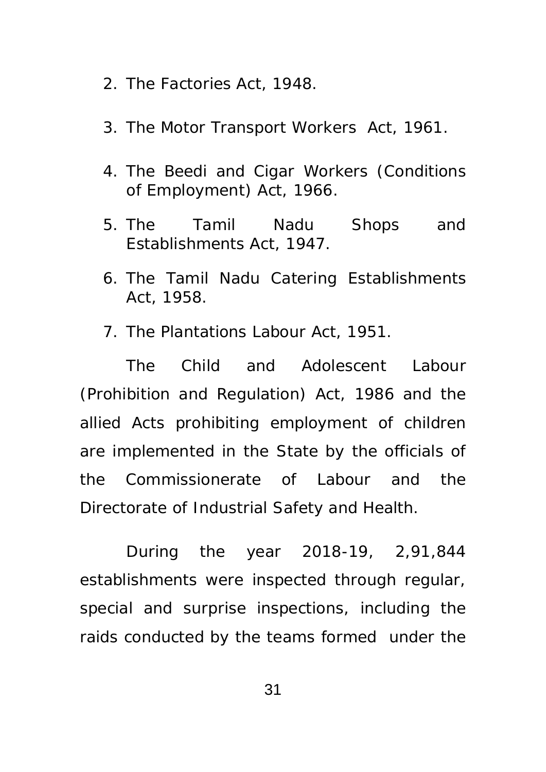- 2. The Factories Act, 1948.
- 3. The Motor Transport Workers Act, 1961.
- 4. The Beedi and Cigar Workers (Conditions of Employment) Act, 1966.
- 5. The Tamil Nadu Shops and Establishments Act, 1947.
- 6. The Tamil Nadu Catering Establishments Act, 1958.
- 7. The Plantations Labour Act, 1951.

The Child and Adolescent Labour (Prohibition and Regulation) Act, 1986 and the allied Acts prohibiting employment of children are implemented in the State by the officials of the Commissionerate of Labour and the Directorate of Industrial Safety and Health.

 During the year 2018-19, 2,91,844 establishments were inspected through regular, special and surprise inspections, including the raids conducted by the teams formed under the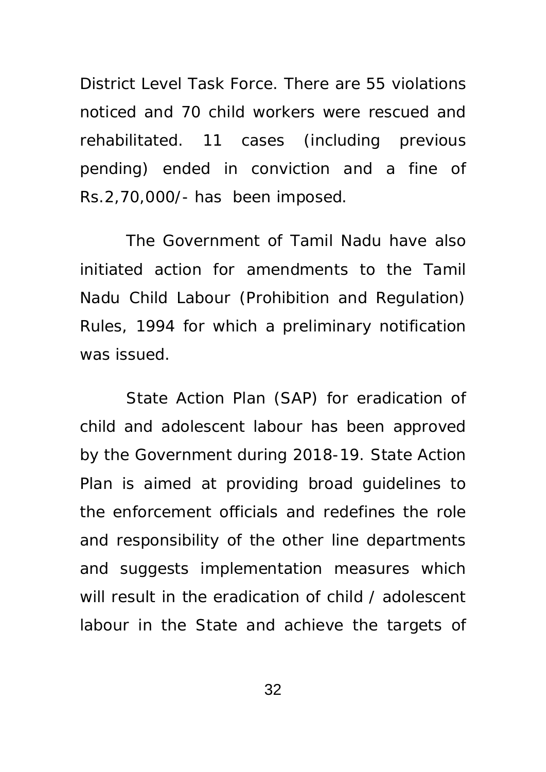District Level Task Force. There are 55 violations noticed and 70 child workers were rescued and rehabilitated. 11 cases (including previous pending) ended in conviction and a fine of Rs.2,70,000/- has been imposed.

The Government of Tamil Nadu have also initiated action for amendments to the Tamil Nadu Child Labour (Prohibition and Regulation) Rules, 1994 for which a preliminary notification was issued.

State Action Plan (SAP) for eradication of child and adolescent labour has been approved by the Government during 2018-19. State Action Plan is aimed at providing broad guidelines to the enforcement officials and redefines the role and responsibility of the other line departments and suggests implementation measures which will result in the eradication of child / adolescent labour in the State and achieve the targets of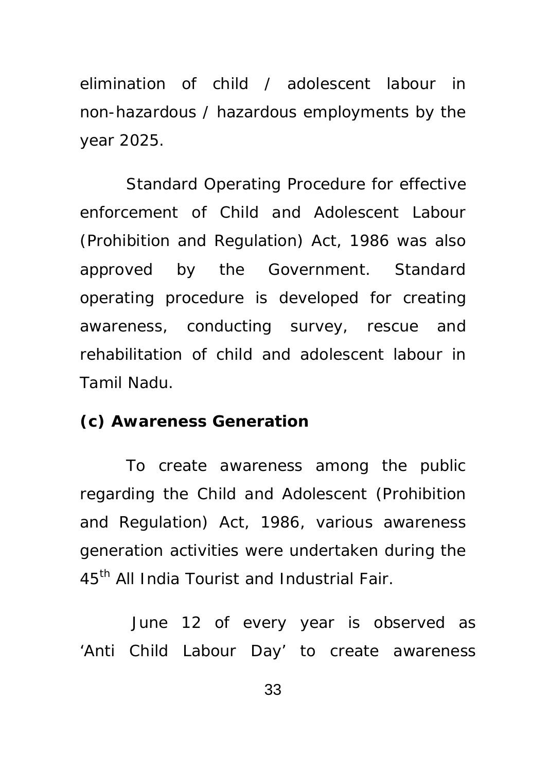elimination of child / adolescent labour in non-hazardous / hazardous employments by the year 2025.

Standard Operating Procedure for effective enforcement of Child and Adolescent Labour (Prohibition and Regulation) Act, 1986 was also approved by the Government. Standard operating procedure is developed for creating awareness, conducting survey, rescue and rehabilitation of child and adolescent labour in Tamil Nadu.

#### **(c) Awareness Generation**

To create awareness among the public regarding the Child and Adolescent (Prohibition and Regulation) Act, 1986, various awareness generation activities were undertaken during the 45<sup>th</sup> All India Tourist and Industrial Fair.

 June 12 of every year is observed as 'Anti Child Labour Day' to create awareness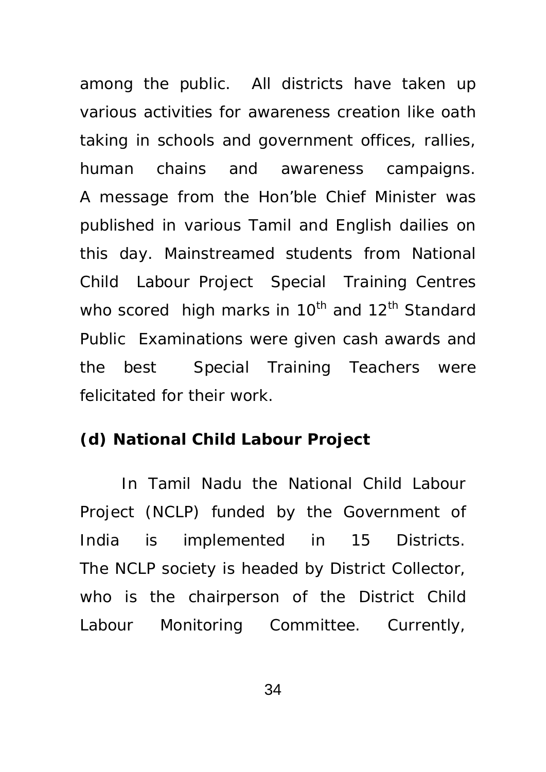among the public. All districts have taken up various activities for awareness creation like oath taking in schools and government offices, rallies, human chains and awareness campaigns. A message from the Hon'ble Chief Minister was published in various Tamil and English dailies on this day. Mainstreamed students from National Child Labour Project Special Training Centres who scored high marks in 10<sup>th</sup> and 12<sup>th</sup> Standard Public Examinations were given cash awards and the best Special Training Teachers were felicitated for their work.

#### **(d) National Child Labour Project**

In Tamil Nadu the National Child Labour Project (NCLP) funded by the Government of India is implemented in 15 Districts. The NCLP society is headed by District Collector, who is the chairperson of the District Child Labour Monitoring Committee. Currently,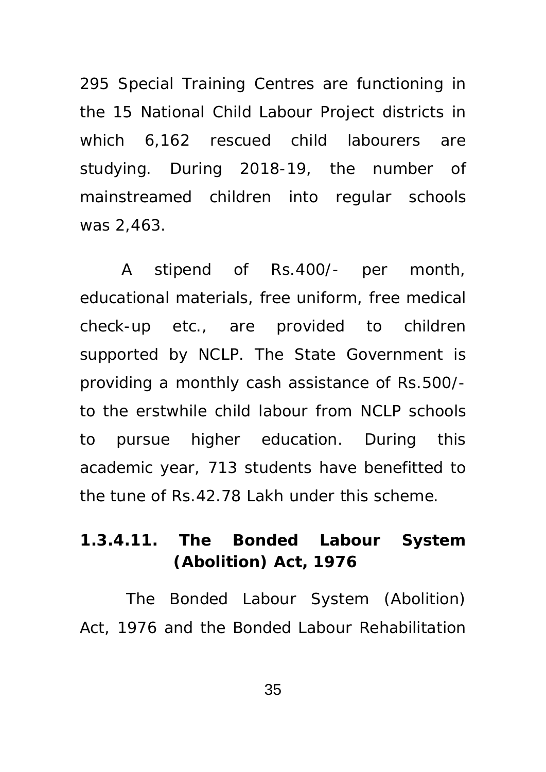295 Special Training Centres are functioning in the 15 National Child Labour Project districts in which 6,162 rescued child labourers are studying. During 2018-19, the number of mainstreamed children into regular schools was 2,463.

A stipend of Rs.400/- per month, educational materials, free uniform, free medical check-up etc., are provided to children supported by NCLP. The State Government is providing a monthly cash assistance of Rs.500/ to the erstwhile child labour from NCLP schools to pursue higher education. During this academic year, 713 students have benefitted to the tune of Rs.42.78 Lakh under this scheme.

# **1.3.4.11. The Bonded Labour System (Abolition) Act, 1976**

The Bonded Labour System (Abolition) Act, 1976 and the Bonded Labour Rehabilitation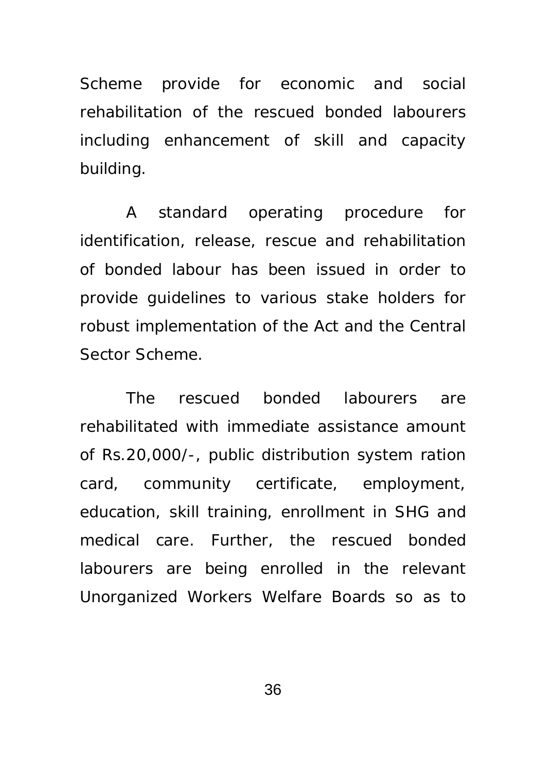Scheme provide for economic and social rehabilitation of the rescued bonded labourers including enhancement of skill and capacity building.

 A standard operating procedure for identification, release, rescue and rehabilitation of bonded labour has been issued in order to provide guidelines to various stake holders for robust implementation of the Act and the Central Sector Scheme.

 The rescued bonded labourers are rehabilitated with immediate assistance amount of Rs.20,000/-, public distribution system ration card, community certificate, employment, education, skill training, enrollment in SHG and medical care. Further, the rescued bonded labourers are being enrolled in the relevant Unorganized Workers Welfare Boards so as to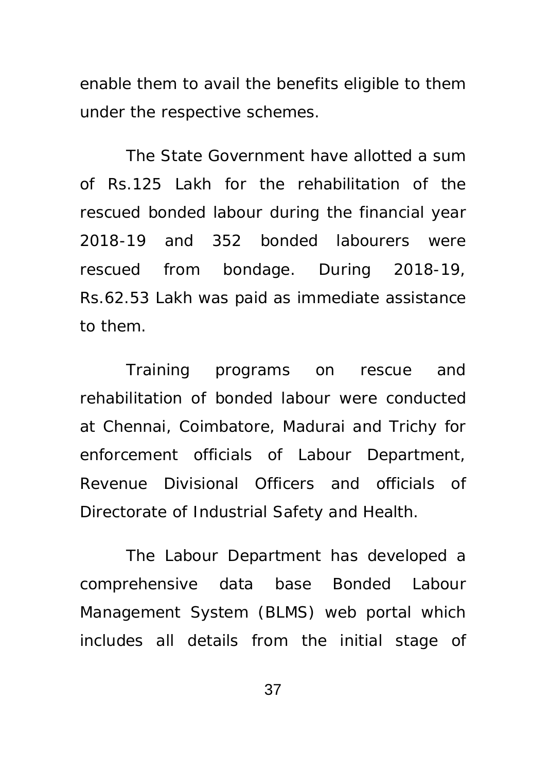enable them to avail the benefits eligible to them under the respective schemes.

 The State Government have allotted a sum of Rs.125 Lakh for the rehabilitation of the rescued bonded labour during the financial year 2018-19 and 352 bonded labourers were rescued from bondage. During 2018-19, Rs.62.53 Lakh was paid as immediate assistance to them.

Training programs on rescue and rehabilitation of bonded labour were conducted at Chennai, Coimbatore, Madurai and Trichy for enforcement officials of Labour Department, Revenue Divisional Officers and officials of Directorate of Industrial Safety and Health.

The Labour Department has developed a comprehensive data base Bonded Labour Management System (BLMS) web portal which includes all details from the initial stage of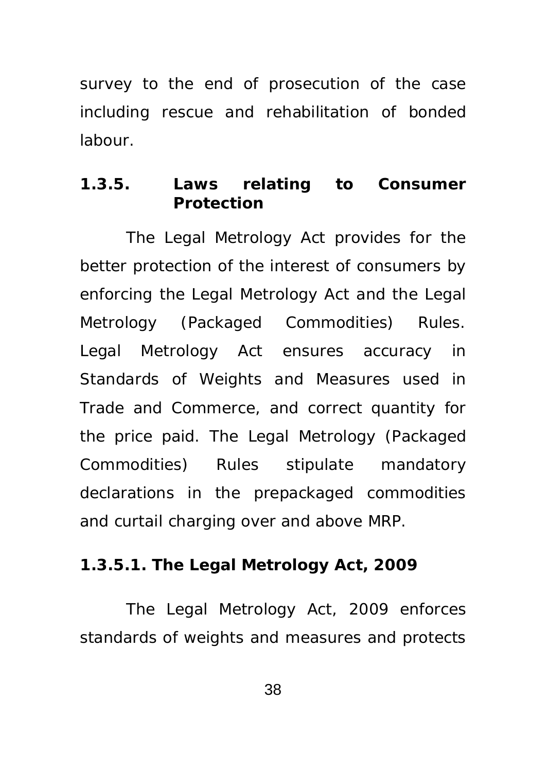survey to the end of prosecution of the case including rescue and rehabilitation of bonded labour.

### **1.3.5. Laws relating to Consumer Protection**

The Legal Metrology Act provides for the better protection of the interest of consumers by enforcing the Legal Metrology Act and the Legal Metrology (Packaged Commodities) Rules. Legal Metrology Act ensures accuracy in Standards of Weights and Measures used in Trade and Commerce, and correct quantity for the price paid. The Legal Metrology (Packaged Commodities) Rules stipulate mandatory declarations in the prepackaged commodities and curtail charging over and above MRP.

#### **1.3.5.1. The Legal Metrology Act, 2009**

 The Legal Metrology Act, 2009 enforces standards of weights and measures and protects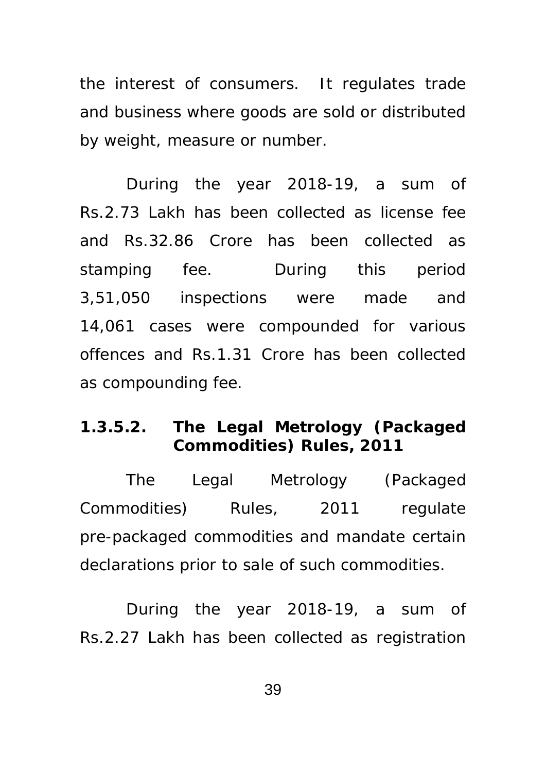the interest of consumers. It regulates trade and business where goods are sold or distributed by weight, measure or number.

 During the year 2018-19, a sum of Rs.2.73 Lakh has been collected as license fee and Rs.32.86 Crore has been collected as stamping fee. During this period 3,51,050 inspections were made and 14,061 cases were compounded for various offences and Rs.1.31 Crore has been collected as compounding fee.

## **1.3.5.2. The Legal Metrology (Packaged Commodities) Rules, 2011**

 The Legal Metrology (Packaged Commodities) Rules, 2011 regulate pre-packaged commodities and mandate certain declarations prior to sale of such commodities.

 During the year 2018-19, a sum of Rs.2.27 Lakh has been collected as registration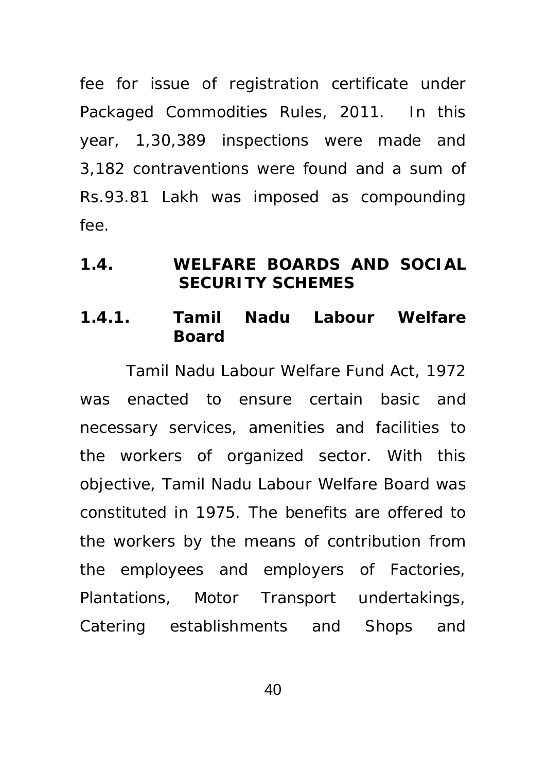fee for issue of registration certificate under Packaged Commodities Rules, 2011. In this year, 1,30,389 inspections were made and 3,182 contraventions were found and a sum of Rs.93.81 Lakh was imposed as compounding fee.

### **1.4. WELFARE BOARDS AND SOCIAL SECURITY SCHEMES**

### **1.4.1. Tamil Nadu Labour Welfare Board**

 Tamil Nadu Labour Welfare Fund Act, 1972 was enacted to ensure certain basic and necessary services, amenities and facilities to the workers of organized sector. With this objective, Tamil Nadu Labour Welfare Board was constituted in 1975. The benefits are offered to the workers by the means of contribution from the employees and employers of Factories, Plantations, Motor Transport undertakings, Catering establishments and Shops and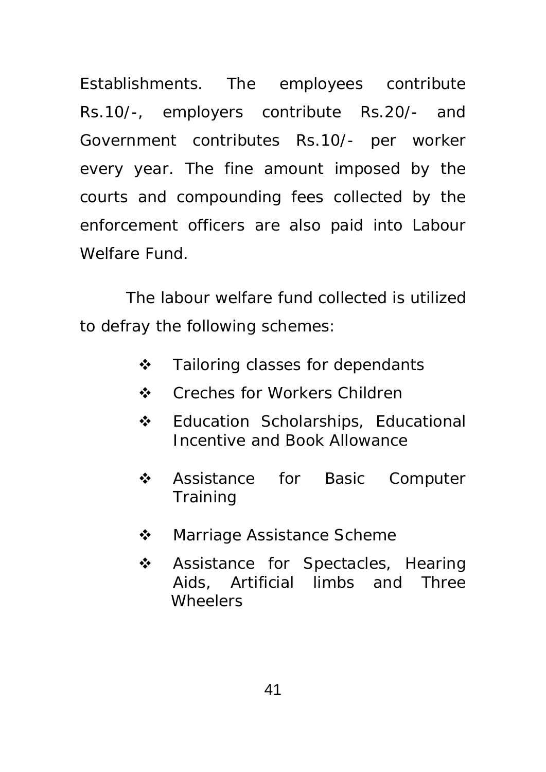Establishments. The employees contribute Rs.10/-, employers contribute Rs.20/- and Government contributes Rs.10/- per worker every year. The fine amount imposed by the courts and compounding fees collected by the enforcement officers are also paid into Labour Welfare Fund.

 The labour welfare fund collected is utilized to defray the following schemes:

- ❖ Tailoring classes for dependants
- ❖ Creches for Workers Children
- **❖** Education Scholarships, Educational Incentive and Book Allowance
- ❖ Assistance for Basic Computer **Training**
- **❖** Marriage Assistance Scheme
- ❖ Assistance for Spectacles, Hearing Aids, Artificial limbs and Three **Wheelers**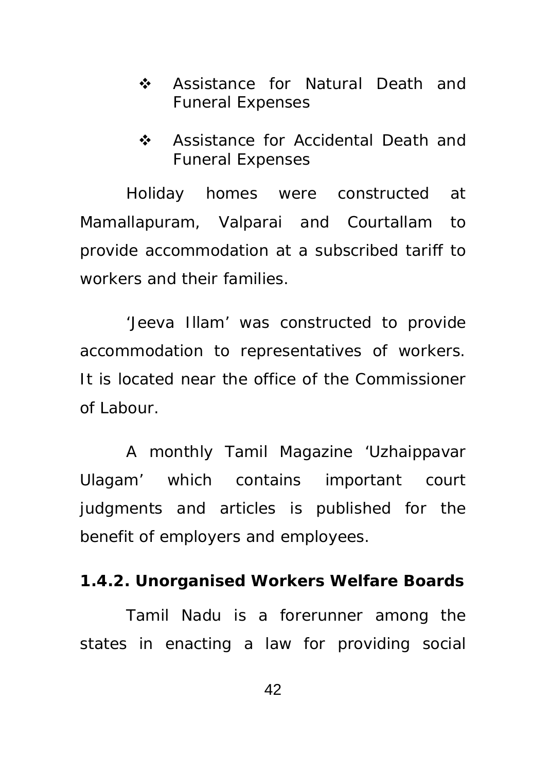- ❖ Assistance for Natural Death and Funeral Expenses
- ❖ Assistance for Accidental Death and Funeral Expenses

 Holiday homes were constructed at Mamallapuram, Valparai and Courtallam to provide accommodation at a subscribed tariff to workers and their families.

 'Jeeva Illam' was constructed to provide accommodation to representatives of workers. It is located near the office of the Commissioner of Labour.

 A monthly Tamil Magazine 'Uzhaippavar Ulagam' which contains important court judgments and articles is published for the benefit of employers and employees.

#### **1.4.2. Unorganised Workers Welfare Boards**

 Tamil Nadu is a forerunner among the states in enacting a law for providing social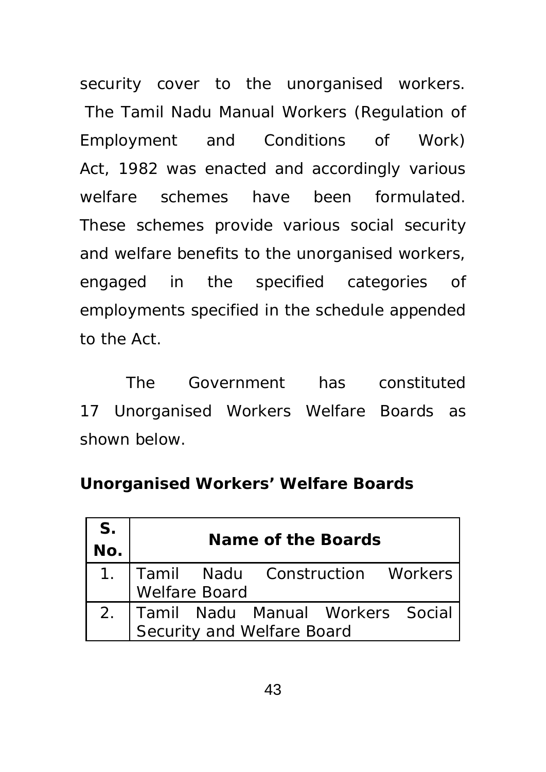security cover to the unorganised workers. The Tamil Nadu Manual Workers (Regulation of Employment and Conditions of Work) Act, 1982 was enacted and accordingly various welfare schemes have been formulated. These schemes provide various social security and welfare benefits to the unorganised workers, engaged in the specified categories of employments specified in the schedule appended to the Act.

 The Government has constituted 17 Unorganised Workers Welfare Boards as shown below.

## **Unorganised Workers' Welfare Boards**

| S.  | Name of the Boards                                                |  |                                      |  |  |  |
|-----|-------------------------------------------------------------------|--|--------------------------------------|--|--|--|
| No. |                                                                   |  |                                      |  |  |  |
|     |                                                                   |  | 1.   Tamil Nadu Construction Workers |  |  |  |
|     | Welfare Board                                                     |  |                                      |  |  |  |
|     |                                                                   |  |                                      |  |  |  |
|     | 2. Tamil Nadu Manual Workers Social<br>Security and Welfare Board |  |                                      |  |  |  |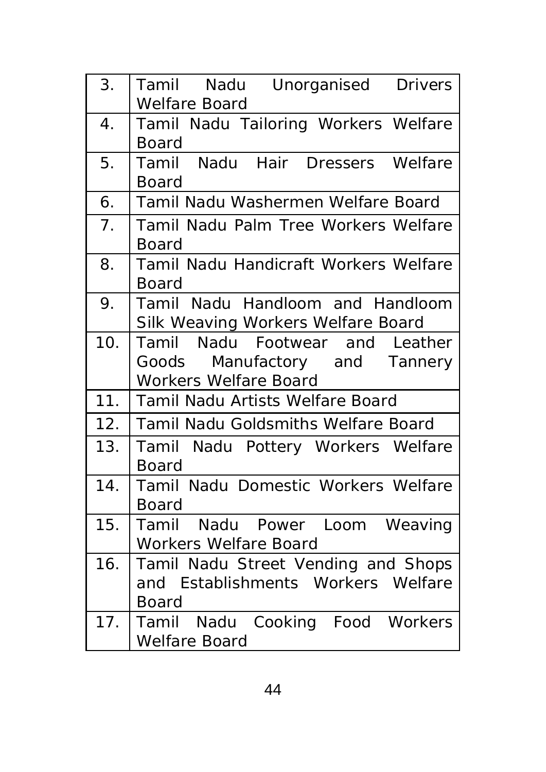| 3.  | Tamil Nadu Unorganised Drivers<br><b>Welfare Board</b>                                           |
|-----|--------------------------------------------------------------------------------------------------|
| 4.  | Tamil Nadu Tailoring Workers Welfare<br>Board                                                    |
| 5.  | Tamil Nadu Hair Dressers Welfare<br>Board                                                        |
| 6.  | Tamil Nadu Washermen Welfare Board                                                               |
| 7.  | Tamil Nadu Palm Tree Workers Welfare<br>Board                                                    |
| 8.  | Tamil Nadu Handicraft Workers Welfare<br>Board                                                   |
| 9.  | Tamil Nadu Handloom and Handloom<br>Silk Weaving Workers Welfare Board                           |
| 10. | Tamil Nadu Footwear and Leather<br>Goods Manufactory and Tannery<br><b>Workers Welfare Board</b> |
| 11. | <b>Tamil Nadu Artists Welfare Board</b>                                                          |
| 12. | <b>Tamil Nadu Goldsmiths Welfare Board</b>                                                       |
| 13. | Tamil Nadu Pottery Workers Welfare<br>Board                                                      |
| 14. | Tamil Nadu Domestic Workers Welfare<br>Board                                                     |
| 15. | Tamil Nadu Power Loom Weaving<br><b>Workers Welfare Board</b>                                    |
| 16. | Tamil Nadu Street Vending and Shops<br>and Establishments Workers Welfare<br>Board               |
| 17. | Tamil Nadu Cooking Food Workers<br>Welfare Board                                                 |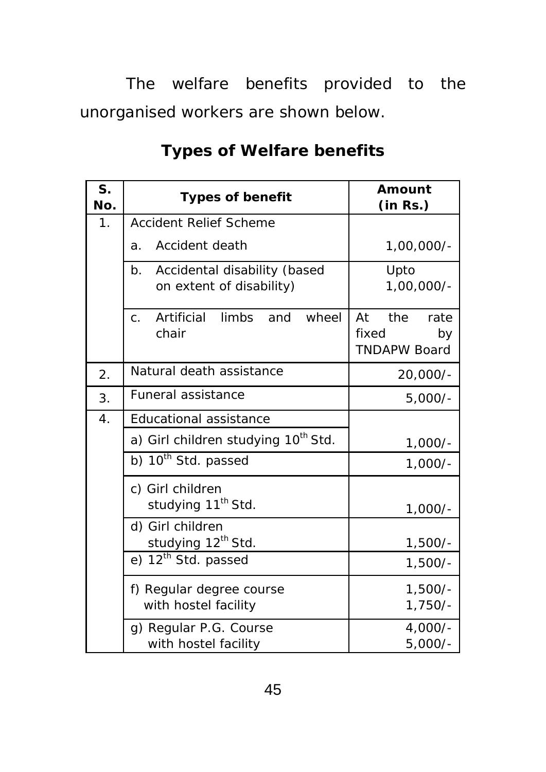The welfare benefits provided to the unorganised workers are shown below.

| S.<br>No. | <b>Types of benefit</b>                                               | Amount<br>(in Rs.)                                      |  |
|-----------|-----------------------------------------------------------------------|---------------------------------------------------------|--|
| 1.        | <b>Accident Relief Scheme</b>                                         |                                                         |  |
|           | Accident death<br>a.                                                  | $1,00,000/-$                                            |  |
|           | Accidental disability (based<br>b.<br>on extent of disability)        | Upto<br>$1,00,000/-$                                    |  |
|           | <b>limbs</b><br>Artificial<br>wheel<br>and<br>$\mathsf{C}$ .<br>chair | the<br>At<br>rate<br>fixed<br>by<br><b>TNDAPW Board</b> |  |
| 2.        | Natural death assistance                                              | 20,000/-                                                |  |
| 3.        | <b>Funeral assistance</b>                                             | $5,000/-$                                               |  |
| 4.        | <b>Educational assistance</b>                                         |                                                         |  |
|           | a) Girl children studying 10 <sup>th</sup> Std.                       | $1,000/-$                                               |  |
|           | $\overline{b}$ ) $10^{th}$ Std. passed                                | $1,000/-$                                               |  |
|           | c) Girl children<br>studying 11 <sup>th</sup> Std.                    | $1,000/-$                                               |  |
|           | d) Girl children<br>studying 12 <sup>th</sup> Std.                    | $1,500/-$                                               |  |
|           | $\overline{e}$ ) 12 <sup>th</sup> Std. passed                         | $1,500/-$                                               |  |
|           | f) Regular degree course<br>with hostel facility                      | $1,500/-$<br>$1,750/-$                                  |  |
|           | g) Regular P.G. Course<br>with hostel facility                        | $4,000/-$<br>$5,000/-$                                  |  |

# **Types of Welfare benefits**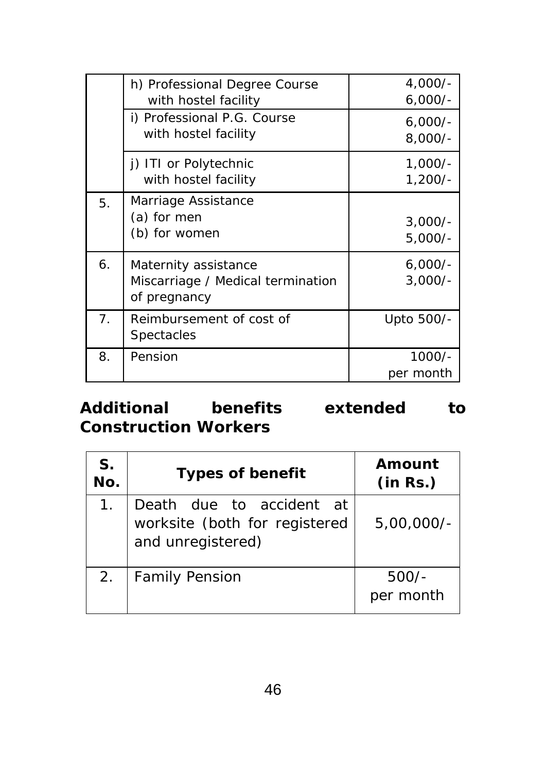|    | h) Professional Degree Course<br>with hostel facility                     | $4,000/-$<br>$6,000/-$ |
|----|---------------------------------------------------------------------------|------------------------|
|    | i) Professional P.G. Course<br>with hostel facility                       | $6,000/-$<br>$8,000/-$ |
|    | j) ITI or Polytechnic<br>with hostel facility                             | $1,000/-$<br>$1,200/-$ |
| 5. | Marriage Assistance<br>(a) for men<br>(b) for women                       | $3,000/-$<br>$5,000/-$ |
| 6. | Maternity assistance<br>Miscarriage / Medical termination<br>of pregnancy | $6,000/-$<br>$3,000/-$ |
| 7. | Reimbursement of cost of<br>Spectacles                                    | Upto 500/-             |
| 8. | Pension                                                                   | $1000/-$<br>per month  |

# **Additional benefits extended to Construction Workers**

| S.<br>No. | <b>Types of benefit</b>                                                        | Amount<br>(in Rs.)   |
|-----------|--------------------------------------------------------------------------------|----------------------|
|           | Death due to accident at<br>worksite (both for registered<br>and unregistered) | $5,00,000/-$         |
| 2.        | <b>Family Pension</b>                                                          | $500/-$<br>per month |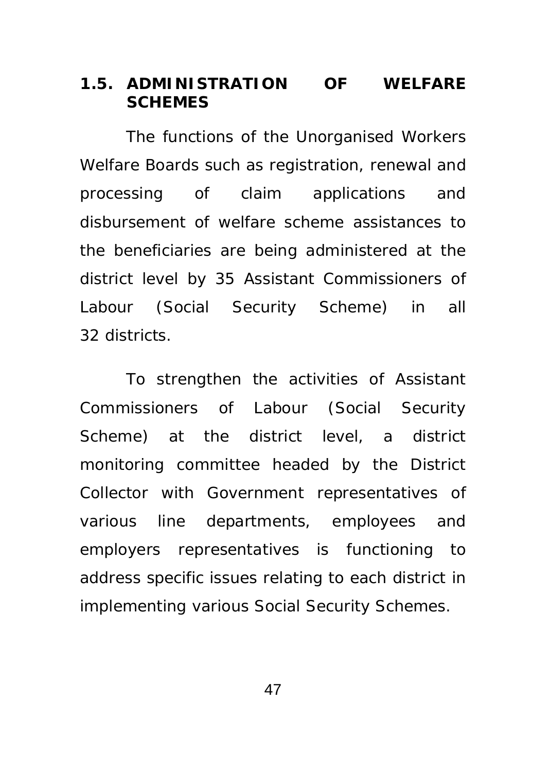### **1.5. ADMINISTRATION OF WELFARE SCHEMES**

 The functions of the Unorganised Workers Welfare Boards such as registration, renewal and processing of claim applications and disbursement of welfare scheme assistances to the beneficiaries are being administered at the district level by 35 Assistant Commissioners of Labour (Social Security Scheme) in all 32 districts.

 To strengthen the activities of Assistant Commissioners of Labour (Social Security Scheme) at the district level, a district monitoring committee headed by the District Collector with Government representatives of various line departments, employees and employers representatives is functioning to address specific issues relating to each district in implementing various Social Security Schemes.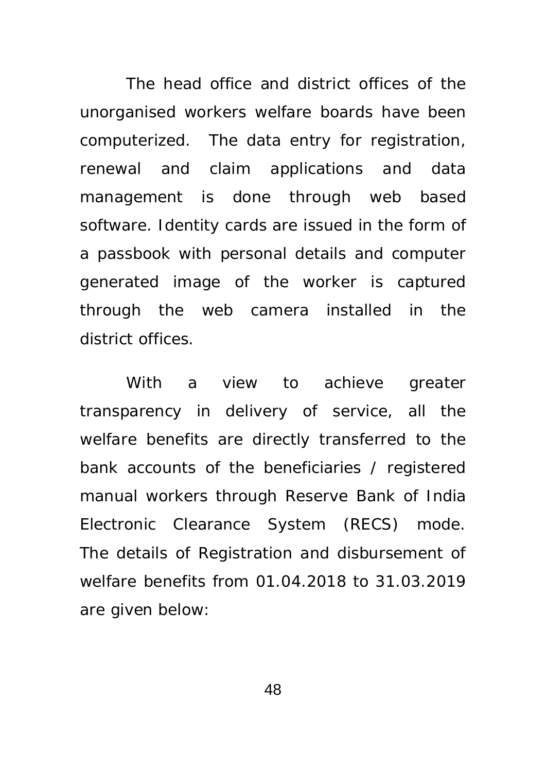The head office and district offices of the unorganised workers welfare boards have been computerized. The data entry for registration, renewal and claim applications and data management is done through web based software. Identity cards are issued in the form of a passbook with personal details and computer generated image of the worker is captured through the web camera installed in the district offices.

 With a view to achieve greater transparency in delivery of service, all the welfare benefits are directly transferred to the bank accounts of the beneficiaries / registered manual workers through Reserve Bank of India Electronic Clearance System (RECS) mode. The details of Registration and disbursement of welfare benefits from 01.04.2018 to 31.03.2019 are given below: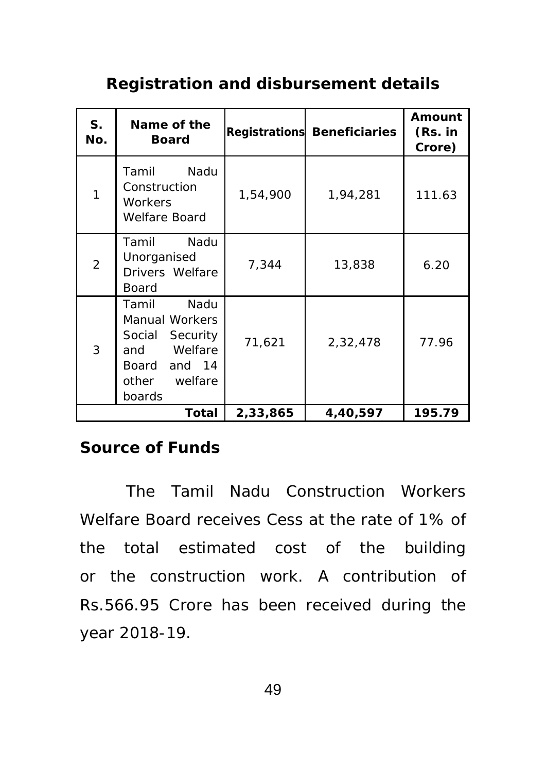# **Registration and disbursement details**

| S <sub>1</sub><br>No. | Name of the<br><b>Board</b>                                                                                               |          | <b>Registrations Beneficiaries</b> | Amount<br>(Rs. in<br>Crore) |
|-----------------------|---------------------------------------------------------------------------------------------------------------------------|----------|------------------------------------|-----------------------------|
| 1                     | Nadu<br>Tamil<br>Construction<br><b>Workers</b><br><b>Welfare Board</b>                                                   | 1,54,900 | 1,94,281                           | 111.63                      |
| $\overline{2}$        | Tamil<br>Nadu<br>Unorganised<br>Drivers Welfare<br><b>Board</b>                                                           | 7,344    | 13,838                             | 6.20                        |
| 3                     | Tamil<br>Nadu<br><b>Manual Workers</b><br>Security<br>Social<br>Welfare<br>and<br>Board and 14<br>other welfare<br>boards | 71,621   | 2,32,478                           | 77.96                       |
| Total                 |                                                                                                                           | 2,33,865 | 4,40,597                           | 195.79                      |

## **Source of Funds**

 The Tamil Nadu Construction Workers Welfare Board receives Cess at the rate of 1% of the total estimated cost of the building or the construction work. A contribution of Rs.566.95 Crore has been received during the year 2018-19.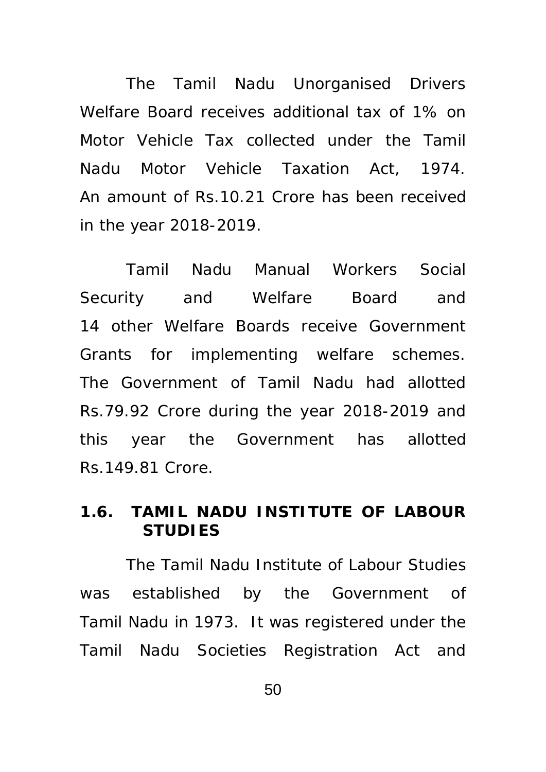The Tamil Nadu Unorganised Drivers Welfare Board receives additional tax of 1% on Motor Vehicle Tax collected under the Tamil Nadu Motor Vehicle Taxation Act, 1974. An amount of Rs.10.21 Crore has been received in the year 2018-2019.

Tamil Nadu Manual Workers Social Security and Welfare Board and 14 other Welfare Boards receive Government Grants for implementing welfare schemes. The Government of Tamil Nadu had allotted Rs.79.92 Crore during the year 2018-2019 and this year the Government has allotted Rs.149.81 Crore.

## **1.6. TAMIL NADU INSTITUTE OF LABOUR STUDIES**

The Tamil Nadu Institute of Labour Studies was established by the Government of Tamil Nadu in 1973. It was registered under the Tamil Nadu Societies Registration Act and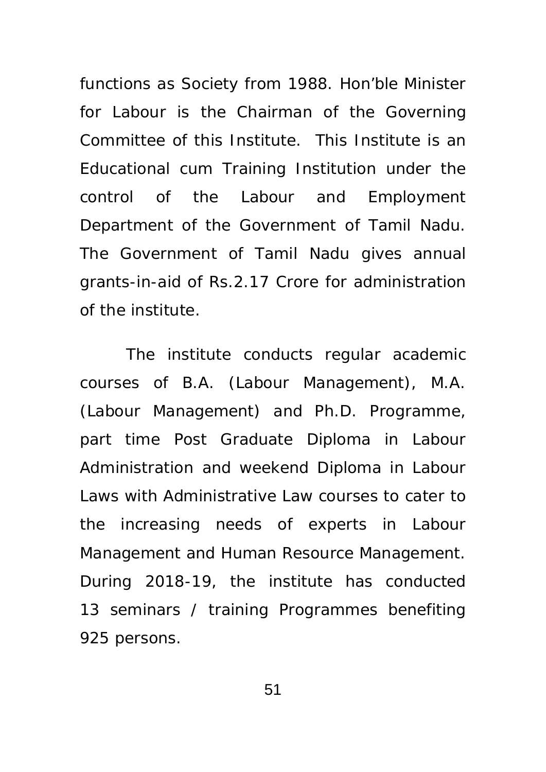functions as Society from 1988. Hon'ble Minister for Labour is the Chairman of the Governing Committee of this Institute. This Institute is an Educational cum Training Institution under the control of the Labour and Employment Department of the Government of Tamil Nadu. The Government of Tamil Nadu gives annual grants-in-aid of Rs.2.17 Crore for administration of the institute.

 The institute conducts regular academic courses of B.A. (Labour Management), M.A. (Labour Management) and Ph.D. Programme, part time Post Graduate Diploma in Labour Administration and weekend Diploma in Labour Laws with Administrative Law courses to cater to the increasing needs of experts in Labour Management and Human Resource Management. During 2018-19, the institute has conducted 13 seminars / training Programmes benefiting 925 persons.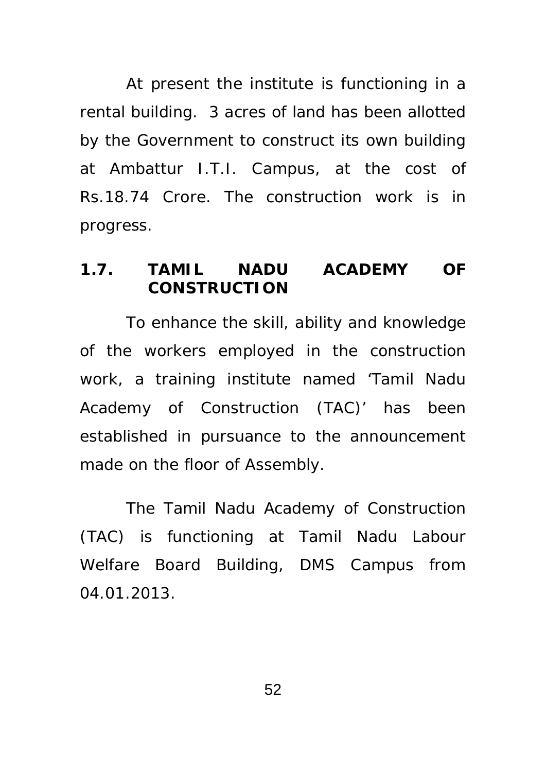At present the institute is functioning in a rental building. 3 acres of land has been allotted by the Government to construct its own building at Ambattur I.T.I. Campus, at the cost of Rs.18.74 Crore. The construction work is in progress.

#### **1.7. TAMIL NADU ACADEMY OF CONSTRUCTION**

 To enhance the skill, ability and knowledge of the workers employed in the construction work, a training institute named 'Tamil Nadu Academy of Construction (TAC)' has been established in pursuance to the announcement made on the floor of Assembly.

The Tamil Nadu Academy of Construction (TAC) is functioning at Tamil Nadu Labour Welfare Board Building, DMS Campus from 04.01.2013.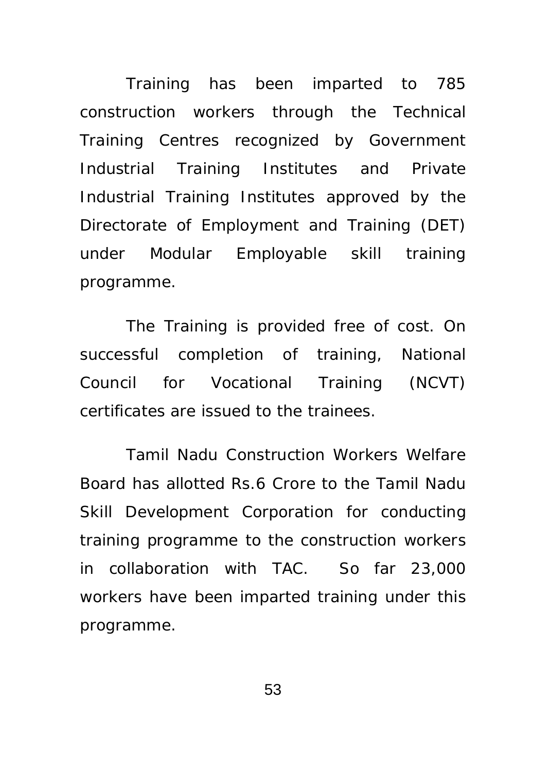Training has been imparted to 785 construction workers through the Technical Training Centres recognized by Government Industrial Training Institutes and Private Industrial Training Institutes approved by the Directorate of Employment and Training (DET) under Modular Employable skill training programme.

 The Training is provided free of cost. On successful completion of training, National Council for Vocational Training (NCVT) certificates are issued to the trainees.

 Tamil Nadu Construction Workers Welfare Board has allotted Rs.6 Crore to the Tamil Nadu Skill Development Corporation for conducting training programme to the construction workers in collaboration with TAC. So far 23,000 workers have been imparted training under this programme.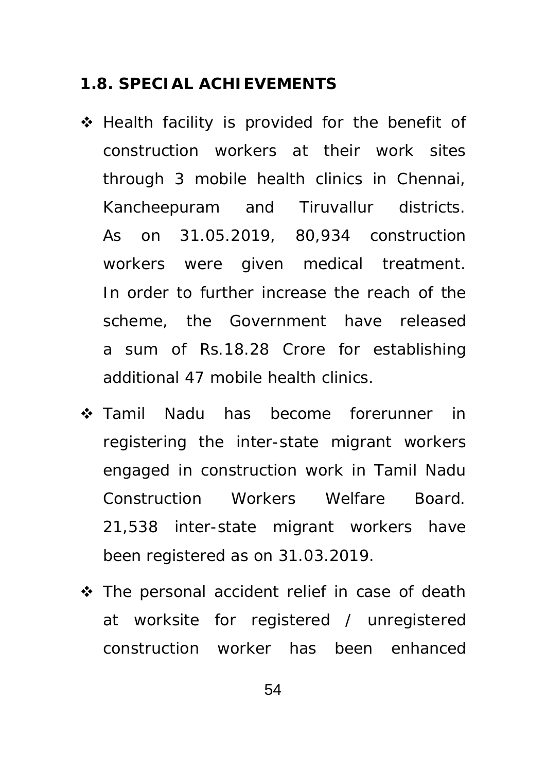#### **1.8. SPECIAL ACHIEVEMENTS**

- Health facility is provided for the benefit of construction workers at their work sites through 3 mobile health clinics in Chennai, Kancheepuram and Tiruvallur districts. As on 31.05.2019, 80,934 construction workers were given medical treatment. In order to further increase the reach of the scheme, the Government have released a sum of Rs.18.28 Crore for establishing additional 47 mobile health clinics.
- Tamil Nadu has become forerunner in registering the inter-state migrant workers engaged in construction work in Tamil Nadu Construction Workers Welfare Board. 21,538 inter-state migrant workers have been registered as on 31.03.2019.
- The personal accident relief in case of death at worksite for registered / unregistered construction worker has been enhanced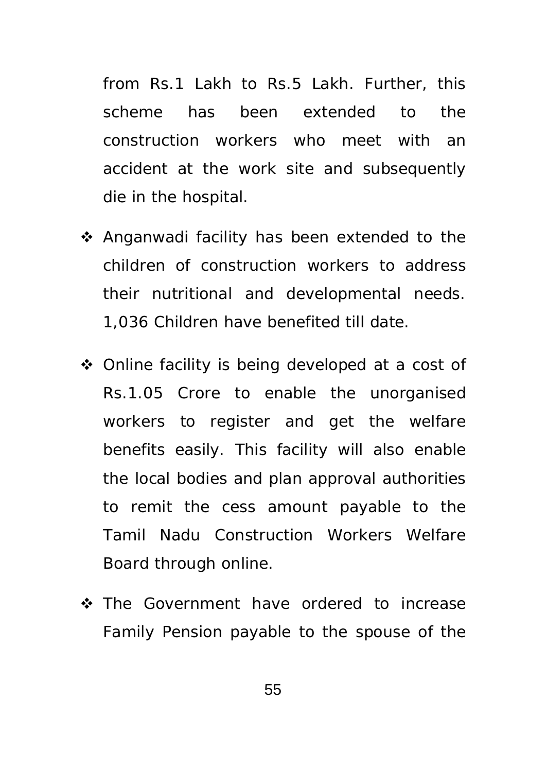from Rs.1 Lakh to Rs.5 Lakh. Further, this scheme has been extended to the construction workers who meet with an accident at the work site and subsequently die in the hospital.

- ❖ Anganwadi facility has been extended to the children of construction workers to address their nutritional and developmental needs. 1,036 Children have benefited till date.
- ◆ Online facility is being developed at a cost of Rs.1.05 Crore to enable the unorganised workers to register and get the welfare benefits easily. This facility will also enable the local bodies and plan approval authorities to remit the cess amount payable to the Tamil Nadu Construction Workers Welfare Board through online.
- \* The Government have ordered to increase Family Pension payable to the spouse of the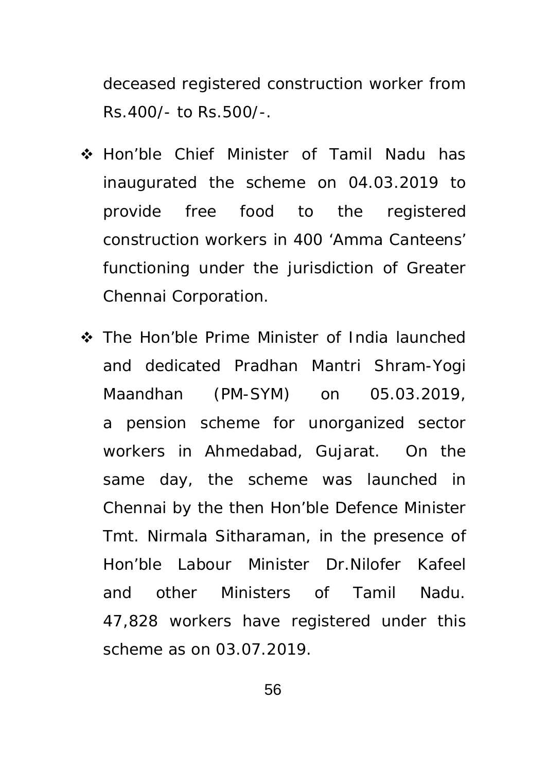deceased registered construction worker from Rs.400/- to Rs.500/-.

- Hon'ble Chief Minister of Tamil Nadu has inaugurated the scheme on 04.03.2019 to provide free food to the registered construction workers in 400 'Amma Canteens' functioning under the jurisdiction of Greater Chennai Corporation.
- The Hon'ble Prime Minister of India launched and dedicated Pradhan Mantri Shram-Yogi Maandhan (PM-SYM) on 05.03.2019, a pension scheme for unorganized sector workers in Ahmedabad, Gujarat. On the same day, the scheme was launched in Chennai by the then Hon'ble Defence Minister Tmt. Nirmala Sitharaman, in the presence of Hon'ble Labour Minister Dr.Nilofer Kafeel and other Ministers of Tamil Nadu. 47,828 workers have registered under this scheme as on 03.07.2019.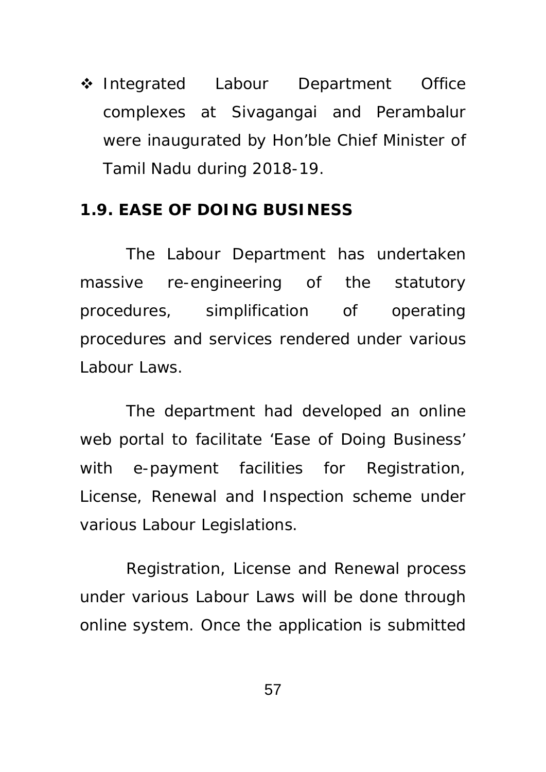❖ Integrated Labour Department Office complexes at Sivagangai and Perambalur were inaugurated by Hon'ble Chief Minister of Tamil Nadu during 2018-19.

#### **1.9. EASE OF DOING BUSINESS**

 The Labour Department has undertaken massive re-engineering of the statutory procedures, simplification of operating procedures and services rendered under various Labour Laws.

 The department had developed an online web portal to facilitate 'Ease of Doing Business' with e-payment facilities for Registration, License, Renewal and Inspection scheme under various Labour Legislations.

 Registration, License and Renewal process under various Labour Laws will be done through online system. Once the application is submitted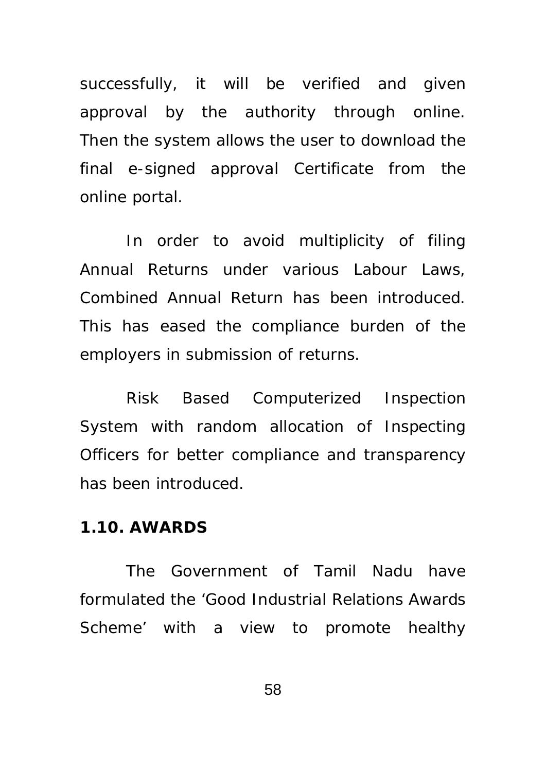successfully, it will be verified and given approval by the authority through online. Then the system allows the user to download the final e-signed approval Certificate from the online portal.

In order to avoid multiplicity of filing Annual Returns under various Labour Laws, Combined Annual Return has been introduced. This has eased the compliance burden of the employers in submission of returns.

Risk Based Computerized Inspection System with random allocation of Inspecting Officers for better compliance and transparency has been introduced.

#### **1.10. AWARDS**

 The Government of Tamil Nadu have formulated the 'Good Industrial Relations Awards Scheme' with a view to promote healthy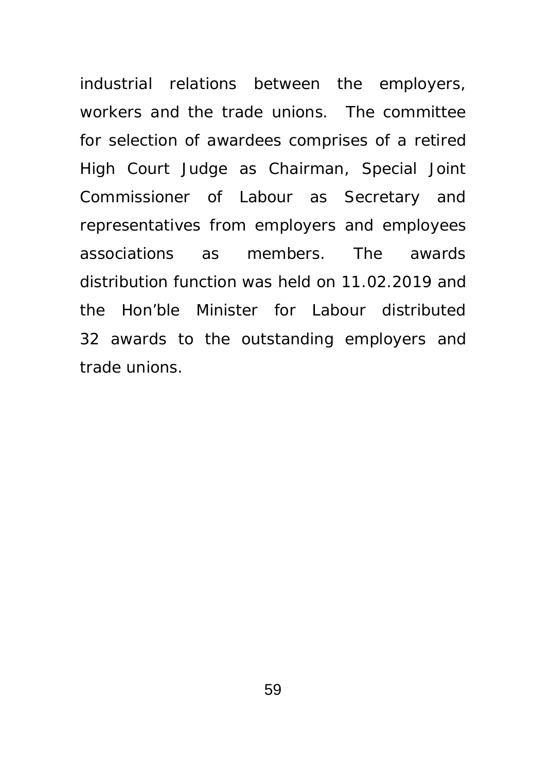industrial relations between the employers, workers and the trade unions. The committee for selection of awardees comprises of a retired High Court Judge as Chairman, Special Joint Commissioner of Labour as Secretary and representatives from employers and employees associations as members. The awards distribution function was held on 11.02.2019 and the Hon'ble Minister for Labour distributed 32 awards to the outstanding employers and trade unions.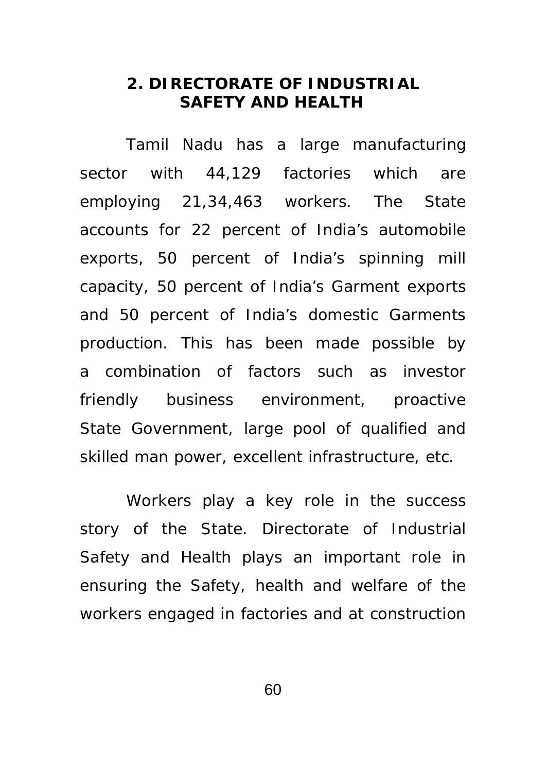## **2. DIRECTORATE OF INDUSTRIAL SAFETY AND HEALTH**

 Tamil Nadu has a large manufacturing sector with 44,129 factories which are employing 21,34,463 workers. The State accounts for 22 percent of India's automobile exports, 50 percent of India's spinning mill capacity, 50 percent of India's Garment exports and 50 percent of India's domestic Garments production. This has been made possible by a combination of factors such as investor friendly business environment, proactive State Government, large pool of qualified and skilled man power, excellent infrastructure, etc.

Workers play a key role in the success story of the State. Directorate of Industrial Safety and Health plays an important role in ensuring the Safety, health and welfare of the workers engaged in factories and at construction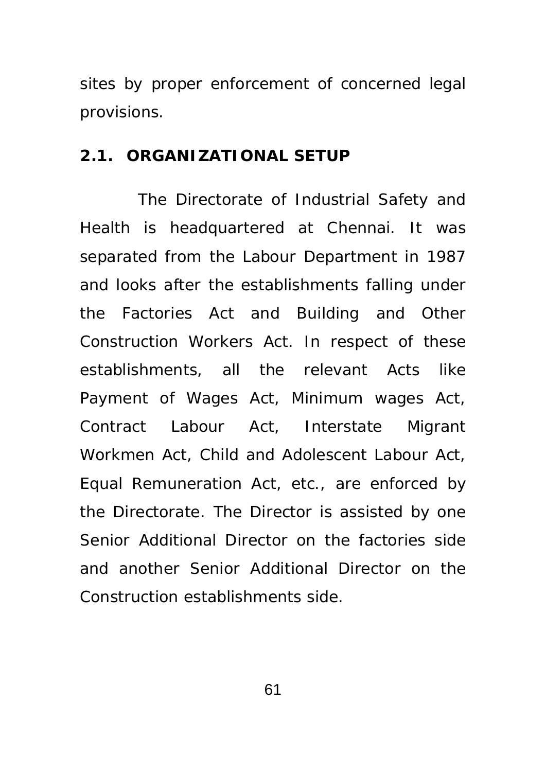sites by proper enforcement of concerned legal provisions.

#### **2.1. ORGANIZATIONAL SETUP**

 The Directorate of Industrial Safety and Health is headquartered at Chennai. It was separated from the Labour Department in 1987 and looks after the establishments falling under the Factories Act and Building and Other Construction Workers Act. In respect of these establishments, all the relevant Acts like Payment of Wages Act, Minimum wages Act, Contract Labour Act, Interstate Migrant Workmen Act, Child and Adolescent Labour Act, Equal Remuneration Act, etc., are enforced by the Directorate. The Director is assisted by one Senior Additional Director on the factories side and another Senior Additional Director on the Construction establishments side.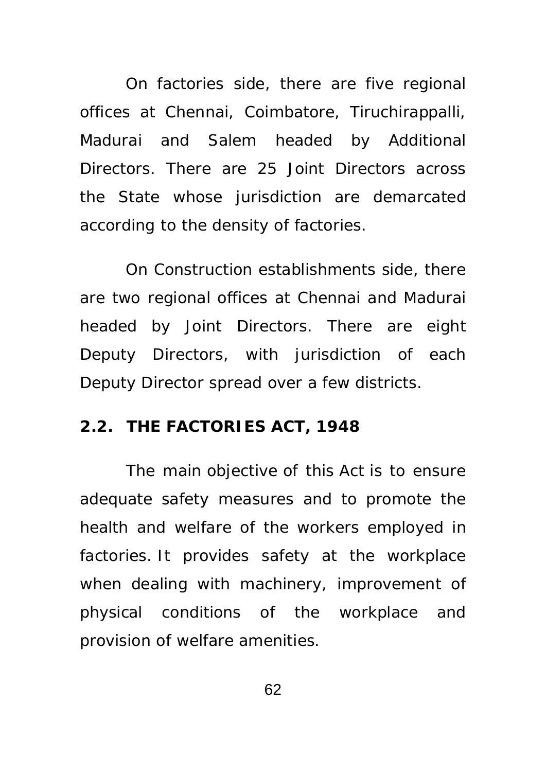On factories side, there are five regional offices at Chennai, Coimbatore, Tiruchirappalli, Madurai and Salem headed by Additional Directors. There are 25 Joint Directors across the State whose jurisdiction are demarcated according to the density of factories.

On Construction establishments side, there are two regional offices at Chennai and Madurai headed by Joint Directors. There are eight Deputy Directors, with jurisdiction of each Deputy Director spread over a few districts.

## **2.2. THE FACTORIES ACT, 1948**

The main objective of this Act is to ensure adequate safety measures and to promote the health and welfare of the workers employed in factories. It provides safety at the workplace when dealing with machinery, improvement of physical conditions of the workplace and provision of welfare amenities.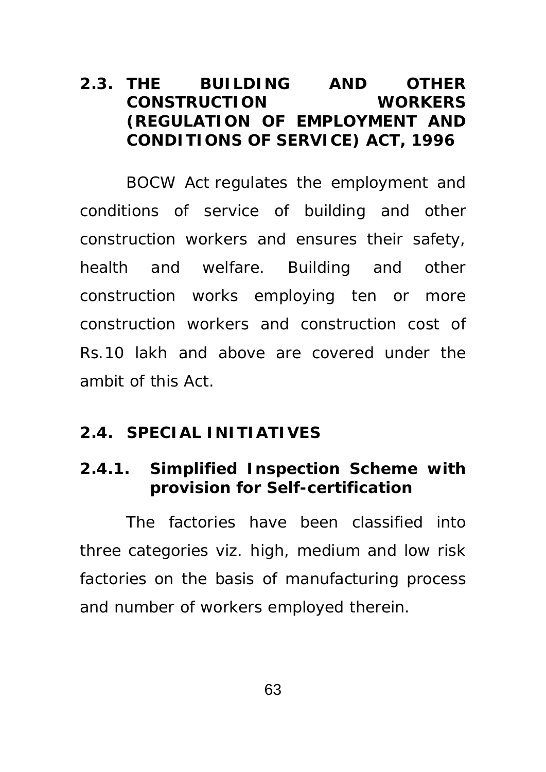## **2.3. THE BUILDING AND OTHER CONSTRUCTION WORKERS (REGULATION OF EMPLOYMENT AND CONDITIONS OF SERVICE) ACT, 1996**

BOCW Act regulates the employment and conditions of service of building and other construction workers and ensures their safety, health and welfare. Building and other construction works employing ten or more construction workers and construction cost of Rs.10 lakh and above are covered under the ambit of this Act.

## **2.4. SPECIAL INITIATIVES**

## **2.4.1. Simplified Inspection Scheme with provision for Self-certification**

 The factories have been classified into three categories viz. high, medium and low risk factories on the basis of manufacturing process and number of workers employed therein.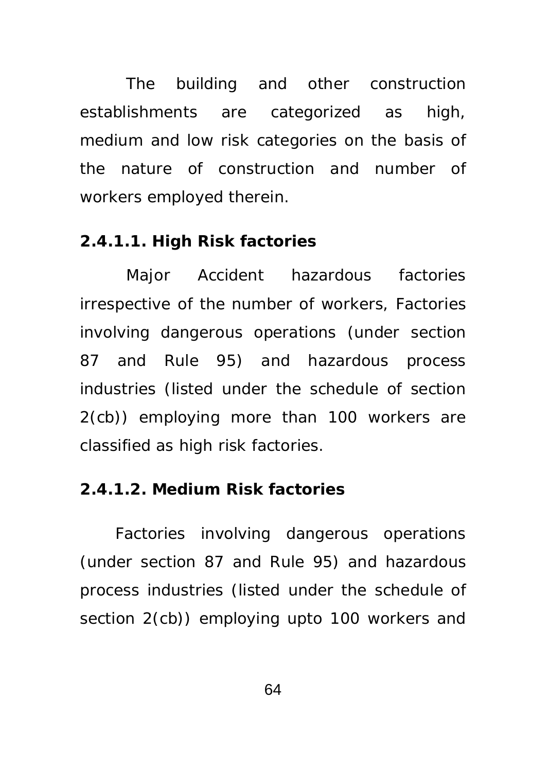The building and other construction establishments are categorized as high, medium and low risk categories on the basis of the nature of construction and number of workers employed therein.

## **2.4.1.1. High Risk factories**

Major Accident hazardous factories irrespective of the number of workers, Factories involving dangerous operations (under section 87 and Rule 95) and hazardous process industries (listed under the schedule of section 2(cb)) employing more than 100 workers are classified as high risk factories.

## **2.4.1.2. Medium Risk factories**

Factories involving dangerous operations (under section 87 and Rule 95) and hazardous process industries (listed under the schedule of section 2(cb)) employing upto 100 workers and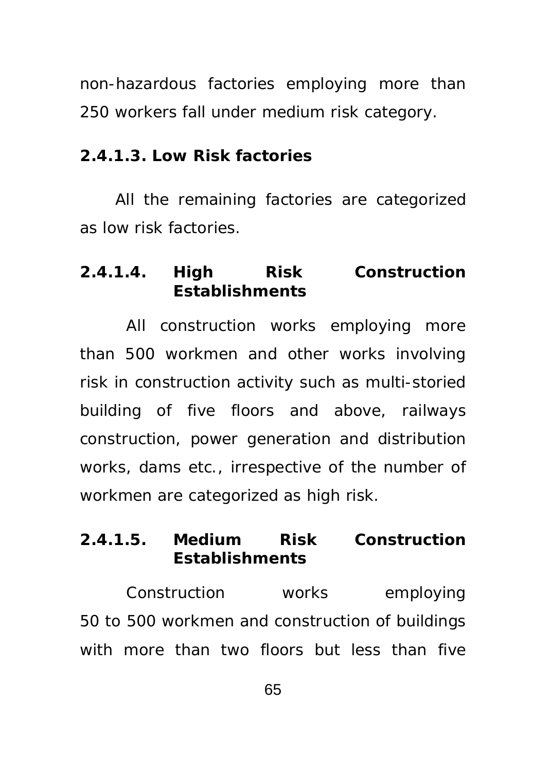non-hazardous factories employing more than 250 workers fall under medium risk category.

## **2.4.1.3. Low Risk factories**

All the remaining factories are categorized as low risk factories.

# **2.4.1.4. High Risk Construction Establishments**

 All construction works employing more than 500 workmen and other works involving risk in construction activity such as multi-storied building of five floors and above, railways construction, power generation and distribution works, dams etc., irrespective of the number of workmen are categorized as high risk.

# **2.4.1.5. Medium Risk Construction Establishments**

 Construction works employing 50 to 500 workmen and construction of buildings with more than two floors but less than five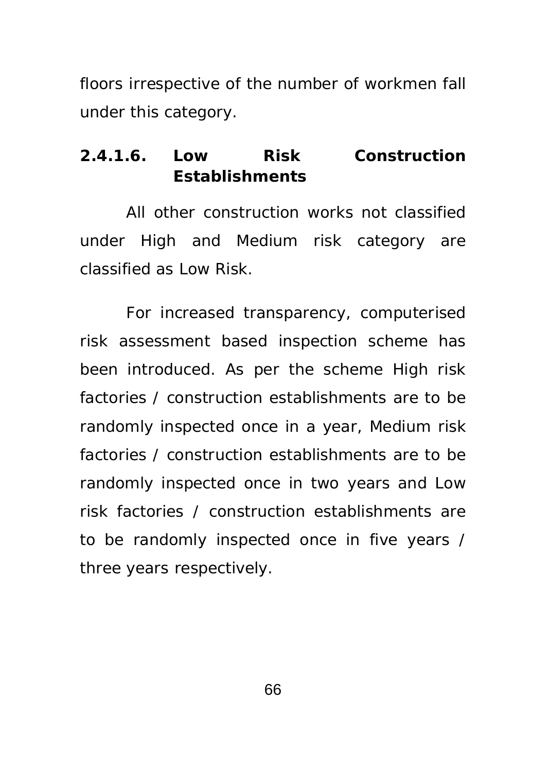floors irrespective of the number of workmen fall under this category.

# **2.4.1.6. Low Risk Construction Establishments**

All other construction works not classified under High and Medium risk category are classified as Low Risk.

For increased transparency, computerised risk assessment based inspection scheme has been introduced. As per the scheme High risk factories / construction establishments are to be randomly inspected once in a year, Medium risk factories / construction establishments are to be randomly inspected once in two years and Low risk factories / construction establishments are to be randomly inspected once in five years / three years respectively.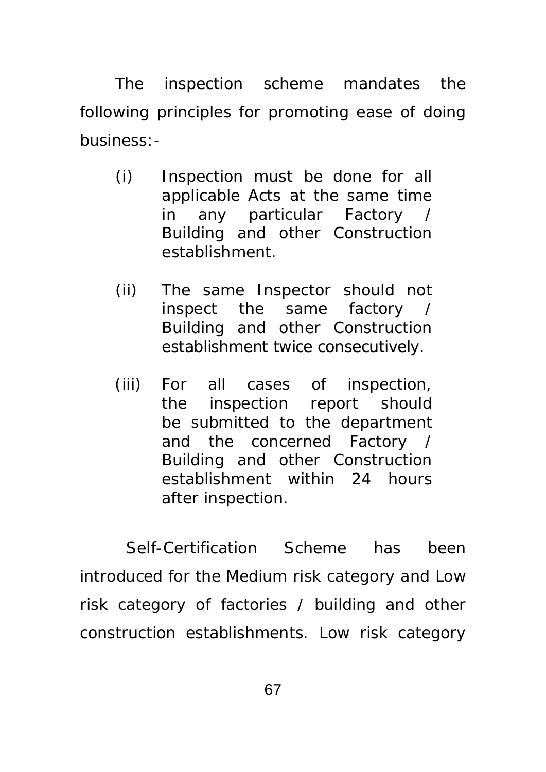The inspection scheme mandates the following principles for promoting ease of doing business:-

- (i) Inspection must be done for all applicable Acts at the same time in any particular Factory / Building and other Construction establishment.
- (ii) The same Inspector should not inspect the same factory / Building and other Construction establishment twice consecutively.
- (iii) For all cases of inspection, the inspection report should be submitted to the department and the concerned Factory / Building and other Construction establishment within 24 hours after inspection.

 Self-Certification Scheme has been introduced for the Medium risk category and Low risk category of factories / building and other construction establishments. Low risk category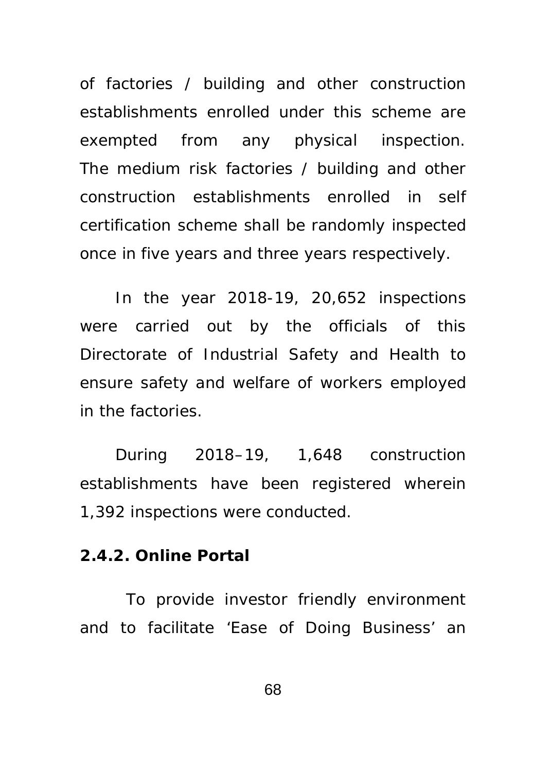of factories / building and other construction establishments enrolled under this scheme are exempted from any physical inspection. The medium risk factories / building and other construction establishments enrolled in self certification scheme shall be randomly inspected once in five years and three years respectively.

In the year 2018-19, 20,652 inspections were carried out by the officials of this Directorate of Industrial Safety and Health to ensure safety and welfare of workers employed in the factories.

During 2018–19, 1,648 construction establishments have been registered wherein 1,392 inspections were conducted.

#### **2.4.2. Online Portal**

 To provide investor friendly environment and to facilitate 'Ease of Doing Business' an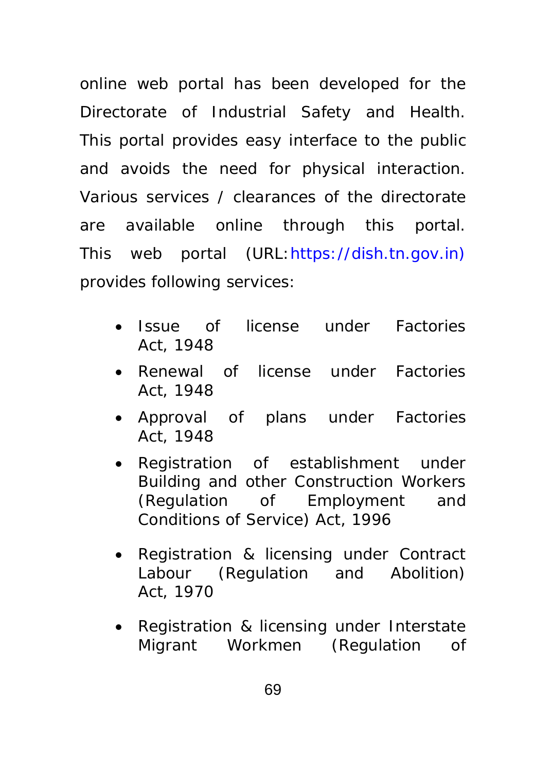online web portal has been developed for the Directorate of Industrial Safety and Health. This portal provides easy interface to the public and avoids the need for physical interaction. Various services / clearances of the directorate are available online through this portal. This web portal (URL:https://dish.tn.gov.in) provides following services:

- Issue of license under Factories Act, 1948
- Renewal of license under Factories Act, 1948
- Approval of plans under Factories Act, 1948
- Registration of establishment under Building and other Construction Workers (Regulation of Employment and Conditions of Service) Act, 1996
- Registration & licensing under Contract Labour (Regulation and Abolition) Act, 1970
- Registration & licensing under Interstate Migrant Workmen (Regulation of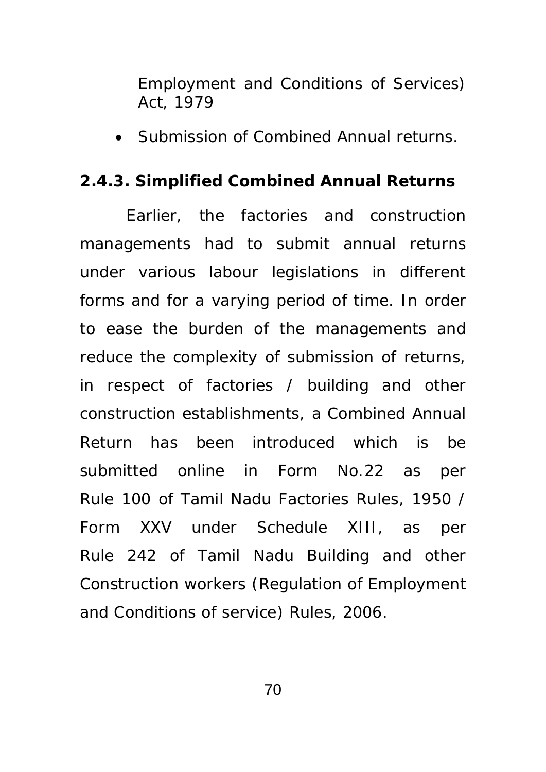Employment and Conditions of Services) Act, 1979

• Submission of Combined Annual returns.

## **2.4.3. Simplified Combined Annual Returns**

Earlier, the factories and construction managements had to submit annual returns under various labour legislations in different forms and for a varying period of time. In order to ease the burden of the managements and reduce the complexity of submission of returns, in respect of factories / building and other construction establishments, a Combined Annual Return has been introduced which is be submitted online in Form No.22 as per Rule 100 of Tamil Nadu Factories Rules, 1950 / Form XXV under Schedule XIII, as per Rule 242 of Tamil Nadu Building and other Construction workers (Regulation of Employment and Conditions of service) Rules, 2006.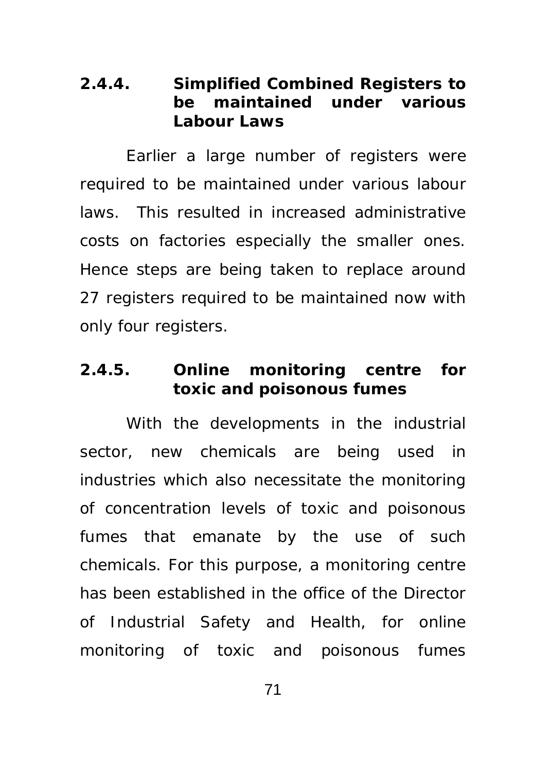## **2.4.4. Simplified Combined Registers to be maintained under various Labour Laws**

Earlier a large number of registers were required to be maintained under various labour laws. This resulted in increased administrative costs on factories especially the smaller ones. Hence steps are being taken to replace around 27 registers required to be maintained now with only four registers.

# **2.4.5. Online monitoring centre for toxic and poisonous fumes**

With the developments in the industrial sector, new chemicals are being used in industries which also necessitate the monitoring of concentration levels of toxic and poisonous fumes that emanate by the use of such chemicals. For this purpose, a monitoring centre has been established in the office of the Director of Industrial Safety and Health, for online monitoring of toxic and poisonous fumes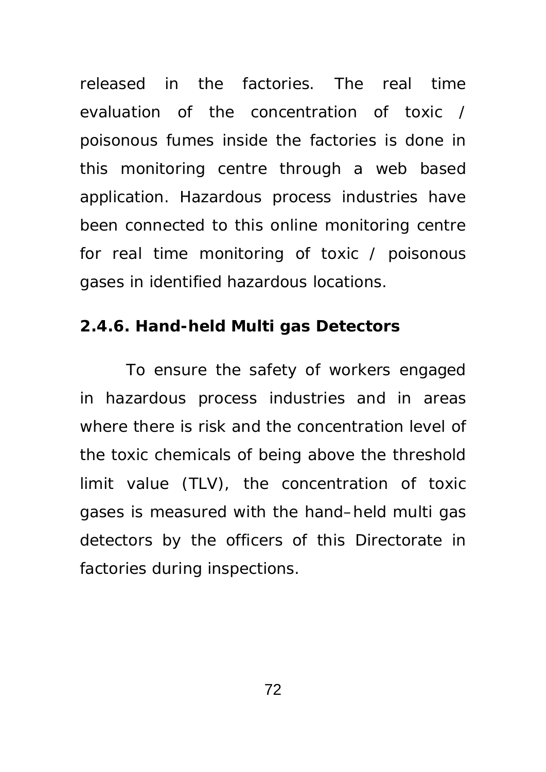released in the factories. The real time evaluation of the concentration of toxic / poisonous fumes inside the factories is done in this monitoring centre through a web based application. Hazardous process industries have been connected to this online monitoring centre for real time monitoring of toxic / poisonous gases in identified hazardous locations.

## **2.4.6. Hand-held Multi gas Detectors**

To ensure the safety of workers engaged in hazardous process industries and in areas where there is risk and the concentration level of the toxic chemicals of being above the threshold limit value (TLV), the concentration of toxic gases is measured with the hand–held multi gas detectors by the officers of this Directorate in factories during inspections.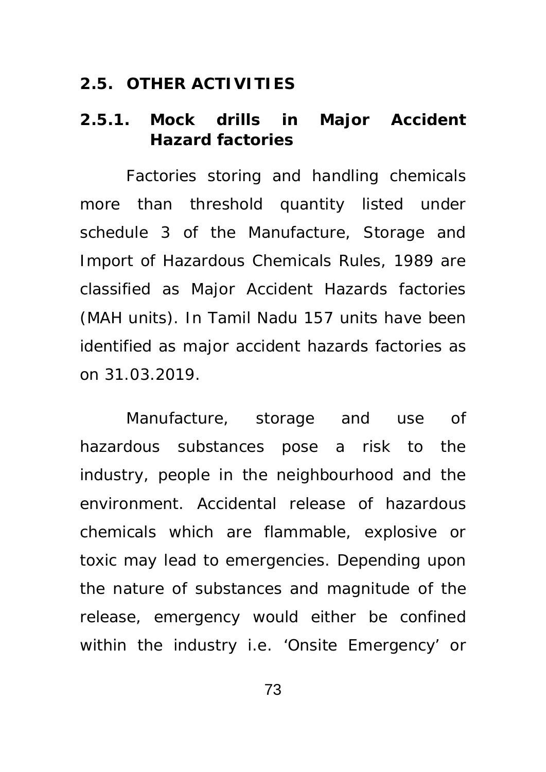#### **2.5. OTHER ACTIVITIES**

## **2.5.1. Mock drills in Major Accident Hazard factories**

Factories storing and handling chemicals more than threshold quantity listed under schedule 3 of the Manufacture, Storage and Import of Hazardous Chemicals Rules, 1989 are classified as Major Accident Hazards factories (MAH units). In Tamil Nadu 157 units have been identified as major accident hazards factories as on 31.03.2019.

 Manufacture, storage and use of hazardous substances pose a risk to the industry, people in the neighbourhood and the environment. Accidental release of hazardous chemicals which are flammable, explosive or toxic may lead to emergencies. Depending upon the nature of substances and magnitude of the release, emergency would either be confined within the industry i.e. 'Onsite Emergency' or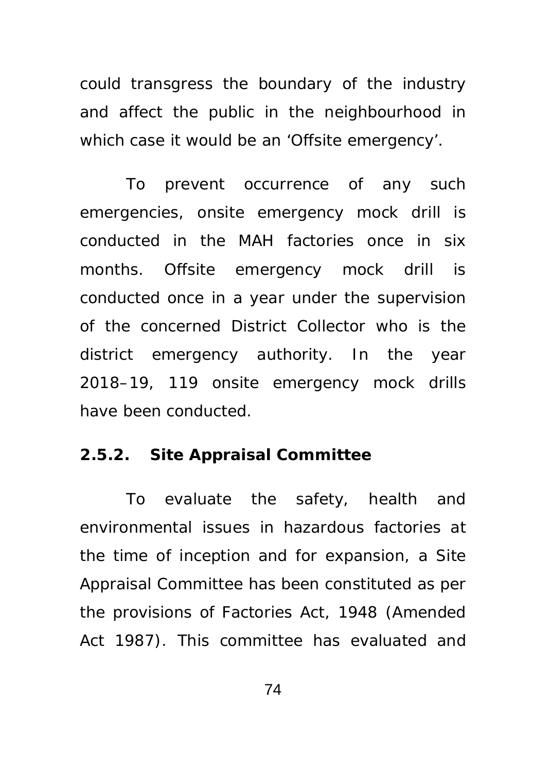could transgress the boundary of the industry and affect the public in the neighbourhood in which case it would be an 'Offsite emergency'.

To prevent occurrence of any such emergencies, onsite emergency mock drill is conducted in the MAH factories once in six months. Offsite emergency mock drill is conducted once in a year under the supervision of the concerned District Collector who is the district emergency authority. In the year 2018–19, 119 onsite emergency mock drills have been conducted.

## **2.5.2. Site Appraisal Committee**

To evaluate the safety, health and environmental issues in hazardous factories at the time of inception and for expansion, a Site Appraisal Committee has been constituted as per the provisions of Factories Act, 1948 (Amended Act 1987). This committee has evaluated and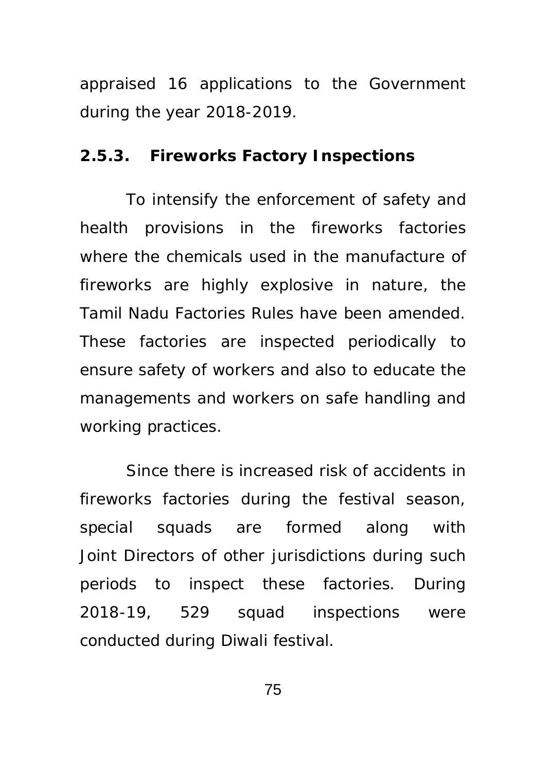appraised 16 applications to the Government during the year 2018-2019.

#### **2.5.3. Fireworks Factory Inspections**

 To intensify the enforcement of safety and health provisions in the fireworks factories where the chemicals used in the manufacture of fireworks are highly explosive in nature, the Tamil Nadu Factories Rules have been amended. These factories are inspected periodically to ensure safety of workers and also to educate the managements and workers on safe handling and working practices.

Since there is increased risk of accidents in fireworks factories during the festival season, special squads are formed along with Joint Directors of other jurisdictions during such periods to inspect these factories. During 2018-19, 529 squad inspections were conducted during Diwali festival.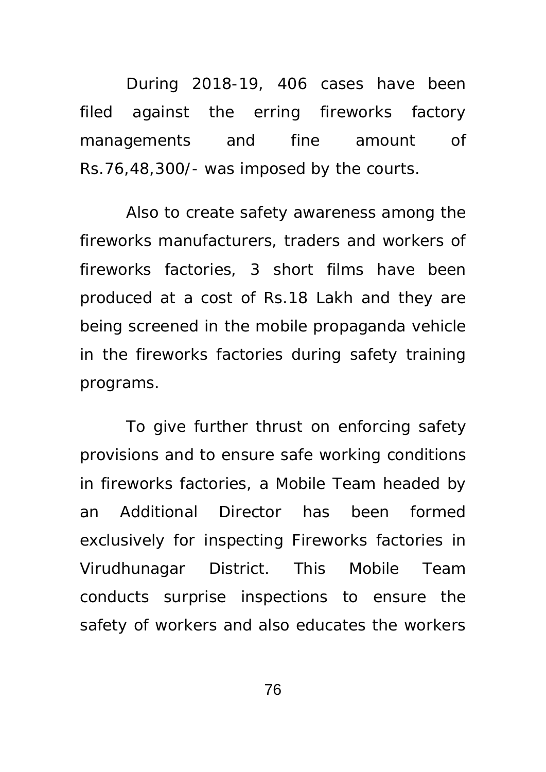During 2018-19, 406 cases have been filed against the erring fireworks factory managements and fine amount of Rs.76,48,300/- was imposed by the courts.

Also to create safety awareness among the fireworks manufacturers, traders and workers of fireworks factories, 3 short films have been produced at a cost of Rs.18 Lakh and they are being screened in the mobile propaganda vehicle in the fireworks factories during safety training programs.

 To give further thrust on enforcing safety provisions and to ensure safe working conditions in fireworks factories, a Mobile Team headed by an Additional Director has been formed exclusively for inspecting Fireworks factories in Virudhunagar District. This Mobile Team conducts surprise inspections to ensure the safety of workers and also educates the workers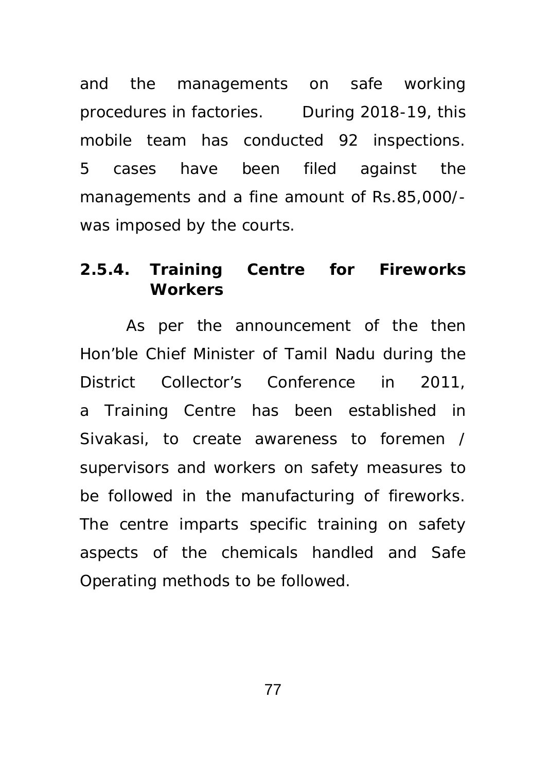and the managements on safe working procedures in factories. During 2018-19, this mobile team has conducted 92 inspections. 5 cases have been filed against the managements and a fine amount of Rs.85,000/ was imposed by the courts.

## **2.5.4. Training Centre for Fireworks Workers**

As per the announcement of the then Hon'ble Chief Minister of Tamil Nadu during the District Collector's Conference in 2011, a Training Centre has been established in Sivakasi, to create awareness to foremen / supervisors and workers on safety measures to be followed in the manufacturing of fireworks. The centre imparts specific training on safety aspects of the chemicals handled and Safe Operating methods to be followed.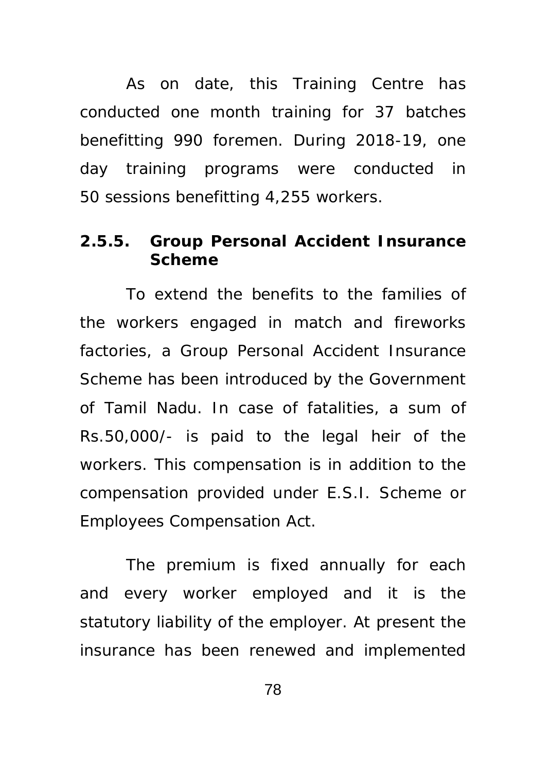As on date, this Training Centre has conducted one month training for 37 batches benefitting 990 foremen. During 2018-19, one day training programs were conducted in 50 sessions benefitting 4,255 workers.

## **2.5.5. Group Personal Accident Insurance Scheme**

To extend the benefits to the families of the workers engaged in match and fireworks factories, a Group Personal Accident Insurance Scheme has been introduced by the Government of Tamil Nadu. In case of fatalities, a sum of Rs.50,000/- is paid to the legal heir of the workers. This compensation is in addition to the compensation provided under E.S.I. Scheme or Employees Compensation Act.

The premium is fixed annually for each and every worker employed and it is the statutory liability of the employer. At present the insurance has been renewed and implemented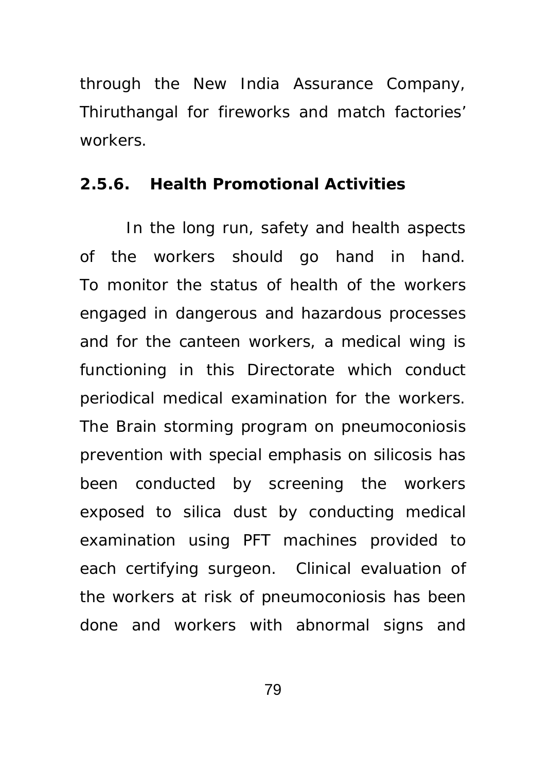through the New India Assurance Company, Thiruthangal for fireworks and match factories' workers.

#### **2.5.6. Health Promotional Activities**

In the long run, safety and health aspects of the workers should go hand in hand. To monitor the status of health of the workers engaged in dangerous and hazardous processes and for the canteen workers, a medical wing is functioning in this Directorate which conduct periodical medical examination for the workers. The Brain storming program on pneumoconiosis prevention with special emphasis on silicosis has been conducted by screening the workers exposed to silica dust by conducting medical examination using PFT machines provided to each certifying surgeon. Clinical evaluation of the workers at risk of pneumoconiosis has been done and workers with abnormal signs and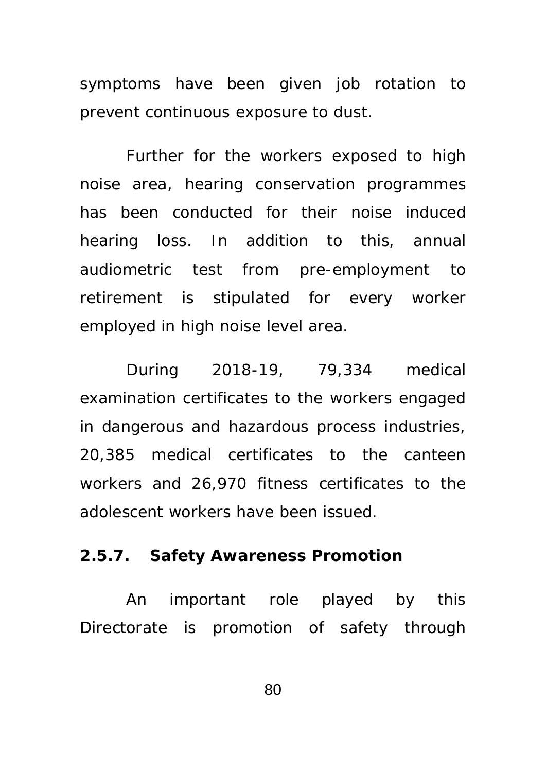symptoms have been given job rotation to prevent continuous exposure to dust.

 Further for the workers exposed to high noise area, hearing conservation programmes has been conducted for their noise induced hearing loss. In addition to this, annual audiometric test from pre-employment to retirement is stipulated for every worker employed in high noise level area.

During 2018-19, 79,334 medical examination certificates to the workers engaged in dangerous and hazardous process industries, 20,385 medical certificates to the canteen workers and 26,970 fitness certificates to the adolescent workers have been issued.

#### **2.5.7. Safety Awareness Promotion**

An important role played by this Directorate is promotion of safety through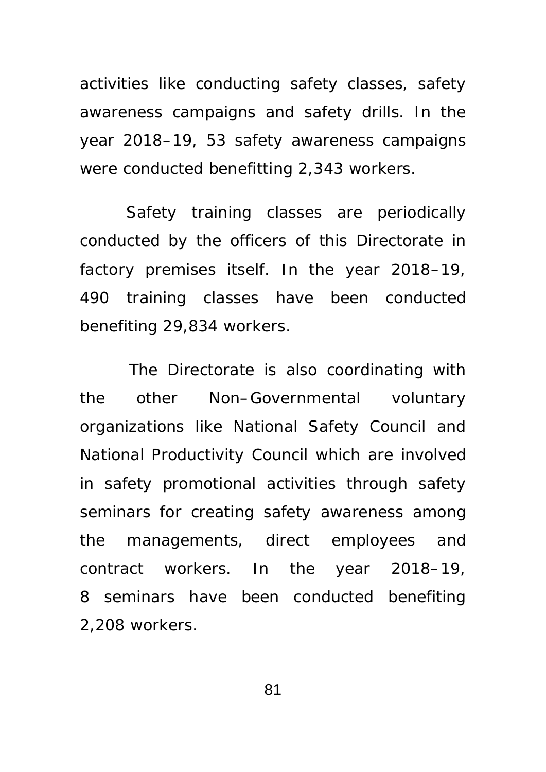activities like conducting safety classes, safety awareness campaigns and safety drills. In the year 2018–19, 53 safety awareness campaigns were conducted benefitting 2,343 workers.

Safety training classes are periodically conducted by the officers of this Directorate in factory premises itself. In the year 2018–19, 490 training classes have been conducted benefiting 29,834 workers.

 The Directorate is also coordinating with the other Non–Governmental voluntary organizations like National Safety Council and National Productivity Council which are involved in safety promotional activities through safety seminars for creating safety awareness among the managements, direct employees and contract workers. In the year 2018–19, 8 seminars have been conducted benefiting 2,208 workers.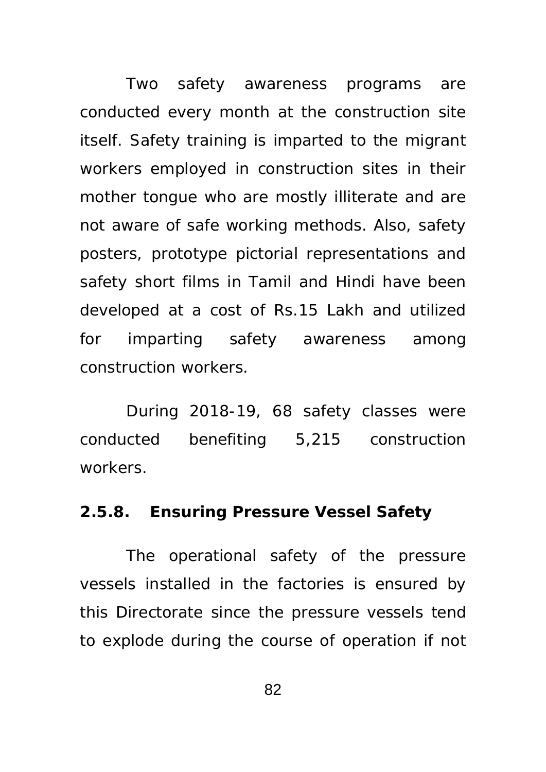Two safety awareness programs are conducted every month at the construction site itself. Safety training is imparted to the migrant workers employed in construction sites in their mother tongue who are mostly illiterate and are not aware of safe working methods. Also, safety posters, prototype pictorial representations and safety short films in Tamil and Hindi have been developed at a cost of Rs.15 Lakh and utilized for imparting safety awareness among construction workers.

During 2018-19, 68 safety classes were conducted benefiting 5,215 construction workers.

#### **2.5.8. Ensuring Pressure Vessel Safety**

The operational safety of the pressure vessels installed in the factories is ensured by this Directorate since the pressure vessels tend to explode during the course of operation if not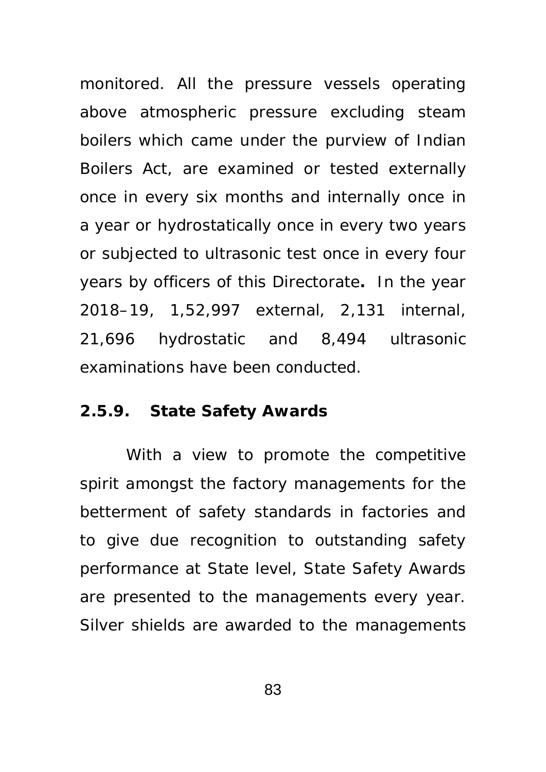monitored. All the pressure vessels operating above atmospheric pressure excluding steam boilers which came under the purview of Indian Boilers Act, are examined or tested externally once in every six months and internally once in a year or hydrostatically once in every two years or subjected to ultrasonic test once in every four years by officers of this Directorate**.** In the year 2018–19, 1,52,997 external, 2,131 internal, 21,696 hydrostatic and 8,494 ultrasonic examinations have been conducted.

#### **2.5.9. State Safety Awards**

 With a view to promote the competitive spirit amongst the factory managements for the betterment of safety standards in factories and to give due recognition to outstanding safety performance at State level, State Safety Awards are presented to the managements every year. Silver shields are awarded to the managements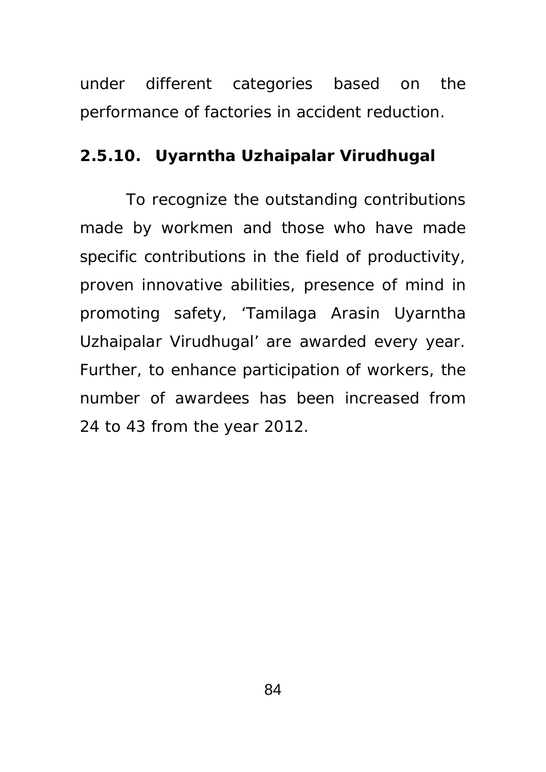under different categories based on the performance of factories in accident reduction.

## **2.5.10. Uyarntha Uzhaipalar Virudhugal**

 To recognize the outstanding contributions made by workmen and those who have made specific contributions in the field of productivity, proven innovative abilities, presence of mind in promoting safety, 'Tamilaga Arasin Uyarntha Uzhaipalar Virudhugal' are awarded every year. Further, to enhance participation of workers, the number of awardees has been increased from 24 to 43 from the year 2012.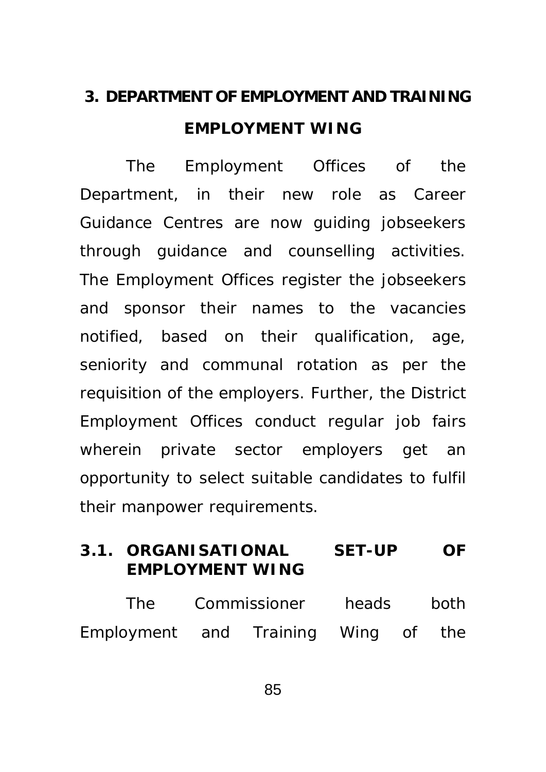# **3. DEPARTMENT OF EMPLOYMENT AND TRAINING EMPLOYMENT WING**

 The Employment Offices of the Department, in their new role as Career Guidance Centres are now guiding jobseekers through guidance and counselling activities. The Employment Offices register the jobseekers and sponsor their names to the vacancies notified, based on their qualification, age, seniority and communal rotation as per the requisition of the employers. Further, the District Employment Offices conduct regular job fairs wherein private sector employers get an opportunity to select suitable candidates to fulfil their manpower requirements.

## **3.1. ORGANISATIONAL SET-UP OF EMPLOYMENT WING**

| The                                 | Commissioner |  | heads |  | both |
|-------------------------------------|--------------|--|-------|--|------|
| Employment and Training Wing of the |              |  |       |  |      |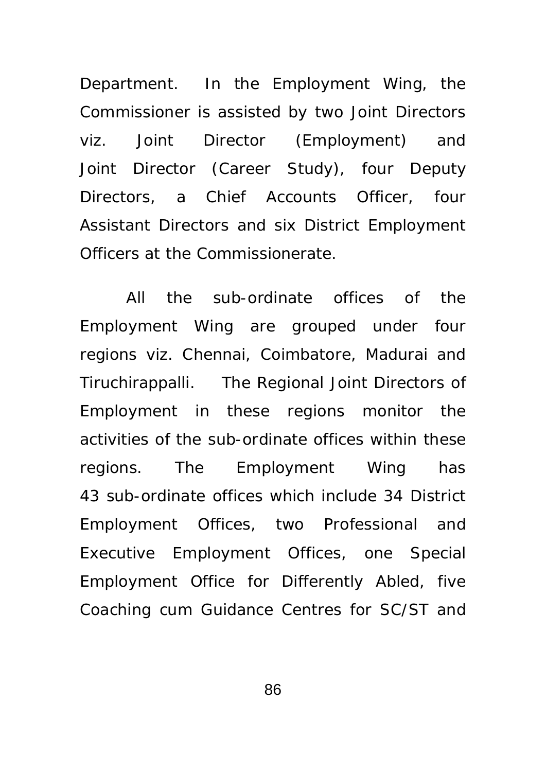Department. In the Employment Wing, the Commissioner is assisted by two Joint Directors viz. Joint Director (Employment) and Joint Director (Career Study), four Deputy Directors, a Chief Accounts Officer, four Assistant Directors and six District Employment Officers at the Commissionerate.

 All the sub-ordinate offices of the Employment Wing are grouped under four regions viz. Chennai, Coimbatore, Madurai and Tiruchirappalli. The Regional Joint Directors of Employment in these regions monitor the activities of the sub-ordinate offices within these regions. The Employment Wing has 43 sub-ordinate offices which include 34 District Employment Offices, two Professional and Executive Employment Offices, one Special Employment Office for Differently Abled, five Coaching cum Guidance Centres for SC/ST and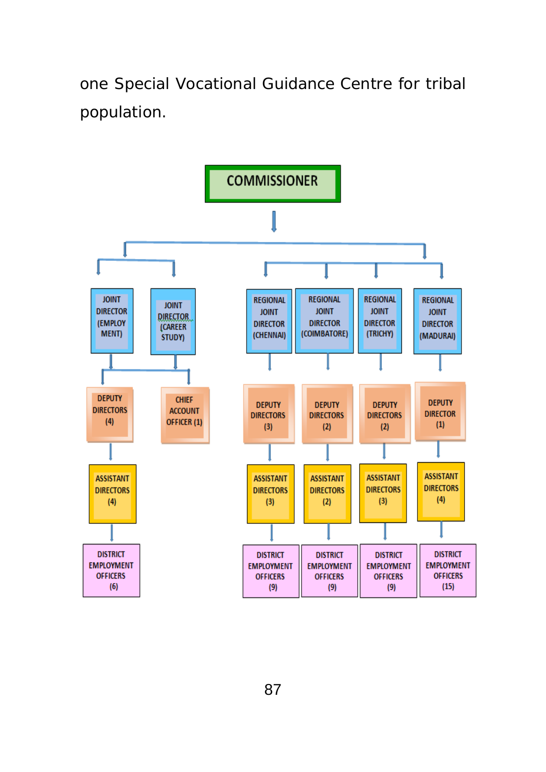one Special Vocational Guidance Centre for tribal population.

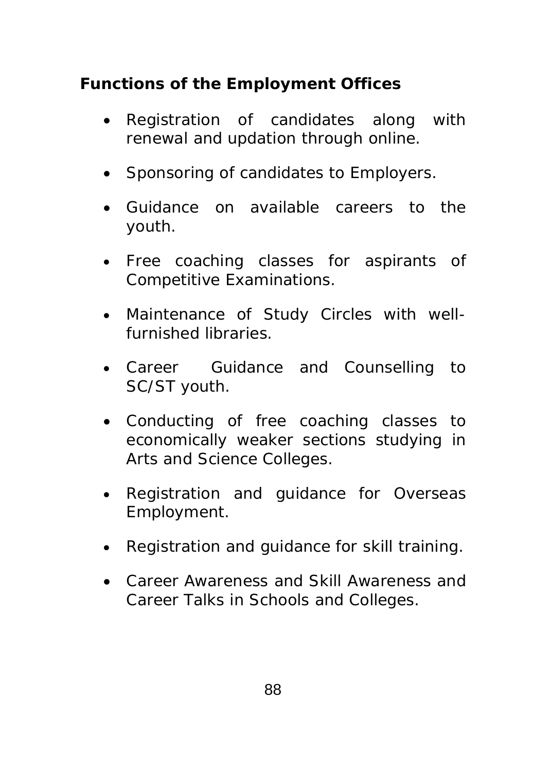# **Functions of the Employment Offices**

- Registration of candidates along with renewal and updation through online.
- Sponsoring of candidates to Employers.
- Guidance on available careers to the youth.
- Free coaching classes for aspirants of Competitive Examinations.
- Maintenance of Study Circles with wellfurnished libraries.
- Career Guidance and Counselling to SC/ST youth.
- Conducting of free coaching classes to economically weaker sections studying in Arts and Science Colleges.
- Registration and guidance for Overseas Employment.
- Registration and guidance for skill training.
- Career Awareness and Skill Awareness and Career Talks in Schools and Colleges.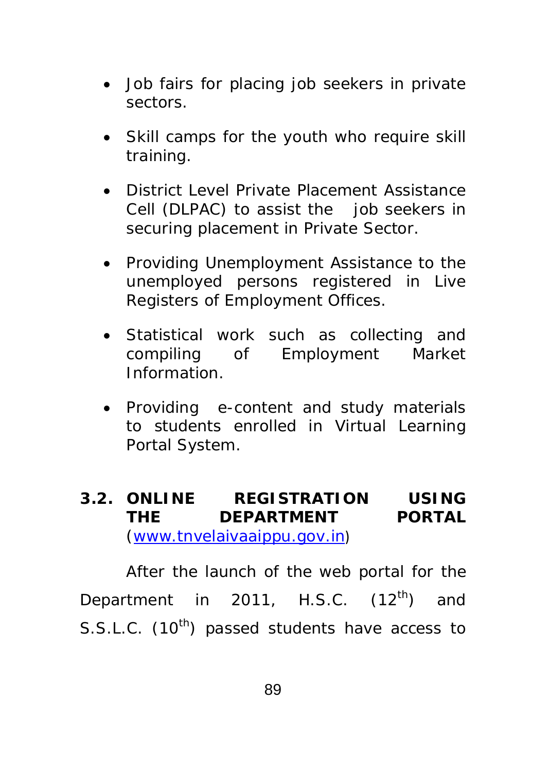- Job fairs for placing job seekers in private sectors.
- Skill camps for the youth who require skill training.
- District Level Private Placement Assistance Cell (DLPAC) to assist the job seekers in securing placement in Private Sector.
- Providing Unemployment Assistance to the unemployed persons registered in Live Registers of Employment Offices.
- Statistical work such as collecting and compiling of Employment Market Information.
- Providing e-content and study materials to students enrolled in Virtual Learning Portal System.
- **3.2. ONLINE REGISTRATION USING THE DEPARTMENT PORTAL**  (www.tnvelaivaaippu.gov.in)

After the launch of the web portal for the Department in 2011, H.S.C.  $(12^{th})$  and S.S.L.C. (10<sup>th</sup>) passed students have access to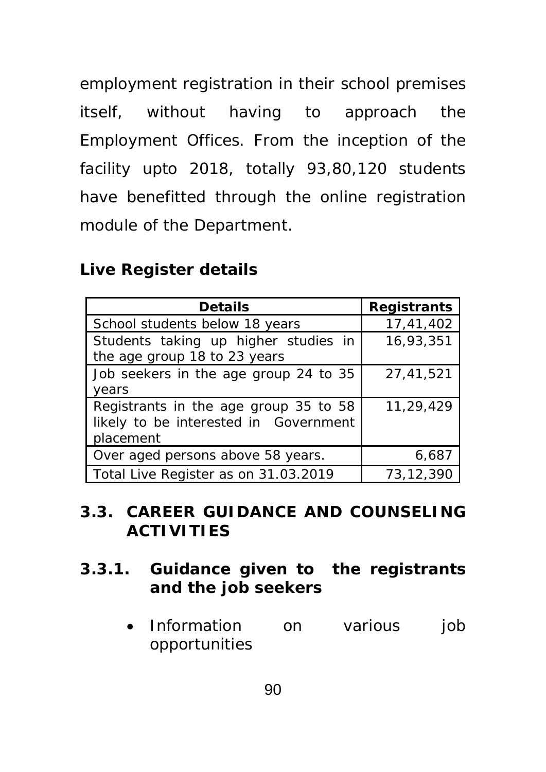employment registration in their school premises itself, without having to approach the Employment Offices. From the inception of the facility upto 2018, totally 93,80,120 students have benefitted through the online registration module of the Department.

## **Live Register details**

| <b>Details</b>                                                                              | <b>Registrants</b> |  |  |
|---------------------------------------------------------------------------------------------|--------------------|--|--|
| School students below 18 years                                                              | 17,41,402          |  |  |
| Students taking up higher studies in<br>the age group 18 to 23 years                        | 16,93,351          |  |  |
| Job seekers in the age group 24 to 35<br>years                                              | 27,41,521          |  |  |
| Registrants in the age group 35 to 58<br>likely to be interested in Government<br>placement | 11,29,429          |  |  |
| Over aged persons above 58 years.                                                           | 6,687              |  |  |
| Total Live Register as on 31.03.2019                                                        | 73,12,390          |  |  |

# **3.3. CAREER GUIDANCE AND COUNSELING ACTIVITIES**

# **3.3.1. Guidance given to the registrants and the job seekers**

• Information on various job opportunities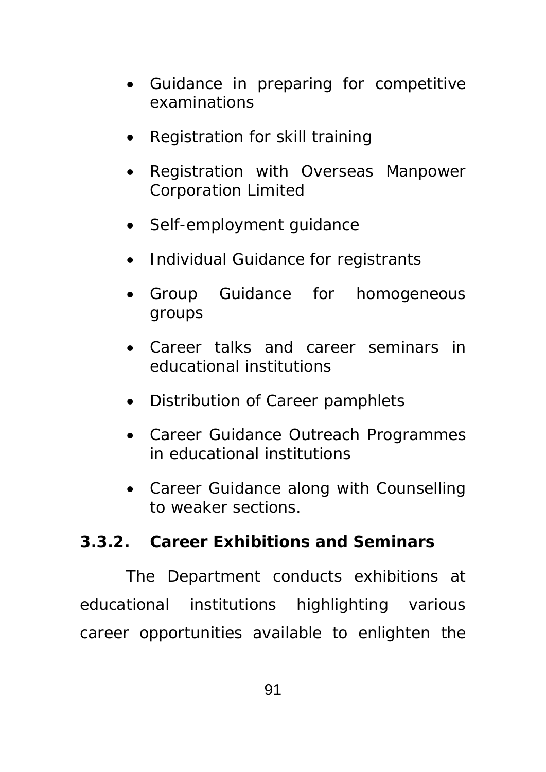- Guidance in preparing for competitive examinations
- Registration for skill training
- Registration with Overseas Manpower Corporation Limited
- Self-employment quidance
- Individual Guidance for registrants
- Group Guidance for homogeneous groups
- Career talks and career seminars in educational institutions
- Distribution of Career pamphlets
- Career Guidance Outreach Programmes in educational institutions
- Career Guidance along with Counselling to weaker sections.

# **3.3.2. Career Exhibitions and Seminars**

The Department conducts exhibitions at educational institutions highlighting various career opportunities available to enlighten the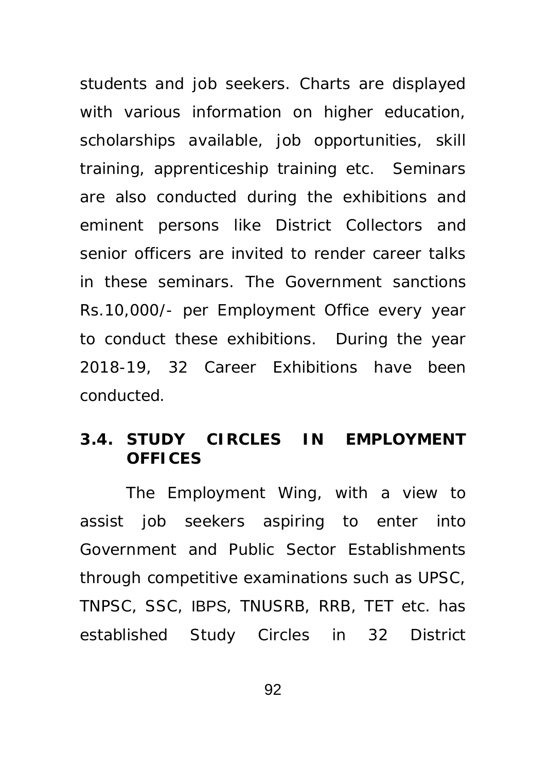students and job seekers. Charts are displayed with various information on higher education, scholarships available, job opportunities, skill training, apprenticeship training etc. Seminars are also conducted during the exhibitions and eminent persons like District Collectors and senior officers are invited to render career talks in these seminars. The Government sanctions Rs.10,000/- per Employment Office every year to conduct these exhibitions. During the year 2018-19, 32 Career Exhibitions have been conducted.

## **3.4. STUDY CIRCLES IN EMPLOYMENT OFFICES**

The Employment Wing, with a view to assist job seekers aspiring to enter into Government and Public Sector Establishments through competitive examinations such as UPSC, TNPSC, SSC, IBPS, TNUSRB, RRB, TET etc. has established Study Circles in 32 District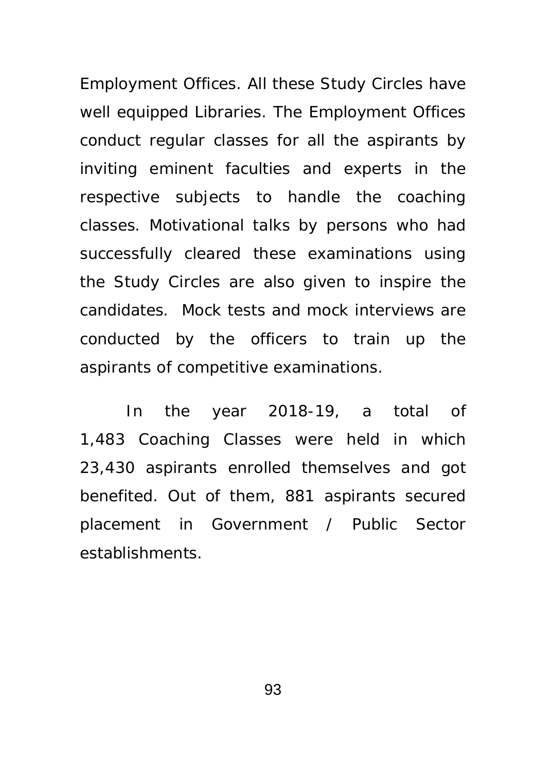Employment Offices. All these Study Circles have well equipped Libraries. The Employment Offices conduct regular classes for all the aspirants by inviting eminent faculties and experts in the respective subjects to handle the coaching classes. Motivational talks by persons who had successfully cleared these examinations using the Study Circles are also given to inspire the candidates. Mock tests and mock interviews are conducted by the officers to train up the aspirants of competitive examinations.

In the year 2018-19, a total of 1,483 Coaching Classes were held in which 23,430 aspirants enrolled themselves and got benefited. Out of them, 881 aspirants secured placement in Government / Public Sector establishments.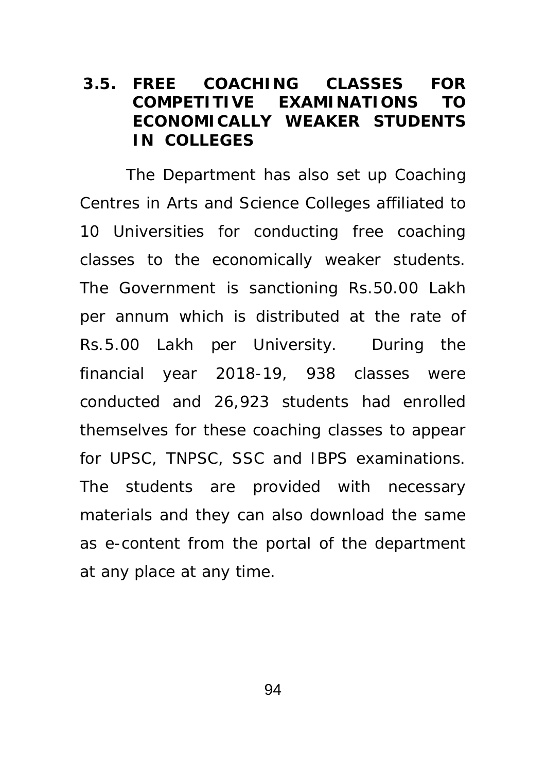### **3.5. FREE COACHING CLASSES FOR COMPETITIVE EXAMINATIONS TO ECONOMICALLY WEAKER STUDENTS IN COLLEGES**

The Department has also set up Coaching Centres in Arts and Science Colleges affiliated to 10 Universities for conducting free coaching classes to the economically weaker students. The Government is sanctioning Rs.50.00 Lakh per annum which is distributed at the rate of Rs.5.00 Lakh per University. During the financial year 2018-19, 938 classes were conducted and 26,923 students had enrolled themselves for these coaching classes to appear for UPSC, TNPSC, SSC and IBPS examinations. The students are provided with necessary materials and they can also download the same as e-content from the portal of the department at any place at any time.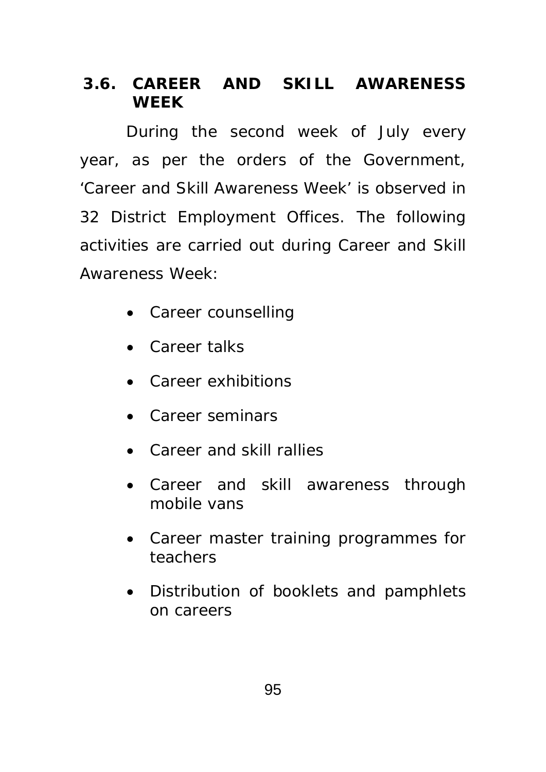## **3.6. CAREER AND SKILL AWARENESS WEEK**

During the second week of July every year, as per the orders of the Government, 'Career and Skill Awareness Week' is observed in 32 District Employment Offices. The following activities are carried out during Career and Skill Awareness Week:

- Career counselling
- Career talks
- Career exhibitions
- Career seminars
- Career and skill rallies
- Career and skill awareness through mobile vans
- Career master training programmes for teachers
- Distribution of booklets and pamphlets on careers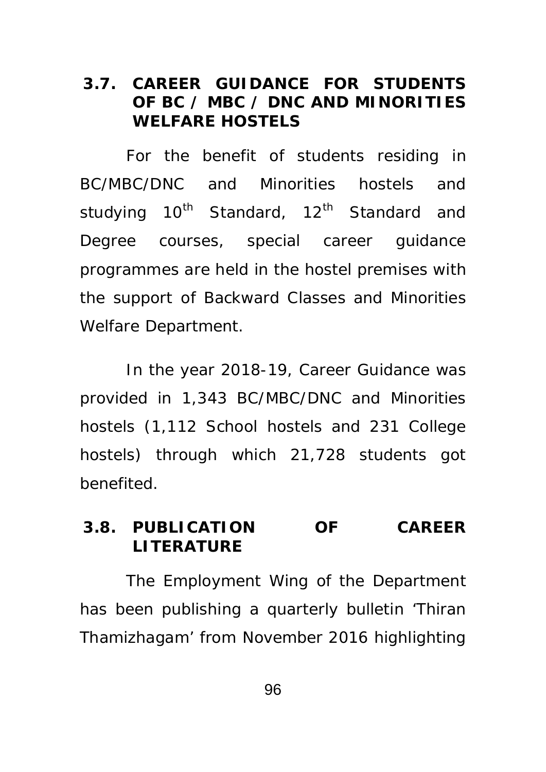### **3.7. CAREER GUIDANCE FOR STUDENTS OF BC / MBC / DNC AND MINORITIES WELFARE HOSTELS**

For the benefit of students residing in BC/MBC/DNC and Minorities hostels and studying  $10^{th}$  Standard,  $12^{th}$  Standard and Degree courses, special career guidance programmes are held in the hostel premises with the support of Backward Classes and Minorities Welfare Department.

In the year 2018-19, Career Guidance was provided in 1,343 BC/MBC/DNC and Minorities hostels (1,112 School hostels and 231 College hostels) through which 21,728 students got benefited.

## **3.8. PUBLICATION OF CAREER LITERATURE**

The Employment Wing of the Department has been publishing a quarterly bulletin 'Thiran Thamizhagam' from November 2016 highlighting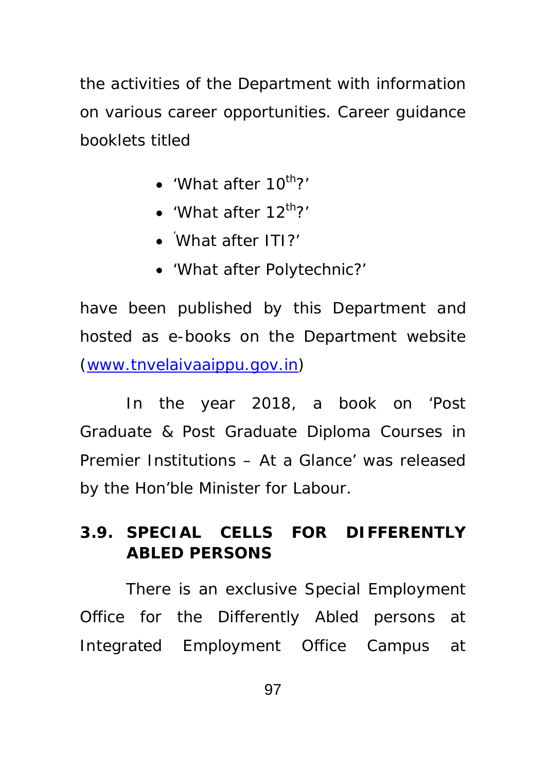the activities of the Department with information on various career opportunities. Career guidance booklets titled

- $\bullet$  'What after 10<sup>th</sup>?'
- $\bullet$  'What after 12<sup>th</sup>?'
- ' What after ITI?'
- 'What after Polytechnic?'

have been published by this Department and hosted as e-books on the Department website (www.tnvelaivaaippu.gov.in)

In the year 2018, a book on 'Post Graduate & Post Graduate Diploma Courses in Premier Institutions – At a Glance' was released by the Hon'ble Minister for Labour.

# **3.9. SPECIAL CELLS FOR DIFFERENTLY ABLED PERSONS**

 There is an exclusive Special Employment Office for the Differently Abled persons at Integrated Employment Office Campus at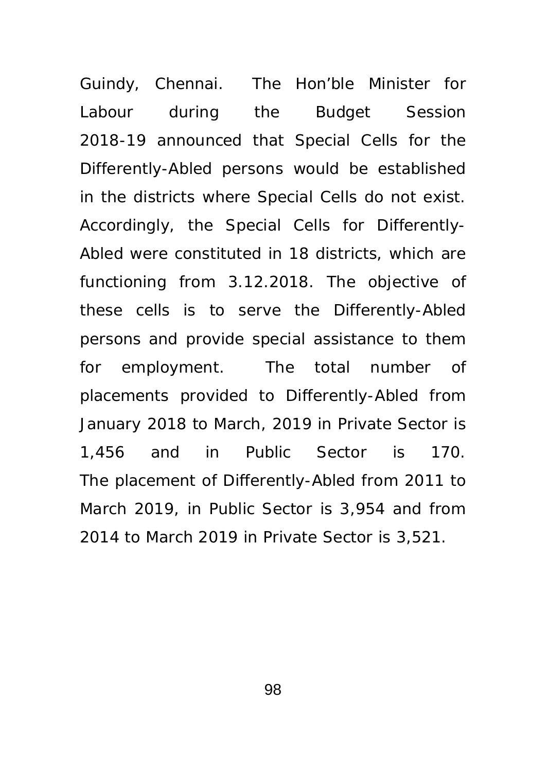Guindy, Chennai. The Hon'ble Minister for Labour during the Budget Session 2018-19 announced that Special Cells for the Differently-Abled persons would be established in the districts where Special Cells do not exist. Accordingly, the Special Cells for Differently-Abled were constituted in 18 districts, which are functioning from 3.12.2018. The objective of these cells is to serve the Differently-Abled persons and provide special assistance to them for employment. The total number of placements provided to Differently-Abled from January 2018 to March, 2019 in Private Sector is 1,456 and in Public Sector is 170. The placement of Differently-Abled from 2011 to March 2019, in Public Sector is 3,954 and from 2014 to March 2019 in Private Sector is 3,521.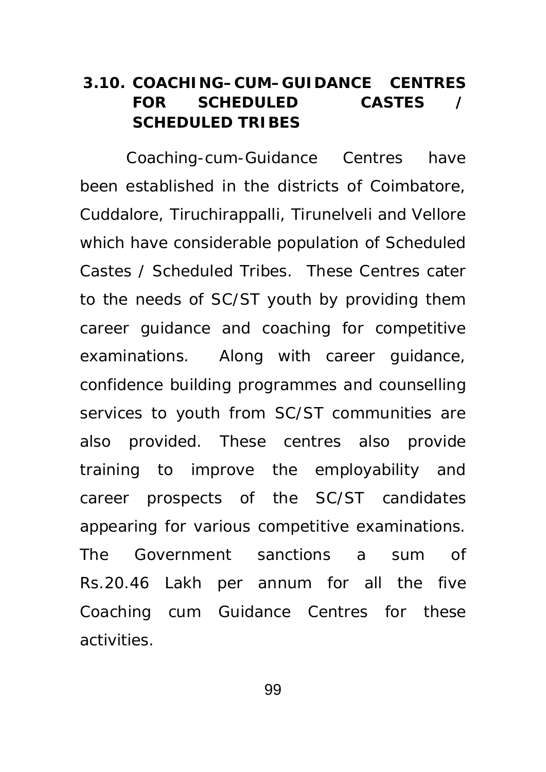## **3.10. COACHING–CUM–GUIDANCE CENTRES**  FOR SCHEDULED CASTES **SCHEDULED TRIBES**

Coaching-cum-Guidance Centres have been established in the districts of Coimbatore, Cuddalore, Tiruchirappalli, Tirunelveli and Vellore which have considerable population of Scheduled Castes / Scheduled Tribes. These Centres cater to the needs of SC/ST youth by providing them career guidance and coaching for competitive examinations. Along with career guidance, confidence building programmes and counselling services to youth from SC/ST communities are also provided. These centres also provide training to improve the employability and career prospects of the SC/ST candidates appearing for various competitive examinations. The Government sanctions a sum of Rs.20.46 Lakh per annum for all the five Coaching cum Guidance Centres for these activities.

99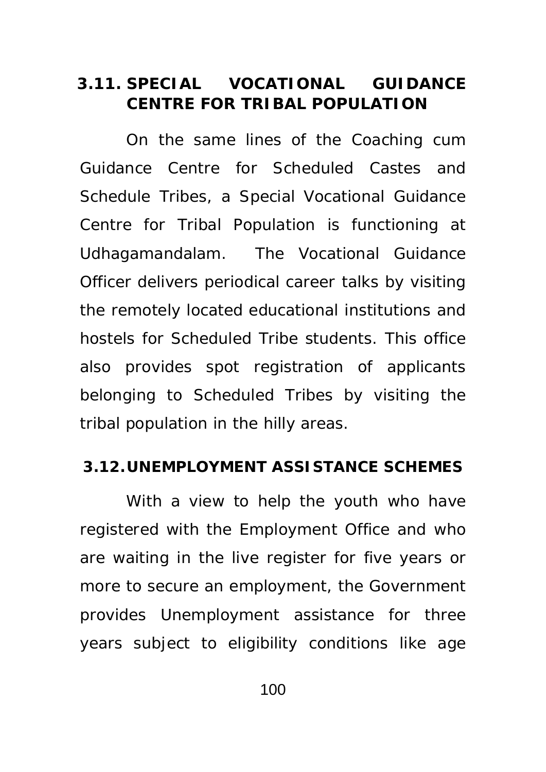## **3.11. SPECIAL VOCATIONAL GUIDANCE CENTRE FOR TRIBAL POPULATION**

On the same lines of the Coaching cum Guidance Centre for Scheduled Castes and Schedule Tribes, a Special Vocational Guidance Centre for Tribal Population is functioning at Udhagamandalam. The Vocational Guidance Officer delivers periodical career talks by visiting the remotely located educational institutions and hostels for Scheduled Tribe students. This office also provides spot registration of applicants belonging to Scheduled Tribes by visiting the tribal population in the hilly areas.

#### **3.12.UNEMPLOYMENT ASSISTANCE SCHEMES**

With a view to help the youth who have registered with the Employment Office and who are waiting in the live register for five years or more to secure an employment, the Government provides Unemployment assistance for three years subject to eligibility conditions like age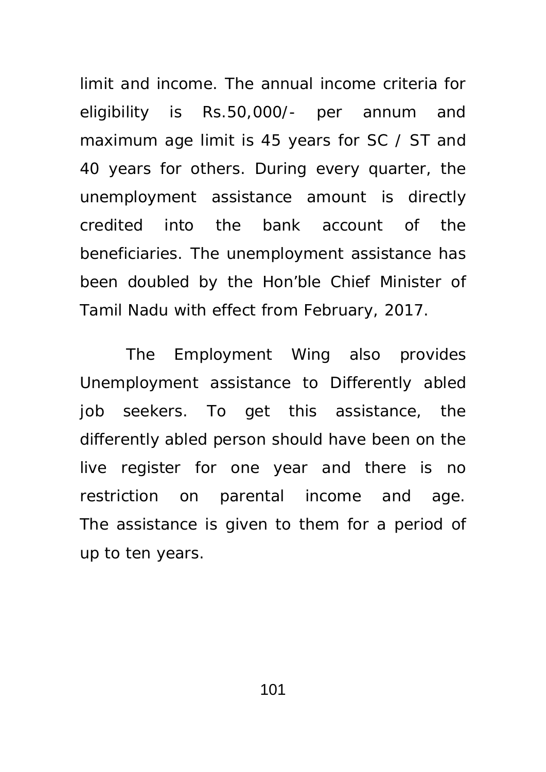limit and income. The annual income criteria for eligibility is Rs.50,000/- per annum and maximum age limit is 45 years for SC / ST and 40 years for others. During every quarter, the unemployment assistance amount is directly credited into the bank account of the beneficiaries. The unemployment assistance has been doubled by the Hon'ble Chief Minister of Tamil Nadu with effect from February, 2017.

The Employment Wing also provides Unemployment assistance to Differently abled job seekers. To get this assistance, the differently abled person should have been on the live register for one year and there is no restriction on parental income and age. The assistance is given to them for a period of up to ten years.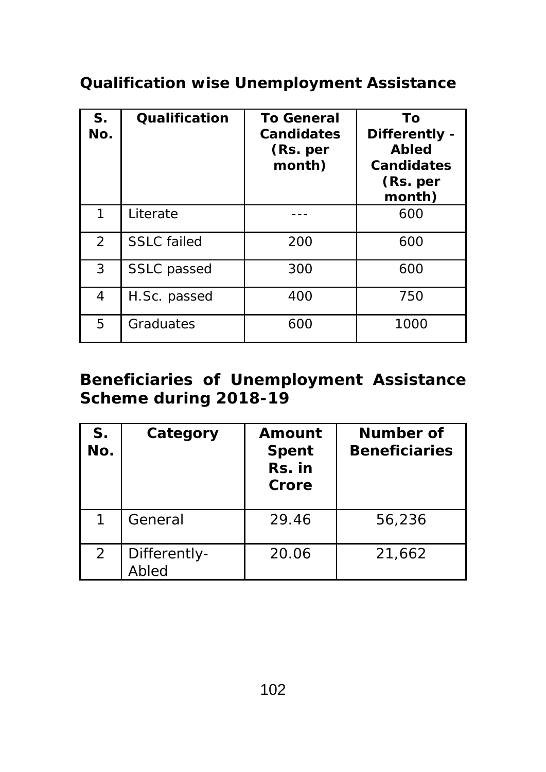# **Qualification wise Unemployment Assistance**

| S.<br>No. | Qualification      | <b>To General</b><br><b>Candidates</b><br>(Rs. per<br>month) | To<br>Differently -<br><b>Abled</b><br><b>Candidates</b><br>(Rs. per<br>month) |
|-----------|--------------------|--------------------------------------------------------------|--------------------------------------------------------------------------------|
| 1         | Literate           |                                                              | 600                                                                            |
| 2         | <b>SSLC</b> failed | 200                                                          | 600                                                                            |
| 3         | <b>SSLC</b> passed | 300                                                          | 600                                                                            |
| 4         | H.Sc. passed       | 400                                                          | 750                                                                            |
| 5         | Graduates          | 600                                                          | 1000                                                                           |

## **Beneficiaries of Unemployment Assistance Scheme during 2018-19**

| S.<br>No. | Category              | Amount<br><b>Spent</b><br>Rs. in<br>Crore | Number of<br><b>Beneficiaries</b> |
|-----------|-----------------------|-------------------------------------------|-----------------------------------|
|           | General               | 29.46                                     | 56,236                            |
| 2         | Differently-<br>Abled | 20.06                                     | 21,662                            |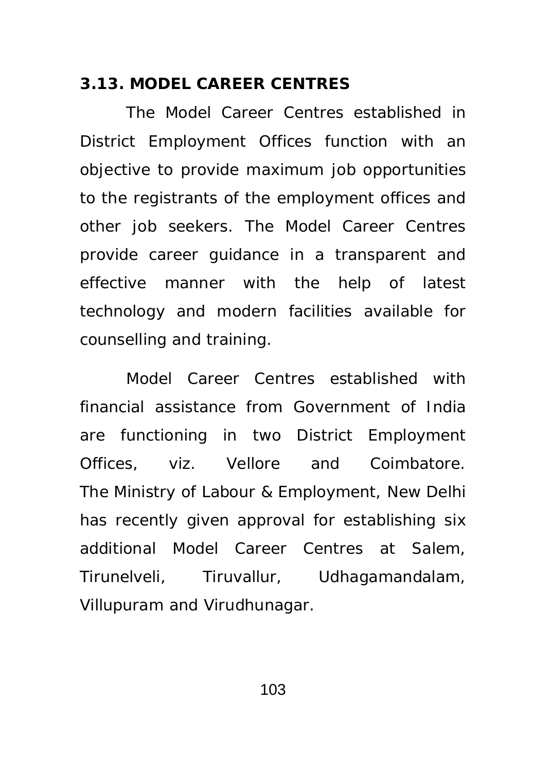### **3.13. MODEL CAREER CENTRES**

The Model Career Centres established in District Employment Offices function with an objective to provide maximum job opportunities to the registrants of the employment offices and other job seekers. The Model Career Centres provide career guidance in a transparent and effective manner with the help of latest technology and modern facilities available for counselling and training.

Model Career Centres established with financial assistance from Government of India are functioning in two District Employment Offices, viz. Vellore and Coimbatore. The Ministry of Labour & Employment, New Delhi has recently given approval for establishing six additional Model Career Centres at Salem, Tirunelveli, Tiruvallur, Udhagamandalam, Villupuram and Virudhunagar.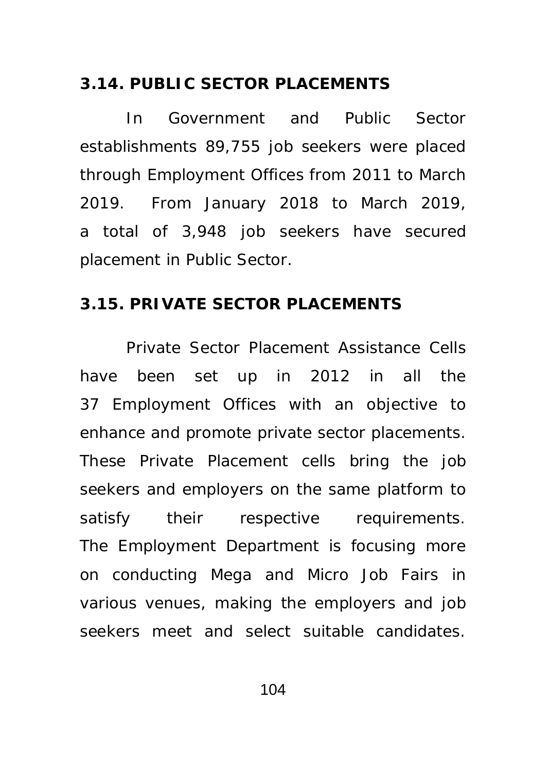#### **3.14. PUBLIC SECTOR PLACEMENTS**

In Government and Public Sector establishments 89,755 job seekers were placed through Employment Offices from 2011 to March 2019. From January 2018 to March 2019, a total of 3,948 job seekers have secured placement in Public Sector.

#### **3.15. PRIVATE SECTOR PLACEMENTS**

 Private Sector Placement Assistance Cells have been set up in 2012 in all the 37 Employment Offices with an objective to enhance and promote private sector placements. These Private Placement cells bring the job seekers and employers on the same platform to satisfy their respective requirements. The Employment Department is focusing more on conducting Mega and Micro Job Fairs in various venues, making the employers and job seekers meet and select suitable candidates.

104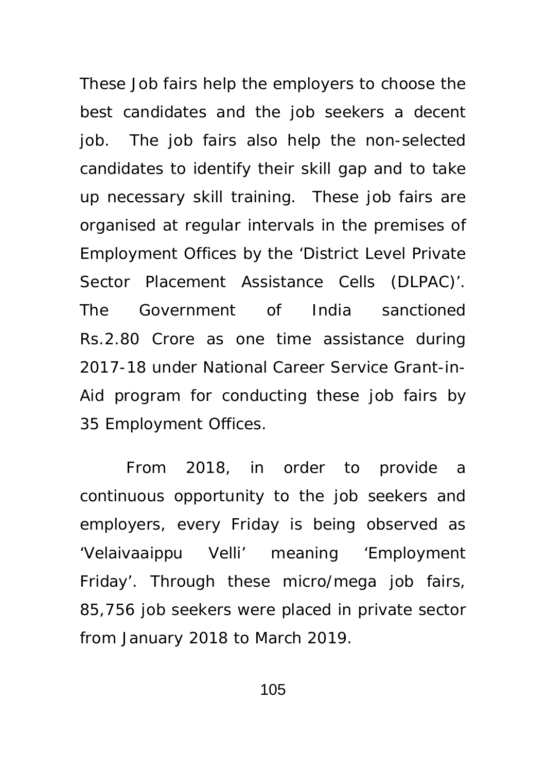These Job fairs help the employers to choose the best candidates and the job seekers a decent job. The job fairs also help the non-selected candidates to identify their skill gap and to take up necessary skill training. These job fairs are organised at regular intervals in the premises of Employment Offices by the 'District Level Private Sector Placement Assistance Cells (DLPAC)'. The Government of India sanctioned Rs.2.80 Crore as one time assistance during 2017-18 under National Career Service Grant-in-Aid program for conducting these job fairs by 35 Employment Offices.

From 2018, in order to provide a continuous opportunity to the job seekers and employers, every Friday is being observed as 'Velaivaaippu Velli' meaning 'Employment Friday'. Through these micro/mega job fairs, 85,756 job seekers were placed in private sector from January 2018 to March 2019.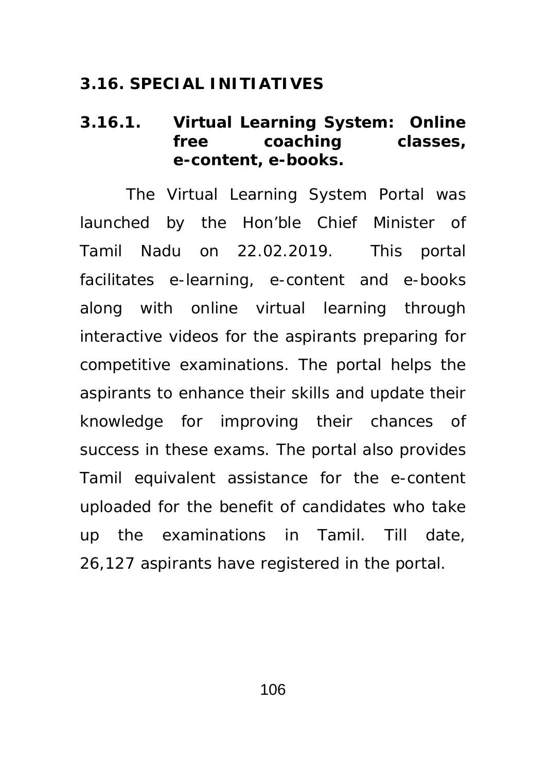### **3.16. SPECIAL INITIATIVES**

### **3.16.1. Virtual Learning System: Online free coaching classes, e-content, e-books.**

 The Virtual Learning System Portal was launched by the Hon'ble Chief Minister of Tamil Nadu on 22.02.2019. This portal facilitates e-learning, e-content and e-books along with online virtual learning through interactive videos for the aspirants preparing for competitive examinations. The portal helps the aspirants to enhance their skills and update their knowledge for improving their chances of success in these exams. The portal also provides Tamil equivalent assistance for the e-content uploaded for the benefit of candidates who take up the examinations in Tamil. Till date, 26,127 aspirants have registered in the portal.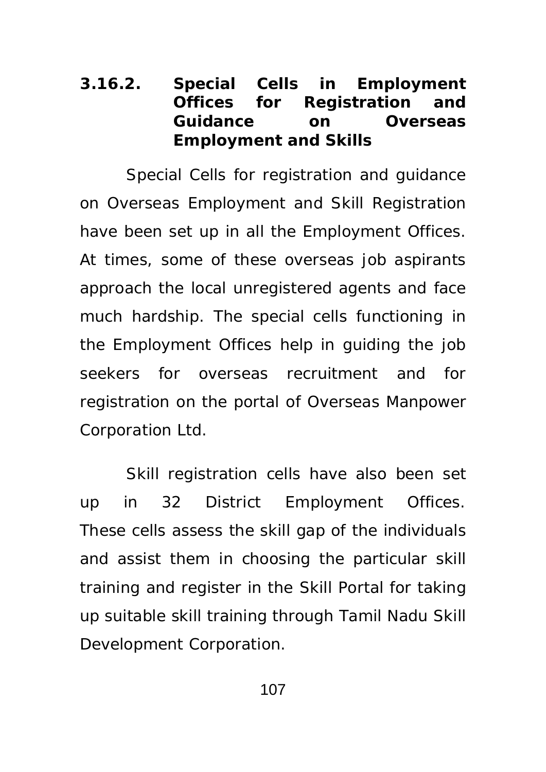## **3.16.2. Special Cells in Employment Offices for Registration and Guidance on Overseas Employment and Skills**

 Special Cells for registration and guidance on Overseas Employment and Skill Registration have been set up in all the Employment Offices. At times, some of these overseas job aspirants approach the local unregistered agents and face much hardship. The special cells functioning in the Employment Offices help in guiding the job seekers for overseas recruitment and for registration on the portal of Overseas Manpower Corporation Ltd.

 Skill registration cells have also been set up in 32 District Employment Offices. These cells assess the skill gap of the individuals and assist them in choosing the particular skill training and register in the Skill Portal for taking up suitable skill training through Tamil Nadu Skill Development Corporation.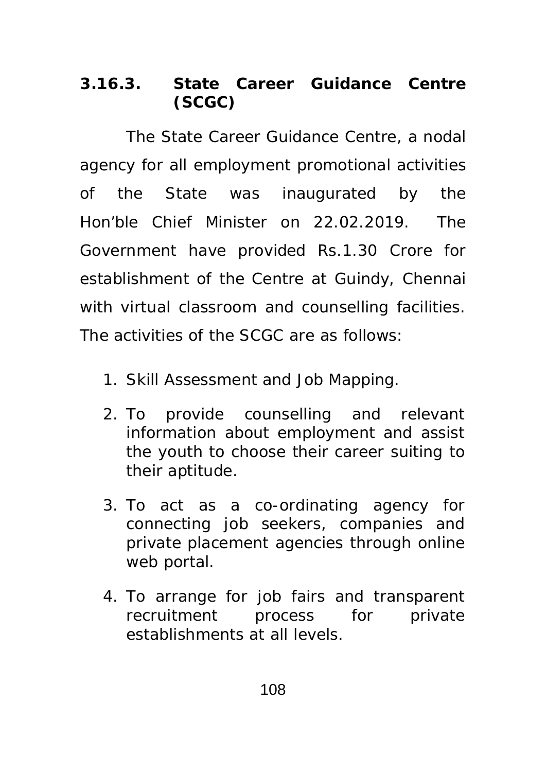# **3.16.3. State Career Guidance Centre (SCGC)**

The State Career Guidance Centre, a nodal agency for all employment promotional activities of the State was inaugurated by the Hon'ble Chief Minister on 22.02.2019. The Government have provided Rs.1.30 Crore for establishment of the Centre at Guindy, Chennai with virtual classroom and counselling facilities. The activities of the SCGC are as follows:

- 1. Skill Assessment and Job Mapping.
- 2. To provide counselling and relevant information about employment and assist the youth to choose their career suiting to their aptitude.
- 3. To act as a co-ordinating agency for connecting job seekers, companies and private placement agencies through online web portal.
- 4. To arrange for job fairs and transparent recruitment process for private establishments at all levels.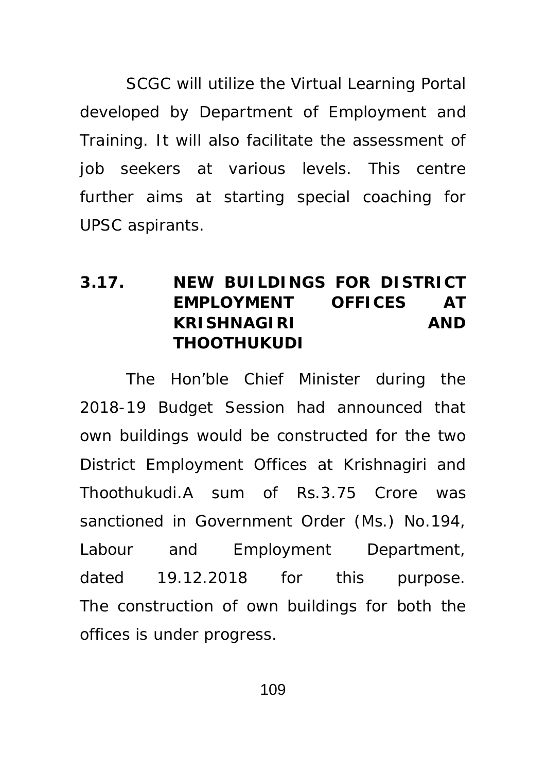SCGC will utilize the Virtual Learning Portal developed by Department of Employment and Training. It will also facilitate the assessment of job seekers at various levels. This centre further aims at starting special coaching for UPSC aspirants.

## **3.17. NEW BUILDINGS FOR DISTRICT EMPLOYMENT OFFICES AT KRISHNAGIRI AND THOOTHUKUDI**

 The Hon'ble Chief Minister during the 2018-19 Budget Session had announced that own buildings would be constructed for the two District Employment Offices at Krishnagiri and Thoothukudi.A sum of Rs.3.75 Crore was sanctioned in Government Order (Ms.) No.194, Labour and Employment Department, dated 19.12.2018 for this purpose. The construction of own buildings for both the offices is under progress.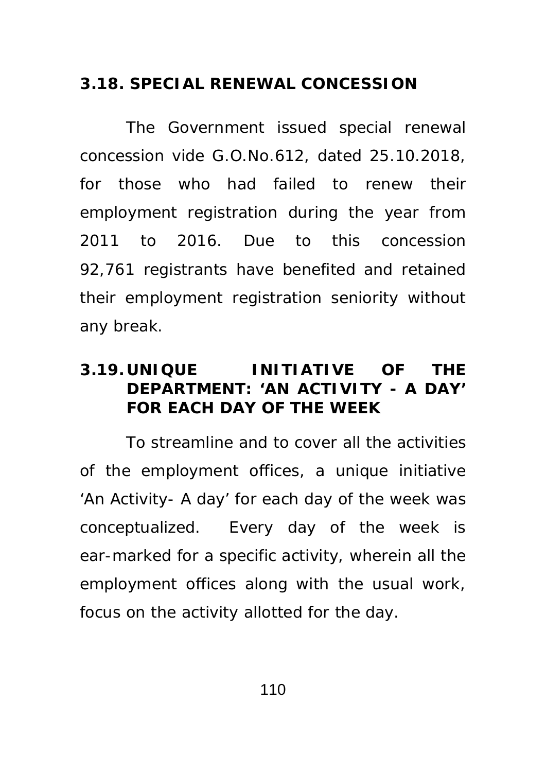## **3.18. SPECIAL RENEWAL CONCESSION**

The Government issued special renewal concession vide G.O.No.612, dated 25.10.2018, for those who had failed to renew their employment registration during the year from 2011 to 2016. Due to this concession 92,761 registrants have benefited and retained their employment registration seniority without any break.

## **3.19. UNIQUE INITIATIVE OF THE DEPARTMENT: 'AN ACTIVITY - A DAY' FOR EACH DAY OF THE WEEK**

To streamline and to cover all the activities of the employment offices, a unique initiative 'An Activity- A day' for each day of the week was conceptualized. Every day of the week is ear-marked for a specific activity, wherein all the employment offices along with the usual work, focus on the activity allotted for the day.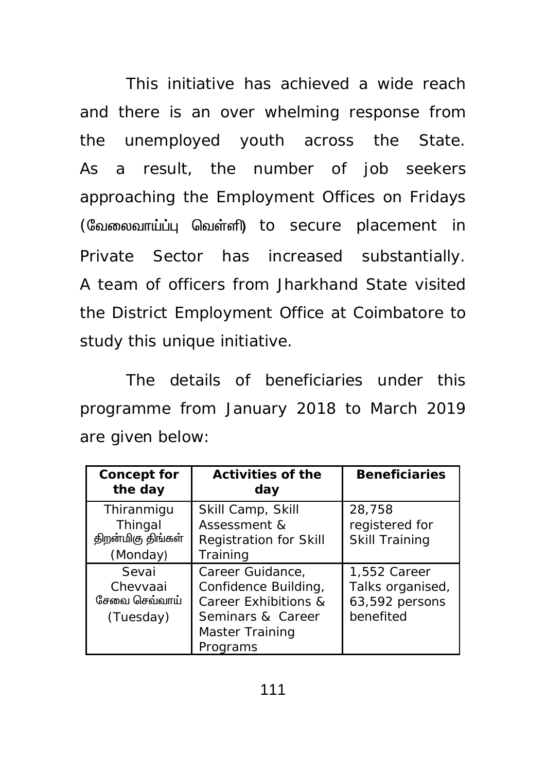This initiative has achieved a wide reach and there is an over whelming response from the unemployed youth across the State. As a result, the number of job seekers approaching the Employment Offices on Fridays (வேலைவாய்ப்பு வெள்ளி) to secure placement in Private Sector has increased substantially. A team of officers from Jharkhand State visited the District Employment Office at Coimbatore to study this unique initiative.

The details of beneficiaries under this programme from January 2018 to March 2019 are given below:

| <b>Concept for</b><br>the day                          | <b>Activities of the</b><br>day                                                                                      | <b>Beneficiaries</b>                                            |
|--------------------------------------------------------|----------------------------------------------------------------------------------------------------------------------|-----------------------------------------------------------------|
| Thiranmigu<br>Thingal<br>திறன்மிகு திங்கள்<br>(Monday) | Skill Camp, Skill<br>Assessment &<br><b>Registration for Skill</b><br>Training                                       | 28,758<br>registered for<br><b>Skill Training</b>               |
| Sevai<br>Chevvaai<br>சேவை செவ்வாய்<br>(Tuesday)        | Career Guidance,<br>Confidence Building,<br>Career Exhibitions &<br>Seminars & Career<br>Master Training<br>Programs | 1,552 Career<br>Talks organised,<br>63,592 persons<br>benefited |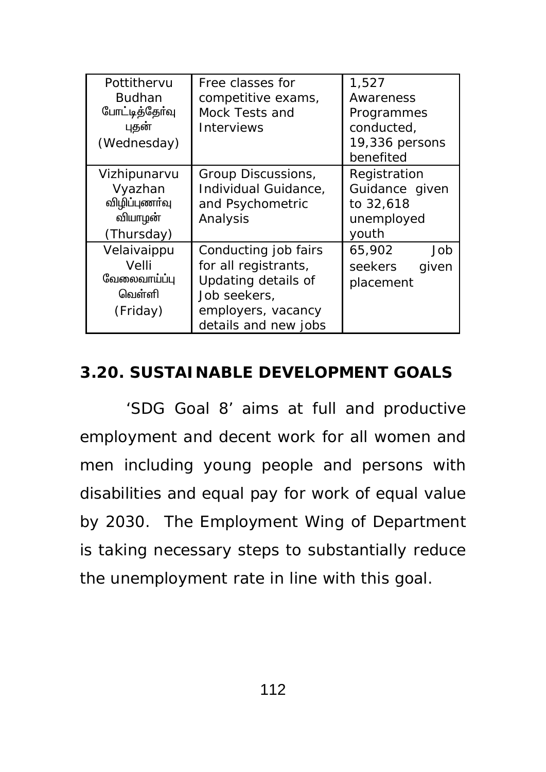| Pottithervu<br><b>Budhan</b><br>போட்டித்தோ்வு<br>புதன்<br>(Wednesday) | Free classes for<br>competitive exams,<br>Mock Tests and<br><b>Interviews</b>                                                     | 1,527<br>Awareness<br>Programmes<br>conducted,<br>19,336 persons<br>benefited |
|-----------------------------------------------------------------------|-----------------------------------------------------------------------------------------------------------------------------------|-------------------------------------------------------------------------------|
| Vizhipunarvu<br>Vyazhan<br>விழிப்புணா்வு<br>வியாழன்<br>(Thursday)     | Group Discussions,<br>Individual Guidance,<br>and Psychometric<br>Analysis                                                        | Registration<br>Guidance given<br>to 32,618<br>unemployed<br>youth            |
| Velaivaippu<br>Velli<br>வேலைவாய்ப்பு<br>வெள்ளி<br>(Friday)            | Conducting job fairs<br>for all registrants,<br>Updating details of<br>Job seekers,<br>employers, vacancy<br>details and new jobs | 65,902<br>Job<br>seekers<br>given<br>placement                                |

## **3.20. SUSTAINABLE DEVELOPMENT GOALS**

'SDG Goal 8' aims at full and productive employment and decent work for all women and men including young people and persons with disabilities and equal pay for work of equal value by 2030. The Employment Wing of Department is taking necessary steps to substantially reduce the unemployment rate in line with this goal.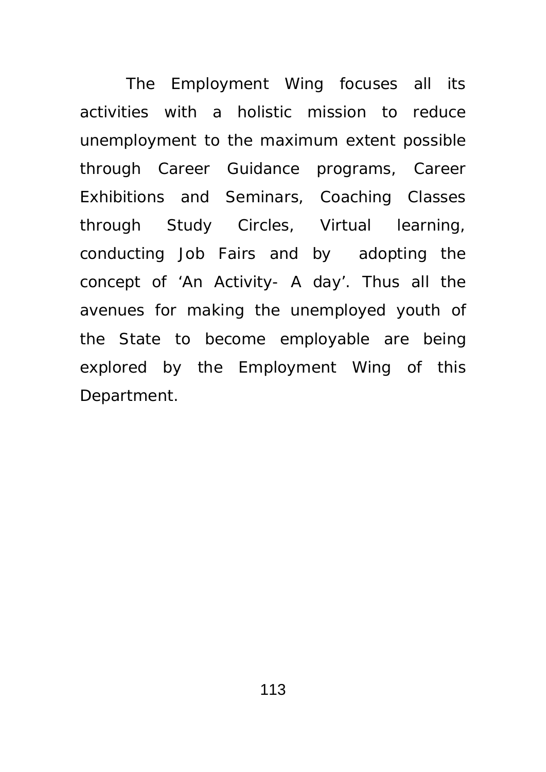The Employment Wing focuses all its activities with a holistic mission to reduce unemployment to the maximum extent possible through Career Guidance programs, Career Exhibitions and Seminars, Coaching Classes through Study Circles, Virtual learning, conducting Job Fairs and by adopting the concept of 'An Activity- A day'. Thus all the avenues for making the unemployed youth of the State to become employable are being explored by the Employment Wing of this Department.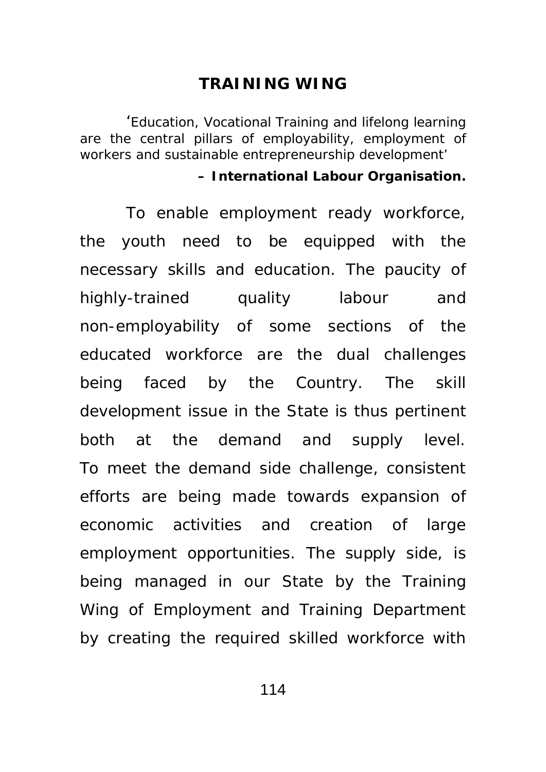#### **TRAINING WING**

'*Education, Vocational Training and lifelong learning are the central pillars of employability, employment of workers and sustainable entrepreneurship development'*

#### **– International Labour Organisation.**

To enable employment ready workforce, the youth need to be equipped with the necessary skills and education. The paucity of highly-trained quality labour and non-employability of some sections of the educated workforce are the dual challenges being faced by the Country. The skill development issue in the State is thus pertinent both at the demand and supply level. To meet the demand side challenge, consistent efforts are being made towards expansion of economic activities and creation of large employment opportunities. The supply side, is being managed in our State by the Training Wing of Employment and Training Department by creating the required skilled workforce with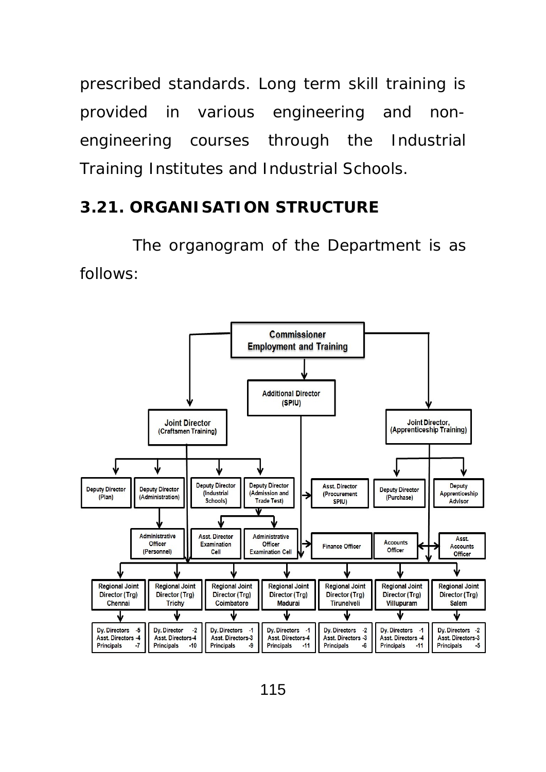prescribed standards. Long term skill training is provided in various engineering and nonengineering courses through the Industrial Training Institutes and Industrial Schools.

### **3.21. ORGANISATION STRUCTURE**

The organogram of the Department is as follows:

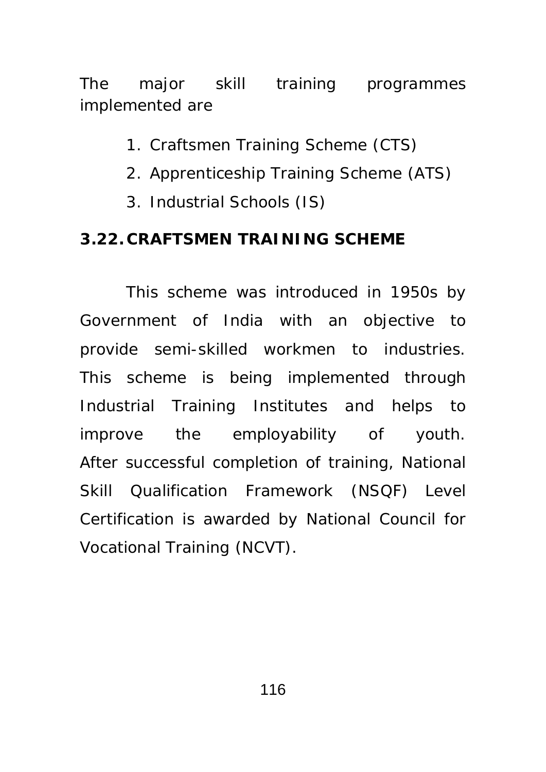The major skill training programmes implemented are

- 1. Craftsmen Training Scheme (CTS)
- 2. Apprenticeship Training Scheme (ATS)
- 3. Industrial Schools (IS)

### **3.22. CRAFTSMEN TRAINING SCHEME**

This scheme was introduced in 1950s by Government of India with an objective to provide semi-skilled workmen to industries. This scheme is being implemented through Industrial Training Institutes and helps to improve the employability of youth. After successful completion of training, National Skill Qualification Framework (NSQF) Level Certification is awarded by National Council for Vocational Training (NCVT).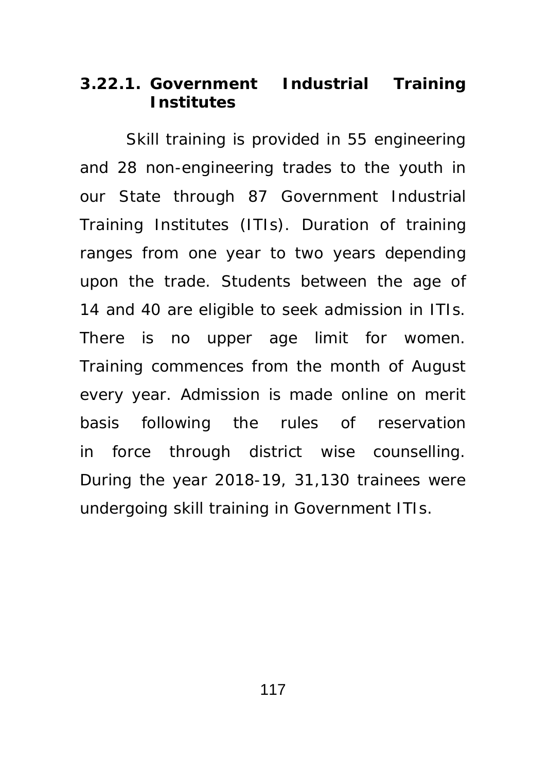### **3.22.1. Government Industrial Training Institutes**

Skill training is provided in 55 engineering and 28 non-engineering trades to the youth in our State through 87 Government Industrial Training Institutes (ITIs). Duration of training ranges from one year to two years depending upon the trade. Students between the age of 14 and 40 are eligible to seek admission in ITIs. There is no upper age limit for women. Training commences from the month of August every year. Admission is made online on merit basis following the rules of reservation in force through district wise counselling. During the year 2018-19, 31,130 trainees were undergoing skill training in Government ITIs.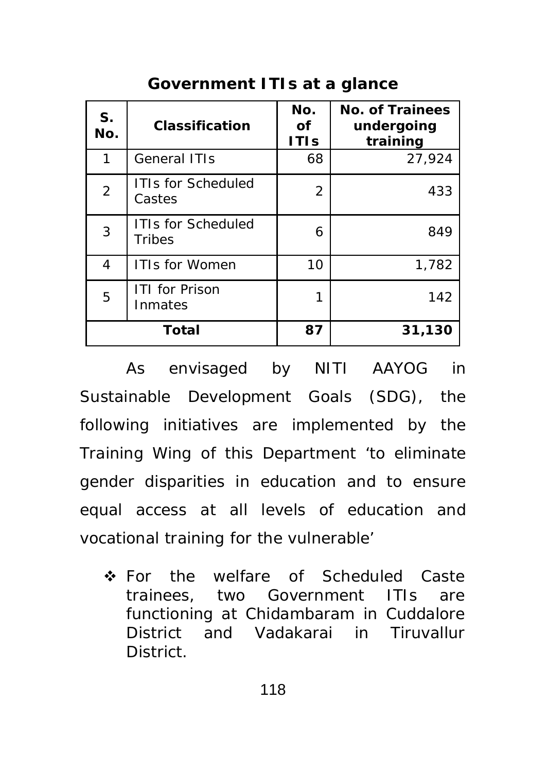| S.<br>No.      | <b>Classification</b>                      | No.<br><b>of</b><br><b>ITIs</b> | <b>No. of Trainees</b><br>undergoing<br>training |
|----------------|--------------------------------------------|---------------------------------|--------------------------------------------------|
| 1              | <b>General ITIs</b>                        | 68                              | 27,924                                           |
| $\overline{2}$ | <b>ITIs for Scheduled</b><br>Castes        | 2                               | 433                                              |
| 3              | <b>ITIs for Scheduled</b><br><b>Tribes</b> | 6                               | 849                                              |
| 4              | <b>ITIs for Women</b>                      | 10                              | 1,782                                            |
| 5              | <b>ITI for Prison</b><br>Inmates           | 1                               | 142                                              |
|                | <b>Total</b>                               | 87                              | 31,130                                           |

As envisaged by NITI AAYOG in Sustainable Development Goals (SDG), the following initiatives are implemented by the Training Wing of this Department 'to eliminate gender disparities in education and to ensure equal access at all levels of education and vocational training for the vulnerable'

 For the welfare of Scheduled Caste trainees, two Government ITIs are functioning at Chidambaram in Cuddalore District and Vadakarai in Tiruvallur District.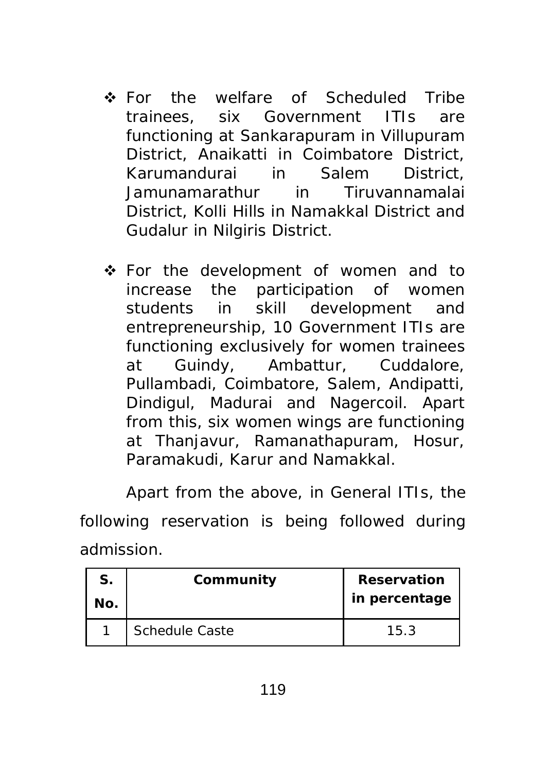- **❖** For the welfare of Scheduled Tribe trainees, six Government ITIs are functioning at Sankarapuram in Villupuram District, Anaikatti in Coimbatore District, Karumandurai in Salem District, Jamunamarathur in Tiruvannamalai District, Kolli Hills in Namakkal District and Gudalur in Nilgiris District.
- For the development of women and to increase the participation of women students in skill development and entrepreneurship, 10 Government ITIs are functioning exclusively for women trainees at Guindy, Ambattur, Cuddalore, Pullambadi, Coimbatore, Salem, Andipatti, Dindigul, Madurai and Nagercoil. Apart from this, six women wings are functioning at Thanjavur, Ramanathapuram, Hosur, Paramakudi, Karur and Namakkal.

Apart from the above, in General ITIs, the

following reservation is being followed during admission.

| S.<br>No. | Community             | <b>Reservation</b><br>in percentage |
|-----------|-----------------------|-------------------------------------|
|           | <b>Schedule Caste</b> | 15.3                                |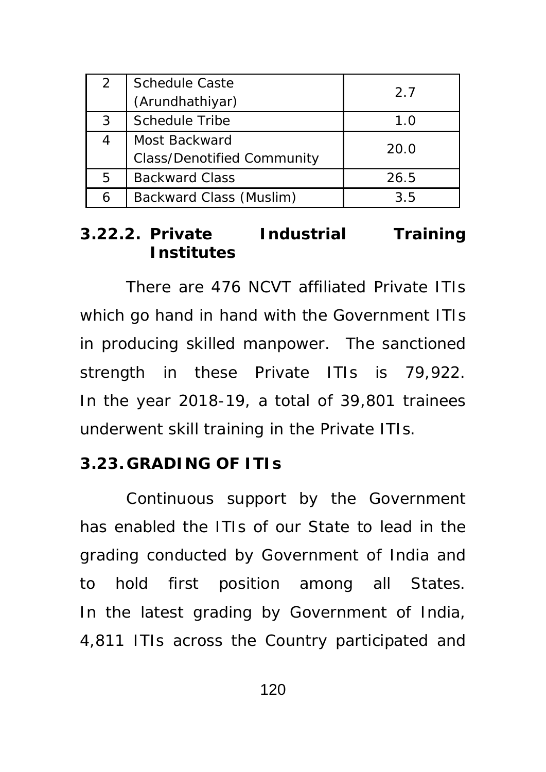| 2 | <b>Schedule Caste</b>             | 2.7  |
|---|-----------------------------------|------|
|   | (Arundhathiyar)                   |      |
| 3 | <b>Schedule Tribe</b>             | 1.0  |
|   | Most Backward                     | 20.0 |
|   | <b>Class/Denotified Community</b> |      |
| 5 | <b>Backward Class</b>             | 26.5 |
|   | Backward Class (Muslim)           | 3.5  |

### **3.22.2. Private Industrial Training Institutes**

 There are 476 NCVT affiliated Private ITIs which go hand in hand with the Government ITIs in producing skilled manpower. The sanctioned strength in these Private ITIs is 79,922. In the year 2018-19, a total of 39,801 trainees underwent skill training in the Private ITIs.

#### **3.23. GRADING OF ITIs**

Continuous support by the Government has enabled the ITIs of our State to lead in the grading conducted by Government of India and to hold first position among all States. In the latest grading by Government of India, 4,811 ITIs across the Country participated and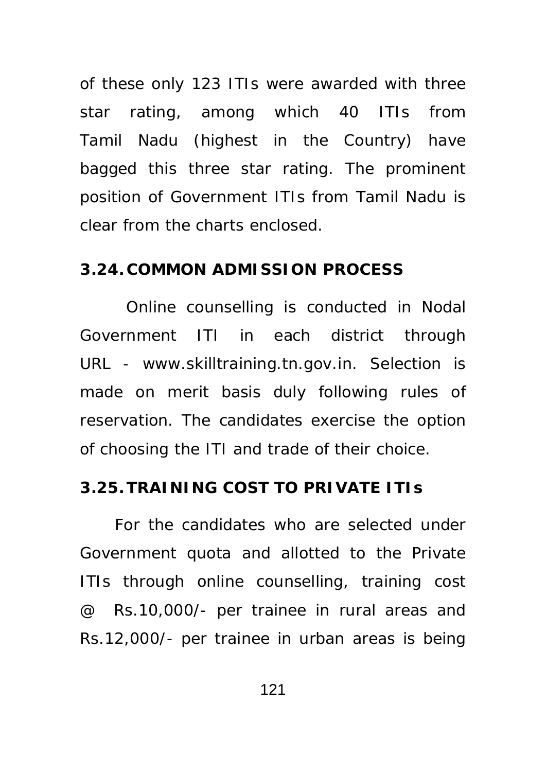of these only 123 ITIs were awarded with three star rating, among which 40 ITIs from Tamil Nadu (highest in the Country) have bagged this three star rating. The prominent position of Government ITIs from Tamil Nadu is clear from the charts enclosed.

#### **3.24. COMMON ADMISSION PROCESS**

 Online counselling is conducted in Nodal Government ITI in each district through URL - www.skilltraining.tn.gov.in. Selection is made on merit basis duly following rules of reservation. The candidates exercise the option of choosing the ITI and trade of their choice.

### **3.25.TRAINING COST TO PRIVATE ITIs**

 For the candidates who are selected under Government quota and allotted to the Private ITIs through online counselling, training cost @ Rs.10,000/- per trainee in rural areas and Rs.12,000/- per trainee in urban areas is being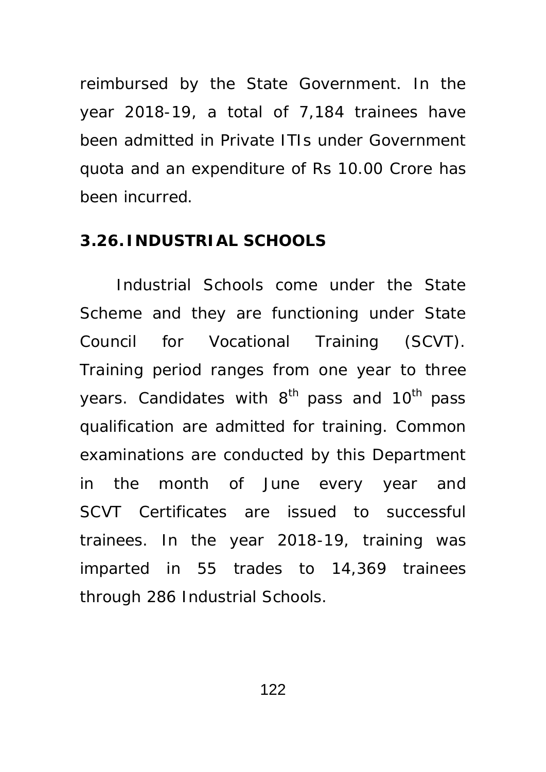reimbursed by the State Government. In the year 2018-19, a total of 7,184 trainees have been admitted in Private ITIs under Government quota and an expenditure of Rs 10.00 Crore has been incurred.

### **3.26. INDUSTRIAL SCHOOLS**

 Industrial Schools come under the State Scheme and they are functioning under State Council for Vocational Training (SCVT). Training period ranges from one year to three years. Candidates with  $8<sup>th</sup>$  pass and  $10<sup>th</sup>$  pass qualification are admitted for training. Common examinations are conducted by this Department in the month of June every year and SCVT Certificates are issued to successful trainees. In the year 2018-19, training was imparted in 55 trades to 14,369 trainees through 286 Industrial Schools.

122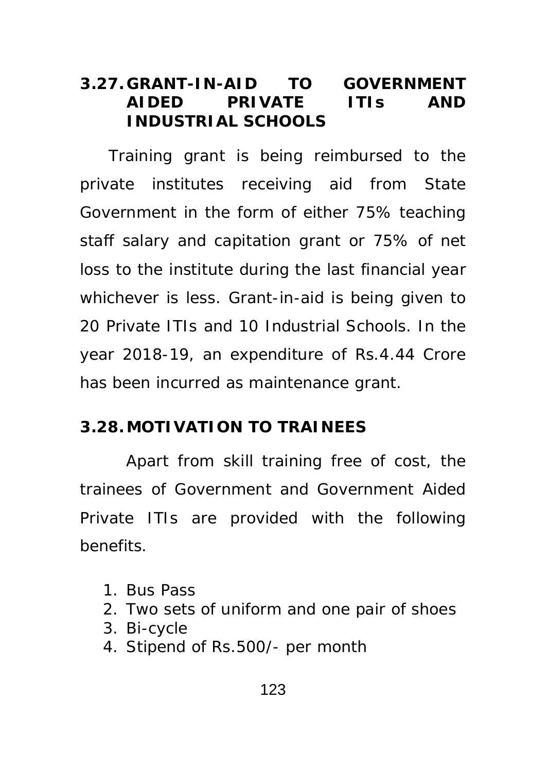## **3.27. GRANT-IN-AID TO GOVERNMENT AIDED PRIVATE ITIs AND INDUSTRIAL SCHOOLS**

 Training grant is being reimbursed to the private institutes receiving aid from State Government in the form of either 75% teaching staff salary and capitation grant or 75% of net loss to the institute during the last financial year whichever is less. Grant-in-aid is being given to 20 Private ITIs and 10 Industrial Schools. In the year 2018-19, an expenditure of Rs.4.44 Crore has been incurred as maintenance grant.

### **3.28.MOTIVATION TO TRAINEES**

 Apart from skill training free of cost, the trainees of Government and Government Aided Private ITIs are provided with the following benefits.

- 1. Bus Pass
- 2. Two sets of uniform and one pair of shoes
- 3. Bi-cycle
- 4. Stipend of Rs.500/- per month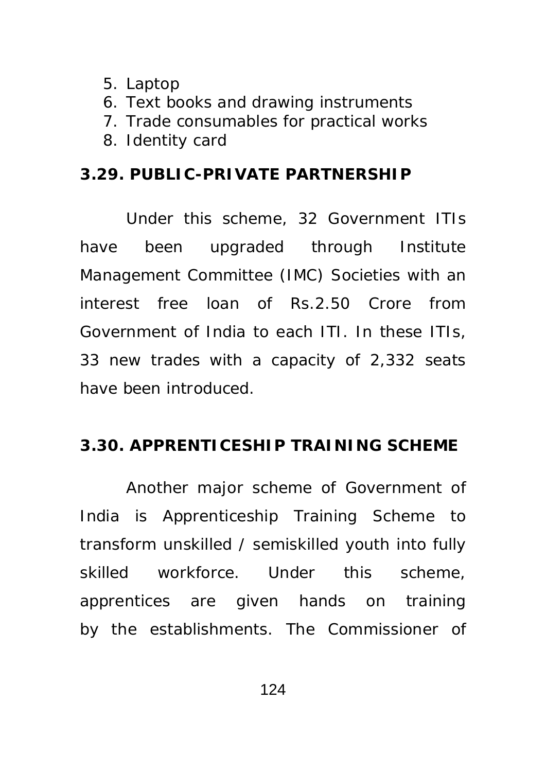- 5. Laptop
- 6. Text books and drawing instruments
- 7. Trade consumables for practical works
- 8. Identity card

### **3.29. PUBLIC-PRIVATE PARTNERSHIP**

Under this scheme, 32 Government ITIs have been upgraded through Institute Management Committee (IMC) Societies with an interest free loan of Rs.2.50 Crore from Government of India to each ITI. In these ITIs, 33 new trades with a capacity of 2,332 seats have been introduced.

## **3.30. APPRENTICESHIP TRAINING SCHEME**

Another major scheme of Government of India is Apprenticeship Training Scheme to transform unskilled / semiskilled youth into fully skilled workforce. Under this scheme, apprentices are given hands on training by the establishments. The Commissioner of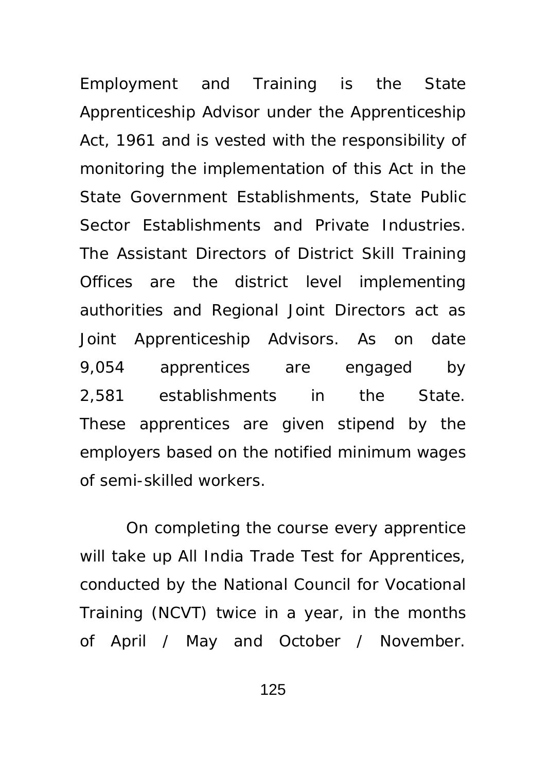Employment and Training is the State Apprenticeship Advisor under the Apprenticeship Act, 1961 and is vested with the responsibility of monitoring the implementation of this Act in the State Government Establishments, State Public Sector Establishments and Private Industries. The Assistant Directors of District Skill Training Offices are the district level implementing authorities and Regional Joint Directors act as Joint Apprenticeship Advisors. As on date 9,054 apprentices are engaged by 2,581 establishments in the State. These apprentices are given stipend by the employers based on the notified minimum wages of semi-skilled workers.

On completing the course every apprentice will take up All India Trade Test for Apprentices, conducted by the National Council for Vocational Training (NCVT) twice in a year, in the months of April / May and October / November.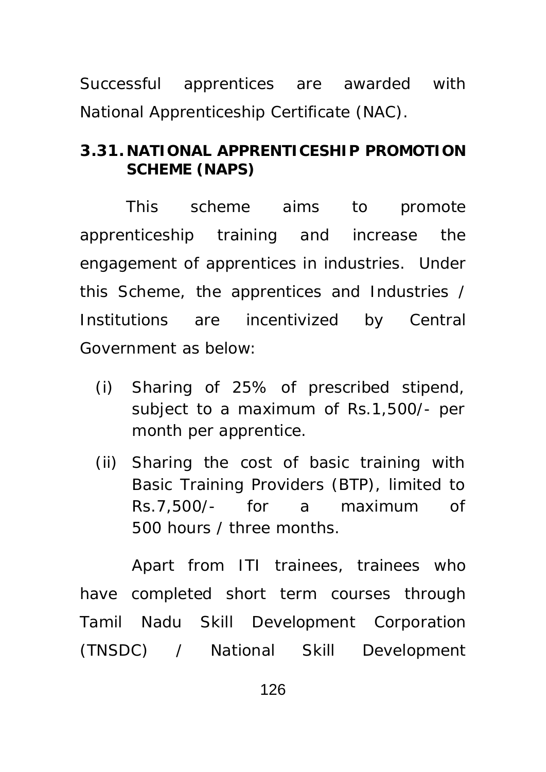Successful apprentices are awarded with National Apprenticeship Certificate (NAC).

## **3.31. NATIONAL APPRENTICESHIP PROMOTION SCHEME (NAPS)**

 This scheme aims to promote apprenticeship training and increase the engagement of apprentices in industries. Under this Scheme, the apprentices and Industries / Institutions are incentivized by Central Government as below:

- (i) Sharing of 25% of prescribed stipend, subject to a maximum of Rs.1,500/- per month per apprentice.
- (ii) Sharing the cost of basic training with Basic Training Providers (BTP), limited to Rs.7,500/- for a maximum of 500 hours / three months.

Apart from ITI trainees, trainees who have completed short term courses through Tamil Nadu Skill Development Corporation (TNSDC) / National Skill Development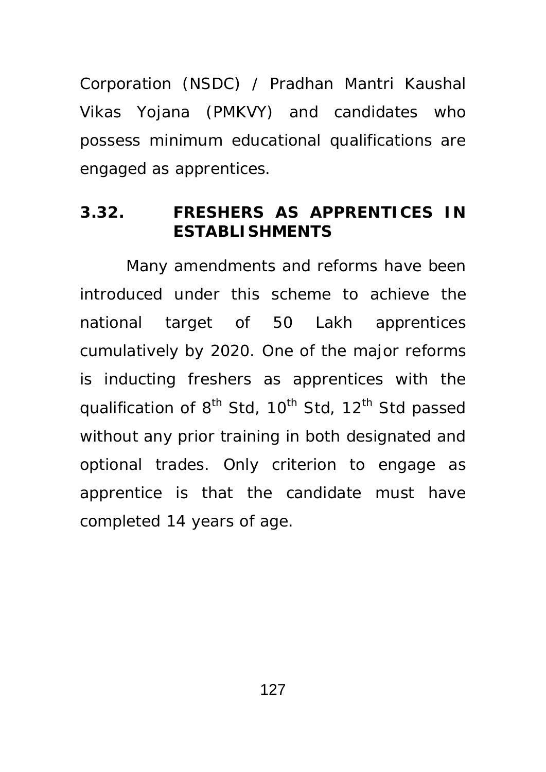Corporation (NSDC) / Pradhan Mantri Kaushal Vikas Yojana (PMKVY) and candidates who possess minimum educational qualifications are engaged as apprentices.

### **3.32. FRESHERS AS APPRENTICES IN ESTABLISHMENTS**

 Many amendments and reforms have been introduced under this scheme to achieve the national target of 50 Lakh apprentices cumulatively by 2020. One of the major reforms is inducting freshers as apprentices with the qualification of 8<sup>th</sup> Std, 10<sup>th</sup> Std, 12<sup>th</sup> Std passed without any prior training in both designated and optional trades. Only criterion to engage as apprentice is that the candidate must have completed 14 years of age.

127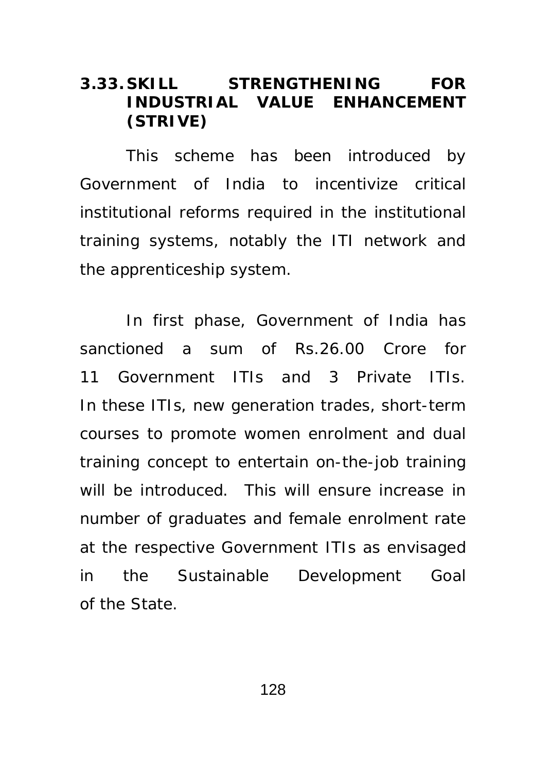## **3.33. SKILL STRENGTHENING FOR INDUSTRIAL VALUE ENHANCEMENT (STRIVE)**

This scheme has been introduced by Government of India to incentivize critical institutional reforms required in the institutional training systems, notably the ITI network and the apprenticeship system.

In first phase, Government of India has sanctioned a sum of Rs.26.00 Crore for 11 Government ITIs and 3 Private ITIs. In these ITIs, new generation trades, short-term courses to promote women enrolment and dual training concept to entertain on-the-job training will be introduced. This will ensure increase in number of graduates and female enrolment rate at the respective Government ITIs as envisaged in the Sustainable Development Goal of the State.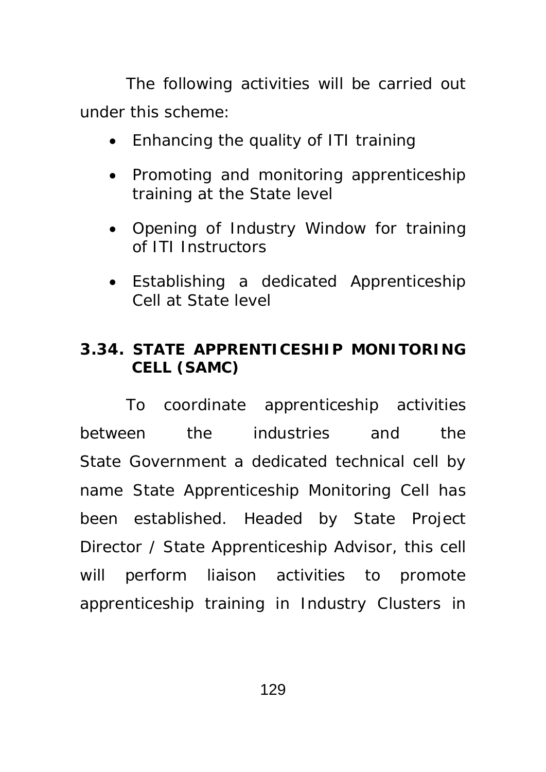The following activities will be carried out under this scheme:

- Enhancing the quality of ITI training
- Promoting and monitoring apprenticeship training at the State level
- Opening of Industry Window for training of ITI Instructors
- Establishing a dedicated Apprenticeship Cell at State level

## **3.34. STATE APPRENTICESHIP MONITORING CELL (SAMC)**

To coordinate apprenticeship activities between the industries and the State Government a dedicated technical cell by name State Apprenticeship Monitoring Cell has been established. Headed by State Project Director / State Apprenticeship Advisor, this cell will perform liaison activities to promote apprenticeship training in Industry Clusters in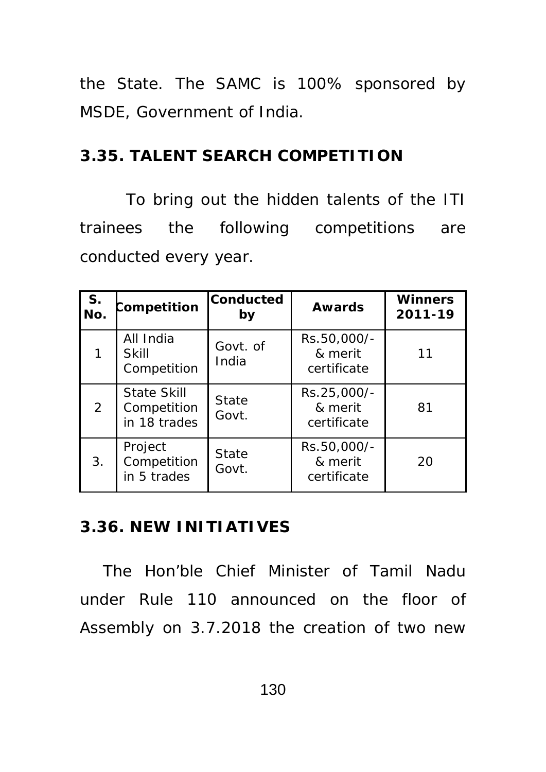the State. The SAMC is 100% sponsored by MSDE, Government of India.

## **3.35. TALENT SEARCH COMPETITION**

 To bring out the hidden talents of the ITI trainees the following competitions are conducted every year.

| S.<br>No.      | Competition                                       | <b>Conducted</b><br>by | <b>Awards</b>                         | <b>Winners</b><br>2011-19 |
|----------------|---------------------------------------------------|------------------------|---------------------------------------|---------------------------|
|                | All India<br><b>Skill</b><br>Competition          | Govt. of<br>India      | Rs.50,000/-<br>& merit<br>certificate | 11                        |
| $\overline{2}$ | <b>State Skill</b><br>Competition<br>in 18 trades | <b>State</b><br>Govt.  | Rs.25,000/-<br>& merit<br>certificate | 81                        |
| 3.             | Project<br>Competition<br>in 5 trades             | <b>State</b><br>Govt.  | Rs.50,000/-<br>& merit<br>certificate | 20                        |

## **3.36. NEW INITIATIVES**

The Hon'ble Chief Minister of Tamil Nadu under Rule 110 announced on the floor of Assembly on 3.7.2018 the creation of two new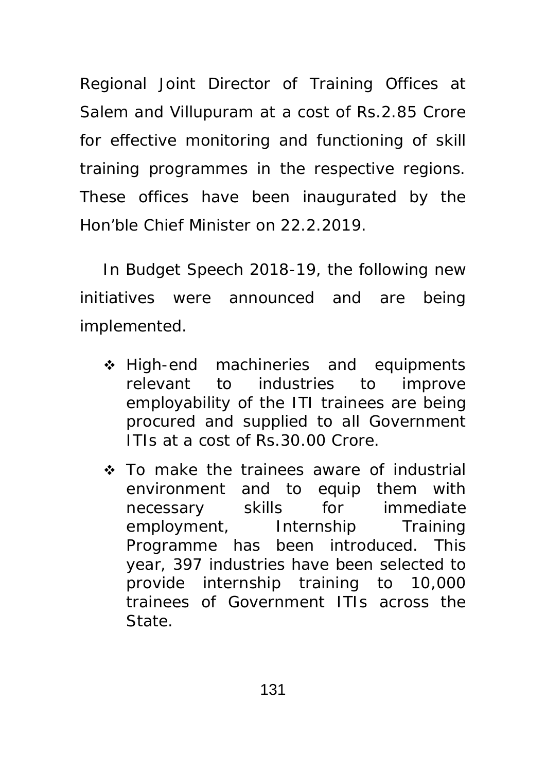Regional Joint Director of Training Offices at Salem and Villupuram at a cost of Rs.2.85 Crore for effective monitoring and functioning of skill training programmes in the respective regions. These offices have been inaugurated by the Hon'ble Chief Minister on 22.2.2019.

In Budget Speech 2018-19, the following new initiatives were announced and are being implemented.

- ❖ High-end machineries and equipments relevant to industries to improve employability of the ITI trainees are being procured and supplied to all Government ITIs at a cost of Rs.30.00 Crore.
- To make the trainees aware of industrial environment and to equip them with necessary skills for immediate employment, Internship Training Programme has been introduced. This year, 397 industries have been selected to provide internship training to 10,000 trainees of Government ITIs across the State.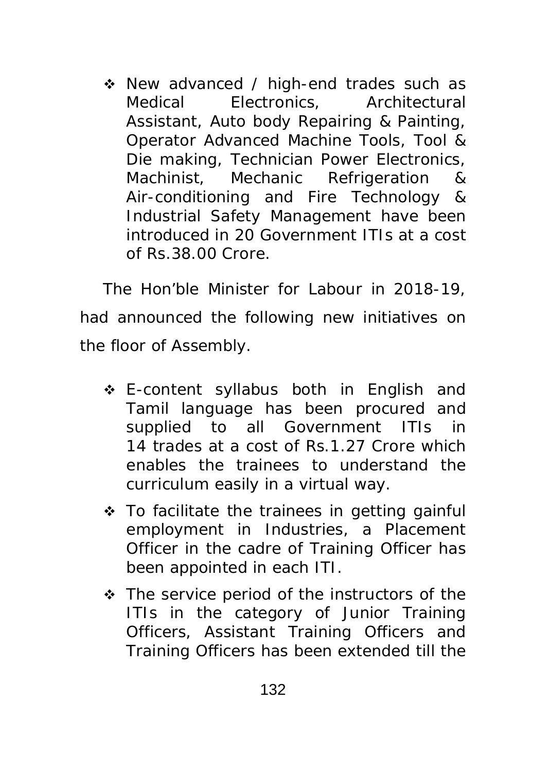• New advanced / high-end trades such as Medical Electronics, Architectural Assistant, Auto body Repairing & Painting, Operator Advanced Machine Tools, Tool & Die making, Technician Power Electronics, Machinist, Mechanic Refrigeration & Air-conditioning and Fire Technology & Industrial Safety Management have been introduced in 20 Government ITIs at a cost of Rs.38.00 Crore.

The Hon'ble Minister for Labour in 2018-19, had announced the following new initiatives on the floor of Assembly.

- E-content syllabus both in English and Tamil language has been procured and supplied to all Government ITIs in 14 trades at a cost of Rs.1.27 Crore which enables the trainees to understand the curriculum easily in a virtual way.
- To facilitate the trainees in getting gainful employment in Industries, a Placement Officer in the cadre of Training Officer has been appointed in each ITI.
- The service period of the instructors of the ITIs in the category of Junior Training Officers, Assistant Training Officers and Training Officers has been extended till the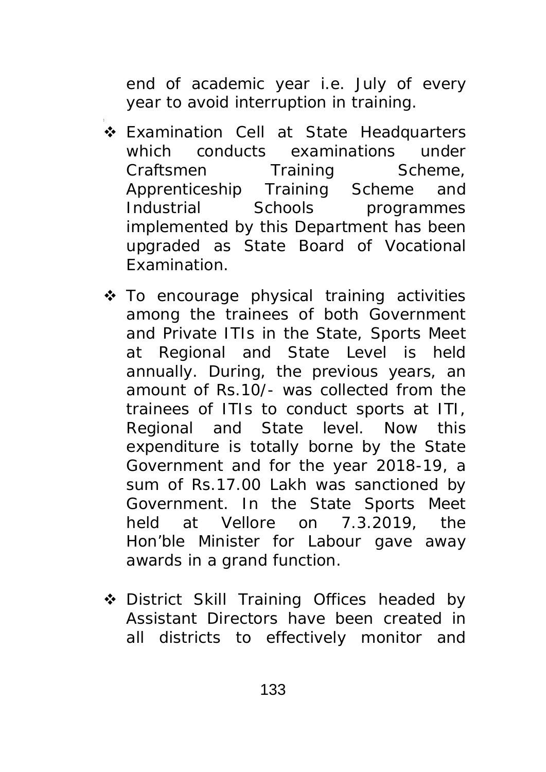end of academic year i.e. July of every year to avoid interruption in training.

- Examination Cell at State Headquarters which conducts examinations under Craftsmen Training Scheme, Apprenticeship Training Scheme and Industrial Schools programmes implemented by this Department has been upgraded as State Board of Vocational Examination.
- $\triangle$  To encourage physical training activities among the trainees of both Government and Private ITIs in the State, Sports Meet at Regional and State Level is held annually. During, the previous years, an amount of Rs.10/- was collected from the trainees of ITIs to conduct sports at ITI, Regional and State level. Now this expenditure is totally borne by the State Government and for the year 2018-19, a sum of Rs.17.00 Lakh was sanctioned by Government. In the State Sports Meet held at Vellore on 7.3.2019, the Hon'ble Minister for Labour gave away awards in a grand function.
- ◆ District Skill Training Offices headed by Assistant Directors have been created in all districts to effectively monitor and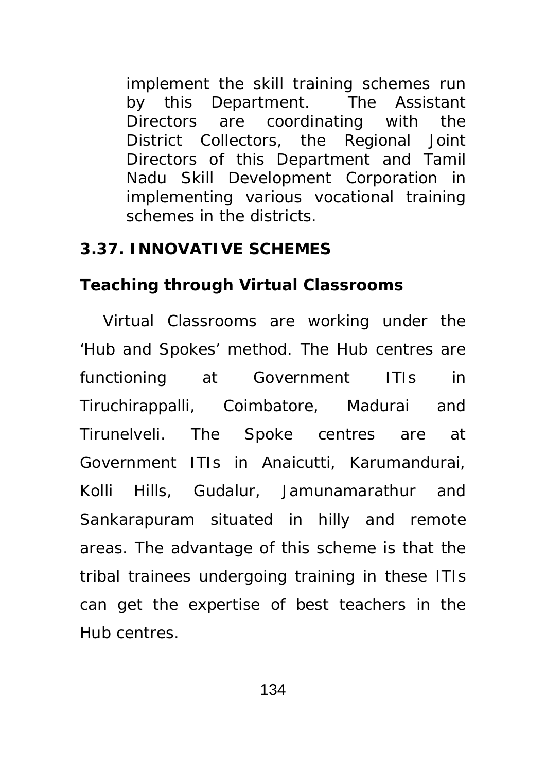implement the skill training schemes run by this Department. The Assistant Directors are coordinating with the District Collectors, the Regional Joint Directors of this Department and Tamil Nadu Skill Development Corporation in implementing various vocational training schemes in the districts.

### **3.37. INNOVATIVE SCHEMES**

## **Teaching through Virtual Classrooms**

Virtual Classrooms are working under the 'Hub and Spokes' method. The Hub centres are functioning at Government ITIs in Tiruchirappalli, Coimbatore, Madurai and Tirunelveli. The Spoke centres are at Government ITIs in Anaicutti, Karumandurai, Kolli Hills, Gudalur, Jamunamarathur and Sankarapuram situated in hilly and remote areas. The advantage of this scheme is that the tribal trainees undergoing training in these ITIs can get the expertise of best teachers in the Hub centres.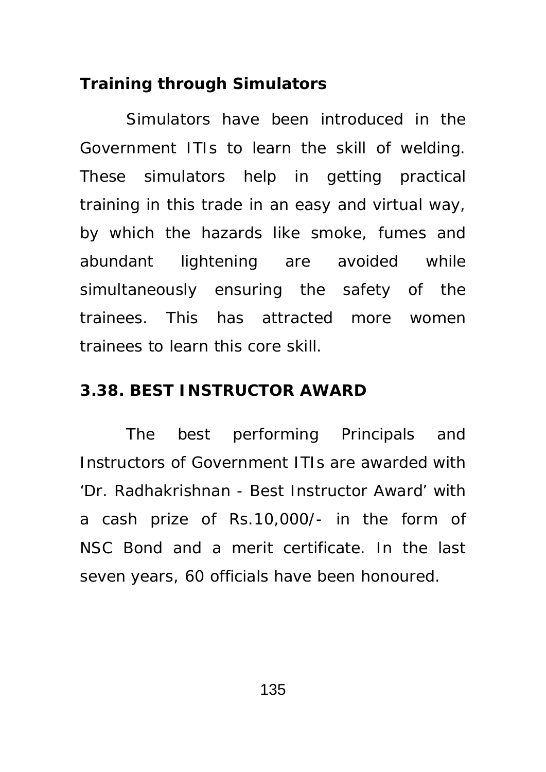### **Training through Simulators**

Simulators have been introduced in the Government ITIs to learn the skill of welding. These simulators help in getting practical training in this trade in an easy and virtual way, by which the hazards like smoke, fumes and abundant lightening are avoided while simultaneously ensuring the safety of the trainees. This has attracted more women trainees to learn this core skill.

## **3.38. BEST INSTRUCTOR AWARD**

The best performing Principals and Instructors of Government ITIs are awarded with 'Dr. Radhakrishnan - Best Instructor Award' with a cash prize of Rs.10,000/- in the form of NSC Bond and a merit certificate. In the last seven years, 60 officials have been honoured.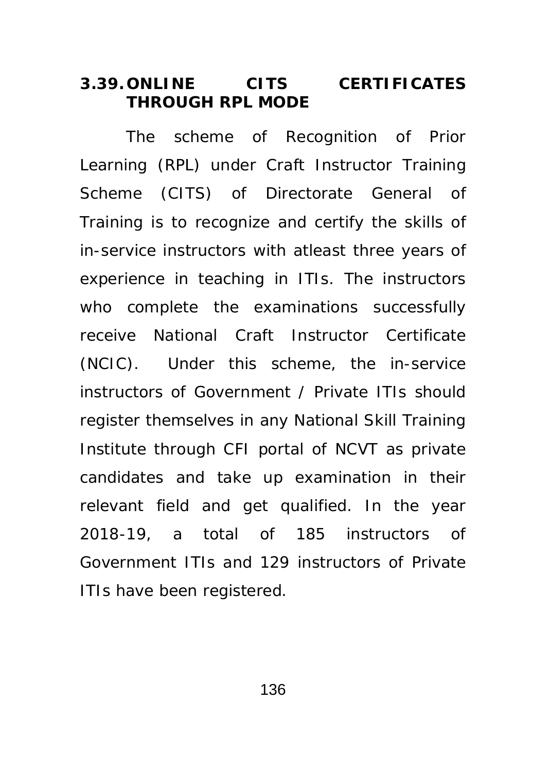### **3.39. ONLINE CITS CERTIFICATES THROUGH RPL MODE**

The scheme of Recognition of Prior Learning (RPL) under Craft Instructor Training Scheme (CITS) of Directorate General of Training is to recognize and certify the skills of in-service instructors with atleast three years of experience in teaching in ITIs. The instructors who complete the examinations successfully receive National Craft Instructor Certificate (NCIC). Under this scheme, the in-service instructors of Government / Private ITIs should register themselves in any National Skill Training Institute through CFI portal of NCVT as private candidates and take up examination in their relevant field and get qualified. In the year 2018-19, a total of 185 instructors of Government ITIs and 129 instructors of Private ITIs have been registered.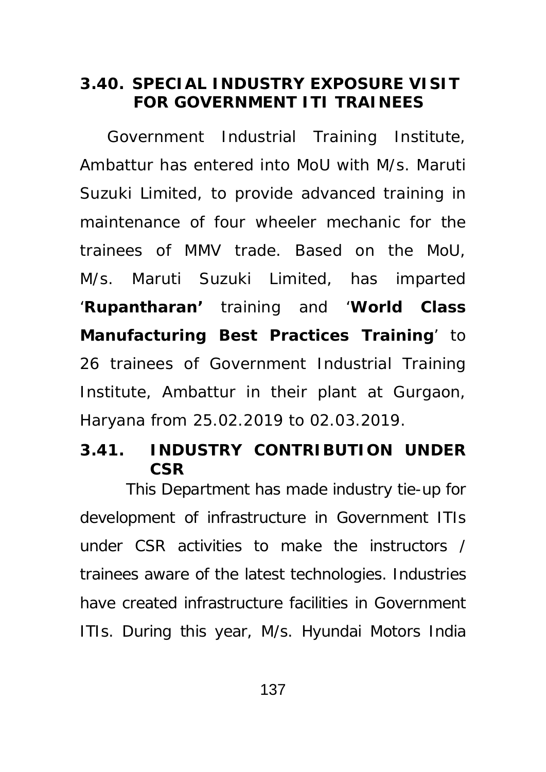## **3.40. SPECIAL INDUSTRY EXPOSURE VISIT FOR GOVERNMENT ITI TRAINEES**

 Government Industrial Training Institute, Ambattur has entered into MoU with M/s. Maruti Suzuki Limited, to provide advanced training in maintenance of four wheeler mechanic for the trainees of MMV trade. Based on the MoU, M/s. Maruti Suzuki Limited, has imparted '**Rupantharan'** training and '**World Class Manufacturing Best Practices Training**' to 26 trainees of Government Industrial Training Institute, Ambattur in their plant at Gurgaon, Haryana from 25.02.2019 to 02.03.2019.

## **3.41. INDUSTRY CONTRIBUTION UNDER CSR**

This Department has made industry tie-up for development of infrastructure in Government ITIs under CSR activities to make the instructors / trainees aware of the latest technologies. Industries have created infrastructure facilities in Government ITIs. During this year, M/s. Hyundai Motors India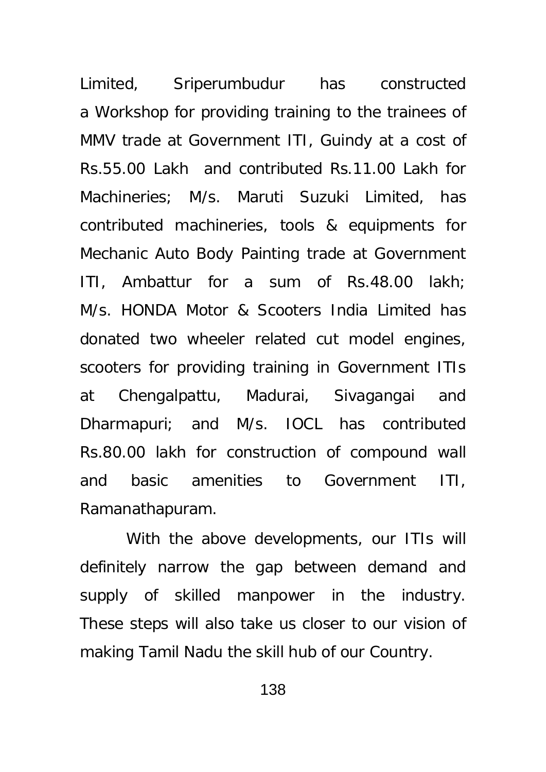Limited, Sriperumbudur has constructed a Workshop for providing training to the trainees of MMV trade at Government ITI, Guindy at a cost of Rs.55.00 Lakh and contributed Rs.11.00 Lakh for Machineries; M/s. Maruti Suzuki Limited, has contributed machineries, tools & equipments for Mechanic Auto Body Painting trade at Government ITI, Ambattur for a sum of Rs.48.00 lakh; M/s. HONDA Motor & Scooters India Limited has donated two wheeler related cut model engines, scooters for providing training in Government ITIs at Chengalpattu, Madurai, Sivagangai and Dharmapuri; and M/s. IOCL has contributed Rs.80.00 lakh for construction of compound wall and basic amenities to Government ITI, Ramanathapuram.

With the above developments, our ITIs will definitely narrow the gap between demand and supply of skilled manpower in the industry. These steps will also take us closer to our vision of making Tamil Nadu the skill hub of our Country.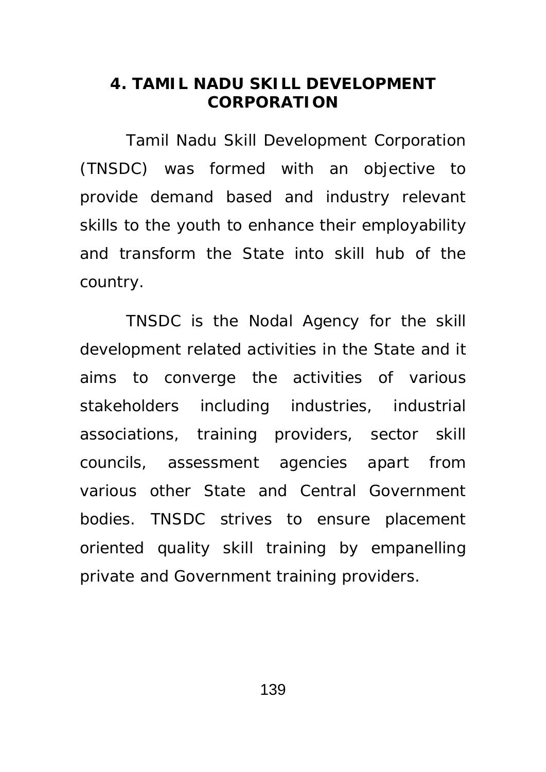### **4. TAMIL NADU SKILL DEVELOPMENT CORPORATION**

Tamil Nadu Skill Development Corporation (TNSDC) was formed with an objective to provide demand based and industry relevant skills to the youth to enhance their employability and transform the State into skill hub of the country.

TNSDC is the Nodal Agency for the skill development related activities in the State and it aims to converge the activities of various stakeholders including industries, industrial associations, training providers, sector skill councils, assessment agencies apart from various other State and Central Government bodies. TNSDC strives to ensure placement oriented quality skill training by empanelling private and Government training providers.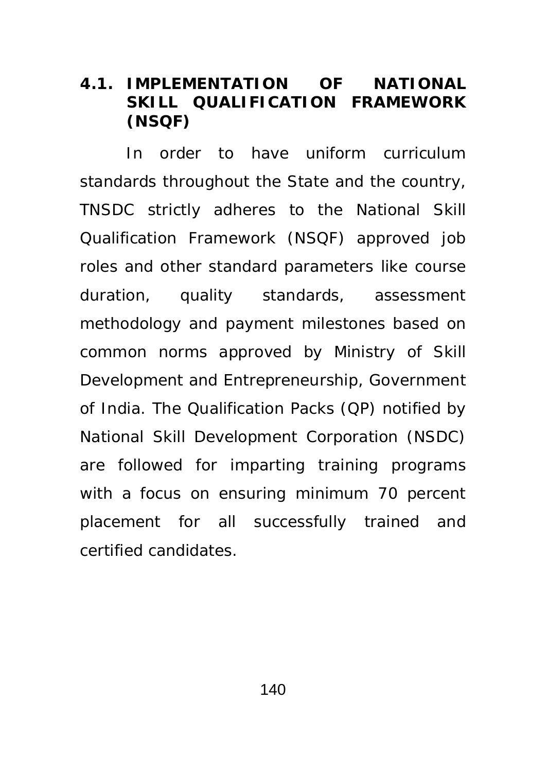## **4.1. IMPLEMENTATION OF NATIONAL SKILL QUALIFICATION FRAMEWORK (NSQF)**

 In order to have uniform curriculum standards throughout the State and the country, TNSDC strictly adheres to the National Skill Qualification Framework (NSQF) approved job roles and other standard parameters like course duration, quality standards, assessment methodology and payment milestones based on common norms approved by Ministry of Skill Development and Entrepreneurship, Government of India. The Qualification Packs (QP) notified by National Skill Development Corporation (NSDC) are followed for imparting training programs with a focus on ensuring minimum 70 percent placement for all successfully trained and certified candidates.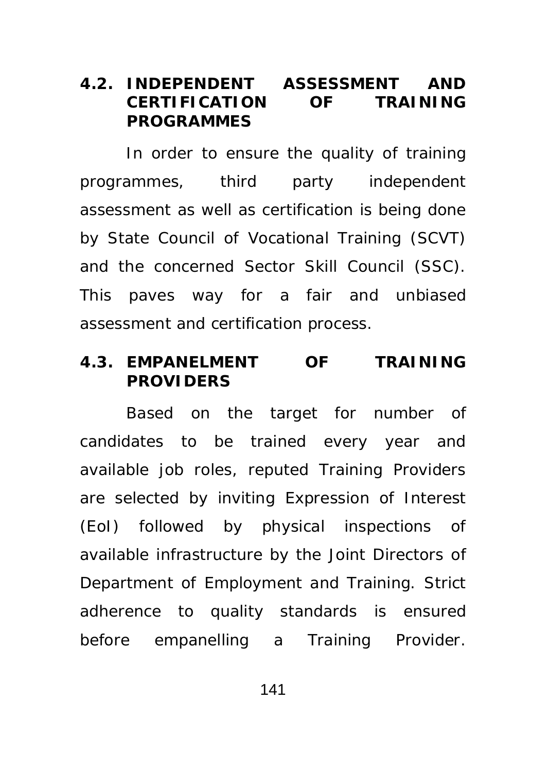### **4.2. INDEPENDENT ASSESSMENT AND CERTIFICATION OF TRAINING PROGRAMMES**

 In order to ensure the quality of training programmes, third party independent assessment as well as certification is being done by State Council of Vocational Training (SCVT) and the concerned Sector Skill Council (SSC). This paves way for a fair and unbiased assessment and certification process.

### **4.3. EMPANELMENT OF TRAINING PROVIDERS**

 Based on the target for number of candidates to be trained every year and available job roles, reputed Training Providers are selected by inviting Expression of Interest (EoI) followed by physical inspections of available infrastructure by the Joint Directors of Department of Employment and Training. Strict adherence to quality standards is ensured before empanelling a Training Provider.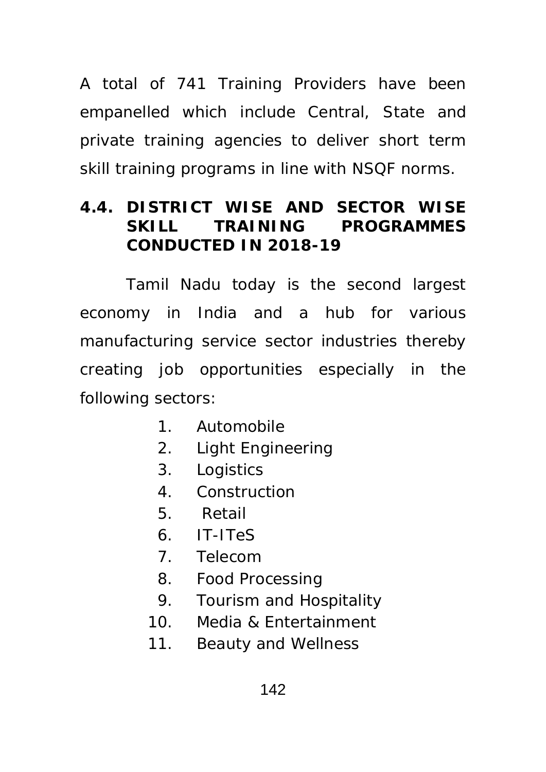A total of 741 Training Providers have been empanelled which include Central, State and private training agencies to deliver short term skill training programs in line with NSQF norms.

# **4.4. DISTRICT WISE AND SECTOR WISE SKILL TRAINING PROGRAMMES CONDUCTED IN 2018-19**

 Tamil Nadu today is the second largest economy in India and a hub for various manufacturing service sector industries thereby creating job opportunities especially in the following sectors:

- 1. Automobile
- 2. Light Engineering
- 3. Logistics
- 4. Construction
- 5. Retail
- 6. IT-ITeS
- 7. Telecom
- 8. Food Processing
- 9. Tourism and Hospitality
- 10. Media & Entertainment
- 11. Beauty and Wellness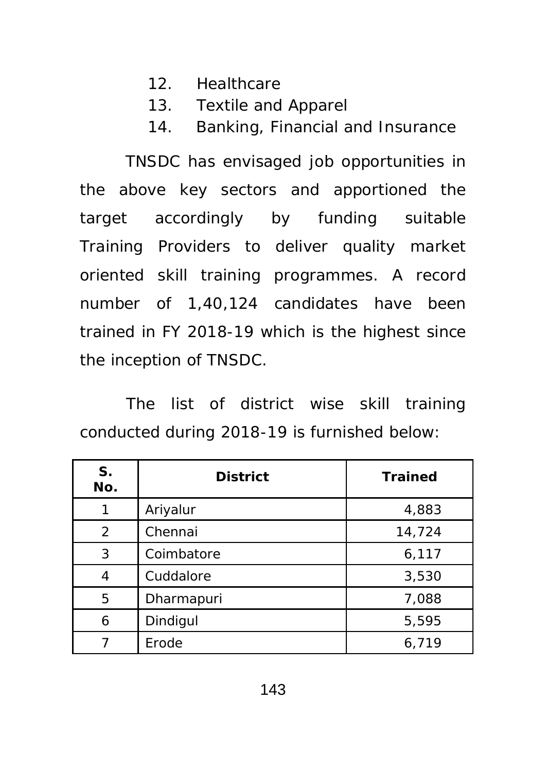- 12. Healthcare
- 13. Textile and Apparel
- 14. Banking, Financial and Insurance

TNSDC has envisaged job opportunities in the above key sectors and apportioned the target accordingly by funding suitable Training Providers to deliver quality market oriented skill training programmes. A record number of 1,40,124 candidates have been trained in FY 2018-19 which is the highest since the inception of TNSDC.

The list of district wise skill training conducted during 2018-19 is furnished below:

| S <sub>1</sub><br>No. | <b>District</b> | <b>Trained</b> |
|-----------------------|-----------------|----------------|
| 1                     | Ariyalur        | 4,883          |
| 2                     | Chennai         | 14,724         |
| 3                     | Coimbatore      | 6,117          |
| 4                     | Cuddalore       | 3,530          |
| 5                     | Dharmapuri      | 7,088          |
| 6                     | Dindigul        | 5,595          |
|                       | Erode           | 6,719          |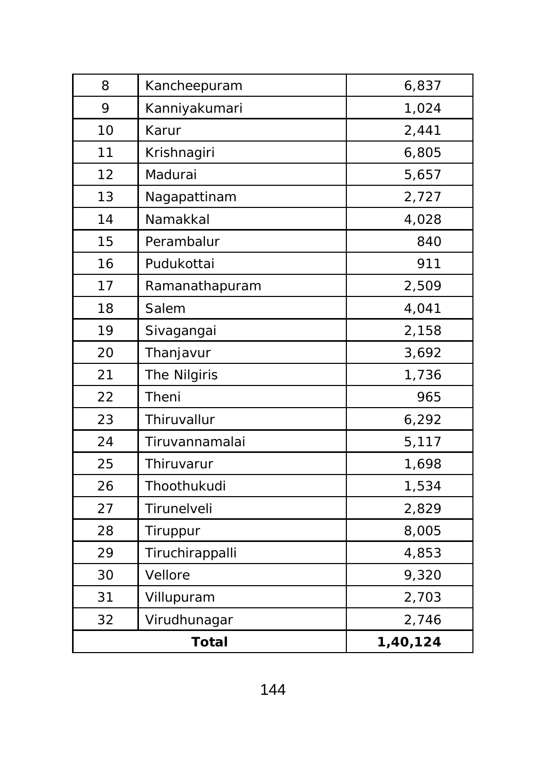| 8     | Kancheepuram    | 6,837    |
|-------|-----------------|----------|
| 9     | Kanniyakumari   | 1,024    |
| 10    | Karur           | 2,441    |
| 11    | Krishnagiri     | 6,805    |
| 12    | Madurai         | 5,657    |
| 13    | Nagapattinam    | 2,727    |
| 14    | Namakkal        | 4,028    |
| 15    | Perambalur      | 840      |
| 16    | Pudukottai      | 911      |
| 17    | Ramanathapuram  | 2,509    |
| 18    | Salem           | 4,041    |
| 19    | Sivagangai      | 2,158    |
| 20    | Thanjavur       | 3,692    |
| 21    | The Nilgiris    | 1,736    |
| 22    | Theni           | 965      |
| 23    | Thiruvallur     | 6,292    |
| 24    | Tiruvannamalai  | 5,117    |
| 25    | Thiruvarur      | 1,698    |
| 26    | Thoothukudi     | 1,534    |
| 27    | Tirunelveli     | 2,829    |
| 28    | Tiruppur        | 8,005    |
| 29    | Tiruchirappalli | 4,853    |
| 30    | Vellore         | 9,320    |
| 31    | Villupuram      | 2,703    |
| 32    | Virudhunagar    | 2,746    |
| Total |                 | 1,40,124 |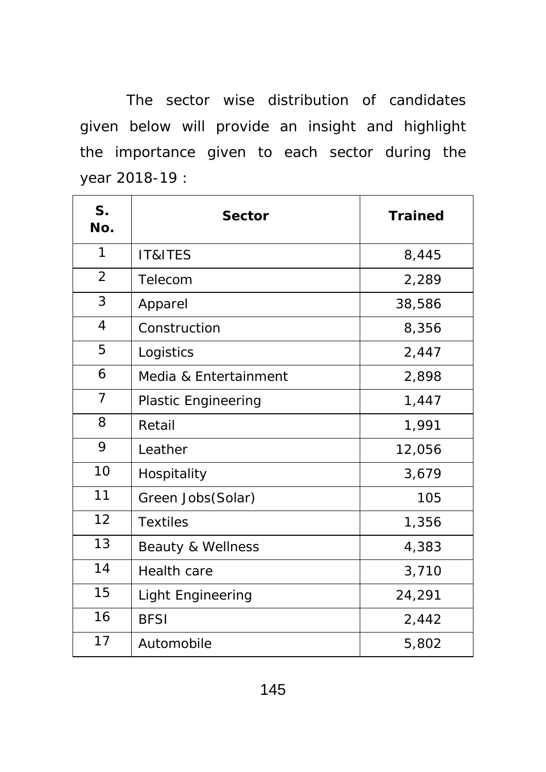The sector wise distribution of candidates given below will provide an insight and highlight the importance given to each sector during the year 2018-19 :

| S <sub>1</sub><br>No. | <b>Sector</b>                | <b>Trained</b> |
|-----------------------|------------------------------|----------------|
| 1                     | IT&ITES                      | 8,445          |
| $\overline{2}$        | Telecom                      | 2,289          |
| 3                     | Apparel                      | 38,586         |
| $\overline{4}$        | Construction                 | 8,356          |
| 5                     | Logistics                    | 2,447          |
| 6                     | Media & Entertainment        | 2,898          |
| $\overline{7}$        | <b>Plastic Engineering</b>   | 1,447          |
| 8                     | Retail                       | 1,991          |
| 9                     | Leather                      | 12,056         |
| 10                    | Hospitality                  | 3,679          |
| 11                    | Green Jobs(Solar)            | 105            |
| 12                    | <b>Textiles</b>              | 1,356          |
| 13                    | <b>Beauty &amp; Wellness</b> | 4,383          |
| 14                    | <b>Health care</b>           | 3,710          |
| 15                    | <b>Light Engineering</b>     | 24,291         |
| 16                    | <b>BFSI</b>                  | 2,442          |
| 17                    | Automobile                   | 5,802          |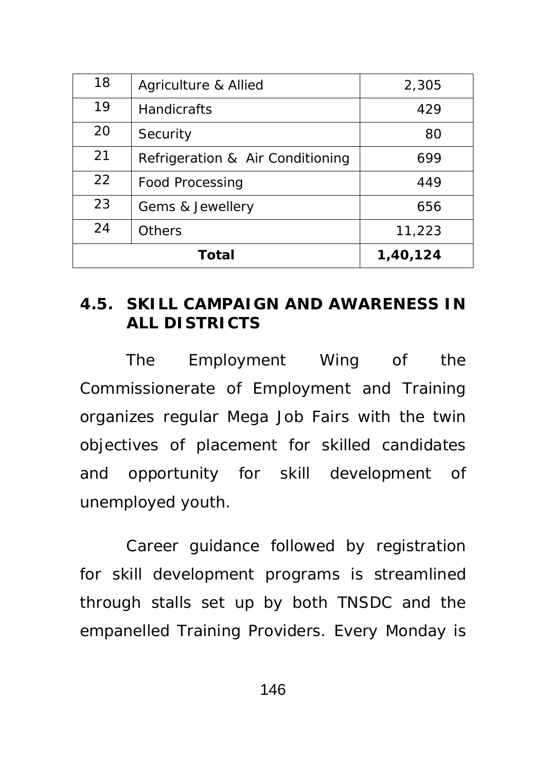| 18 | Agriculture & Allied             | 2,305    |
|----|----------------------------------|----------|
| 19 | <b>Handicrafts</b>               | 429      |
| 20 | Security                         | 80       |
| 21 | Refrigeration & Air Conditioning | 699      |
| 22 | <b>Food Processing</b>           | 449      |
| 23 | Gems & Jewellery                 | 656      |
| 24 | <b>Others</b>                    | 11,223   |
|    | <b>Total</b>                     | 1,40,124 |

## **4.5. SKILL CAMPAIGN AND AWARENESS IN ALL DISTRICTS**

The Employment Wing of the Commissionerate of Employment and Training organizes regular Mega Job Fairs with the twin objectives of placement for skilled candidates and opportunity for skill development of unemployed youth.

Career guidance followed by registration for skill development programs is streamlined through stalls set up by both TNSDC and the empanelled Training Providers. Every Monday is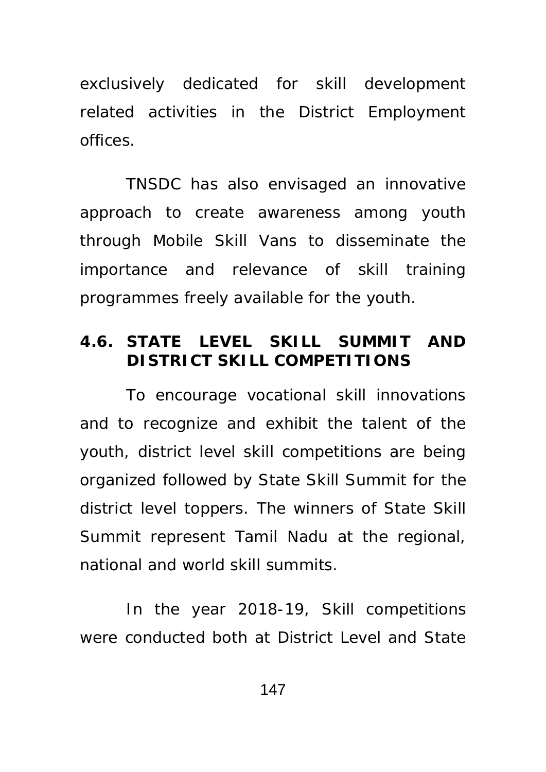exclusively dedicated for skill development related activities in the District Employment offices.

TNSDC has also envisaged an innovative approach to create awareness among youth through Mobile Skill Vans to disseminate the importance and relevance of skill training programmes freely available for the youth.

## **4.6. STATE LEVEL SKILL SUMMIT AND DISTRICT SKILL COMPETITIONS**

To encourage vocational skill innovations and to recognize and exhibit the talent of the youth, district level skill competitions are being organized followed by State Skill Summit for the district level toppers. The winners of State Skill Summit represent Tamil Nadu at the regional, national and world skill summits.

In the year 2018-19, Skill competitions were conducted both at District Level and State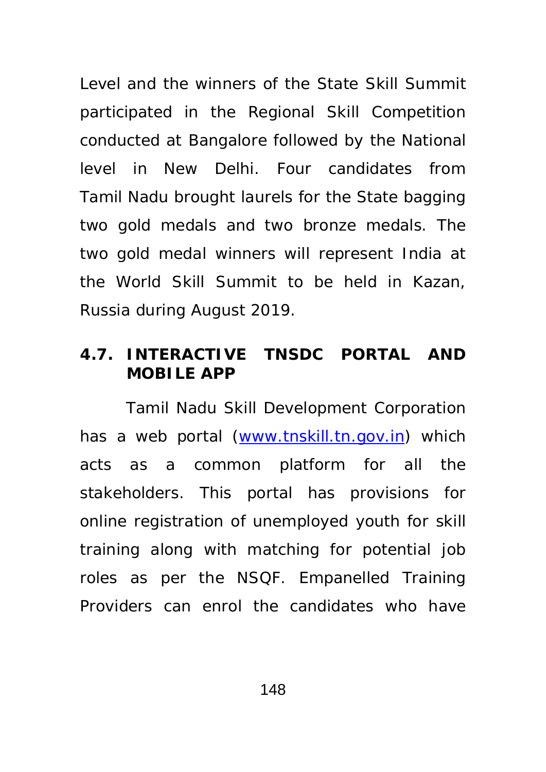Level and the winners of the State Skill Summit participated in the Regional Skill Competition conducted at Bangalore followed by the National level in New Delhi. Four candidates from Tamil Nadu brought laurels for the State bagging two gold medals and two bronze medals. The two gold medal winners will represent India at the World Skill Summit to be held in Kazan, Russia during August 2019.

### **4.7. INTERACTIVE TNSDC PORTAL AND MOBILE APP**

Tamil Nadu Skill Development Corporation has a web portal (www.tnskill.tn.gov.in) which acts as a common platform for all the stakeholders. This portal has provisions for online registration of unemployed youth for skill training along with matching for potential job roles as per the NSQF. Empanelled Training Providers can enrol the candidates who have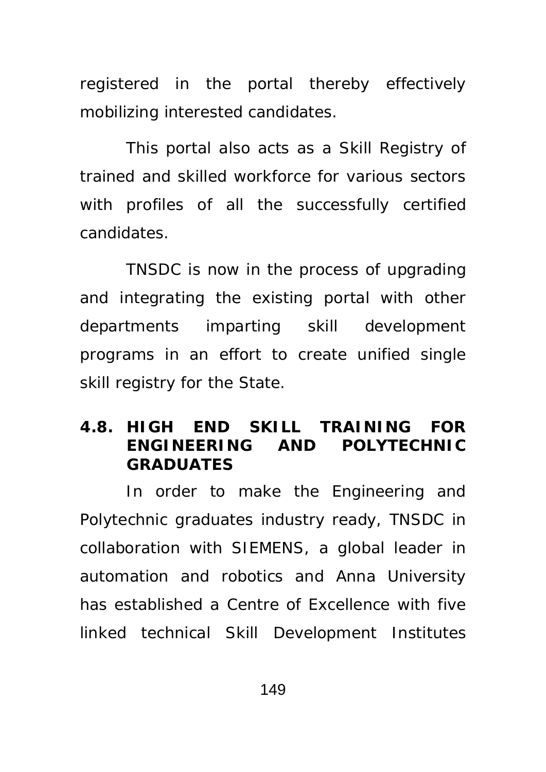registered in the portal thereby effectively mobilizing interested candidates.

This portal also acts as a Skill Registry of trained and skilled workforce for various sectors with profiles of all the successfully certified candidates.

 TNSDC is now in the process of upgrading and integrating the existing portal with other departments imparting skill development programs in an effort to create unified single skill registry for the State.

## **4.8. HIGH END SKILL TRAINING FOR ENGINEERING AND POLYTECHNIC GRADUATES**

In order to make the Engineering and Polytechnic graduates industry ready, TNSDC in collaboration with SIEMENS, a global leader in automation and robotics and Anna University has established a Centre of Excellence with five linked technical Skill Development Institutes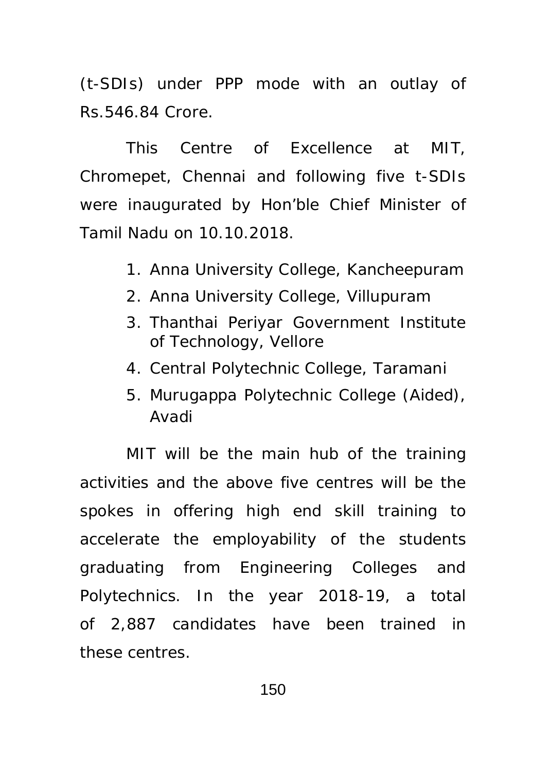(t-SDIs) under PPP mode with an outlay of Rs.546.84 Crore.

This Centre of Excellence at MIT, Chromepet, Chennai and following five t-SDIs were inaugurated by Hon'ble Chief Minister of Tamil Nadu on 10.10.2018.

- 1. Anna University College, Kancheepuram
- 2. Anna University College, Villupuram
- 3. Thanthai Periyar Government Institute of Technology, Vellore
- 4. Central Polytechnic College, Taramani
- 5. Murugappa Polytechnic College (Aided), Avadi

MIT will be the main hub of the training activities and the above five centres will be the spokes in offering high end skill training to accelerate the employability of the students graduating from Engineering Colleges and Polytechnics. In the year 2018-19, a total of 2,887 candidates have been trained in these centres.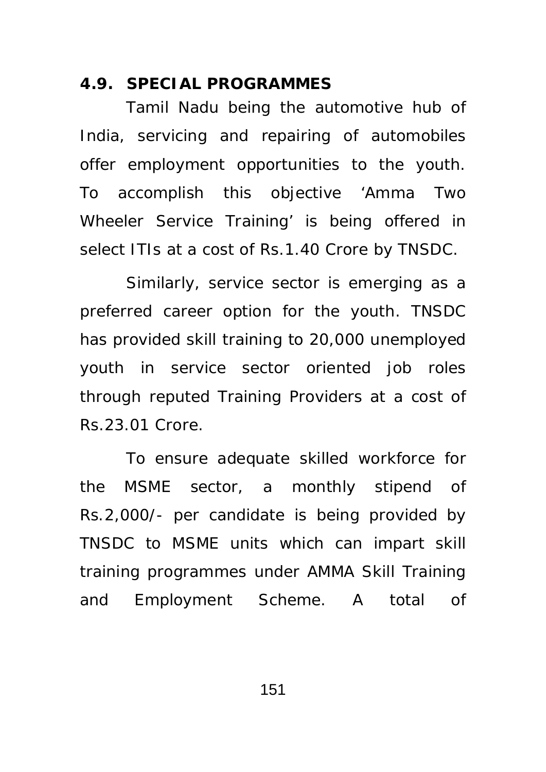#### **4.9. SPECIAL PROGRAMMES**

 Tamil Nadu being the automotive hub of India, servicing and repairing of automobiles offer employment opportunities to the youth. To accomplish this objective 'Amma Two Wheeler Service Training' is being offered in select ITIs at a cost of Rs.1.40 Crore by TNSDC.

 Similarly, service sector is emerging as a preferred career option for the youth. TNSDC has provided skill training to 20,000 unemployed youth in service sector oriented job roles through reputed Training Providers at a cost of Rs.23.01 Crore.

 To ensure adequate skilled workforce for the MSME sector, a monthly stipend of Rs.2,000/- per candidate is being provided by TNSDC to MSME units which can impart skill training programmes under AMMA Skill Training and Employment Scheme. A total of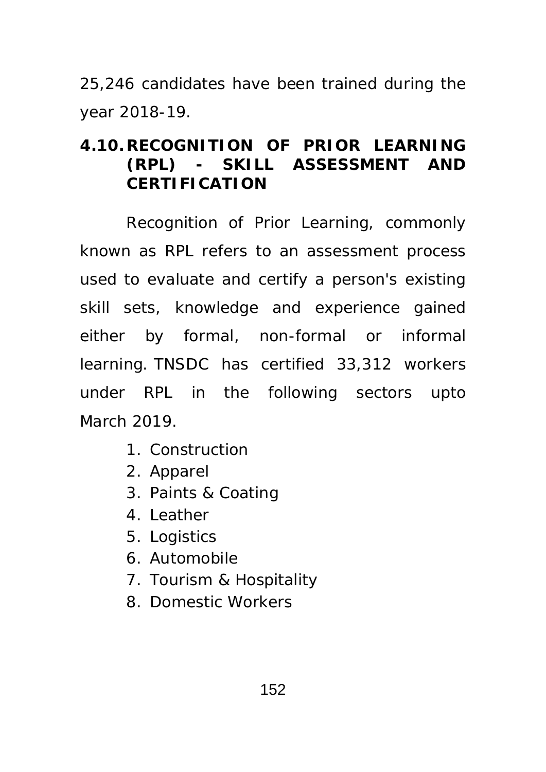25,246 candidates have been trained during the year 2018-19.

# **4.10.RECOGNITION OF PRIOR LEARNING (RPL) - SKILL ASSESSMENT AND CERTIFICATION**

 Recognition of Prior Learning, commonly known as RPL refers to an assessment process used to evaluate and certify a person's existing skill sets, knowledge and experience gained either by formal, non-formal or informal learning. TNSDC has certified 33,312 workers under RPL in the following sectors upto March 2019.

- 1. Construction
- 2. Apparel
- 3. Paints & Coating
- 4. Leather
- 5. Logistics
- 6. Automobile
- 7. Tourism & Hospitality
- 8. Domestic Workers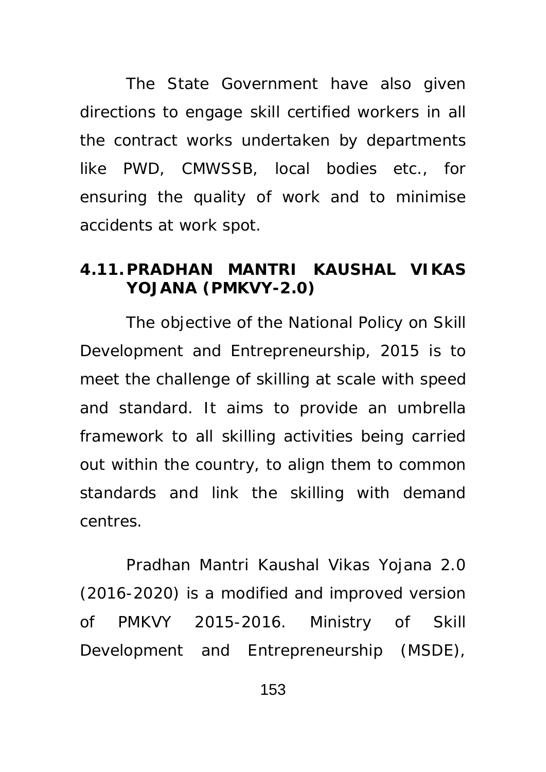The State Government have also given directions to engage skill certified workers in all the contract works undertaken by departments like PWD, CMWSSB, local bodies etc., for ensuring the quality of work and to minimise accidents at work spot.

### **4.11. PRADHAN MANTRI KAUSHAL VIKAS YOJANA (PMKVY-2.0)**

The objective of the National Policy on Skill Development and Entrepreneurship, 2015 is to meet the challenge of skilling at scale with speed and standard. It aims to provide an umbrella framework to all skilling activities being carried out within the country, to align them to common standards and link the skilling with demand centres.

Pradhan Mantri Kaushal Vikas Yojana 2.0 (2016-2020) is a modified and improved version of PMKVY 2015-2016. Ministry of Skill Development and Entrepreneurship (MSDE),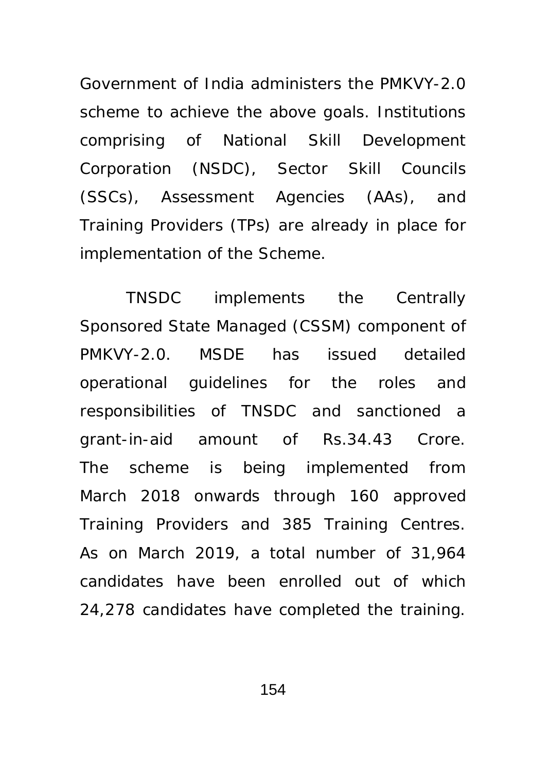Government of India administers the PMKVY-2.0 scheme to achieve the above goals. Institutions comprising of National Skill Development Corporation (NSDC), Sector Skill Councils (SSCs), Assessment Agencies (AAs), and Training Providers (TPs) are already in place for implementation of the Scheme.

TNSDC implements the Centrally Sponsored State Managed (CSSM) component of PMKVY-2.0. MSDE has issued detailed operational guidelines for the roles and responsibilities of TNSDC and sanctioned a grant-in-aid amount of Rs.34.43 Crore. The scheme is being implemented from March 2018 onwards through 160 approved Training Providers and 385 Training Centres. As on March 2019, a total number of 31,964 candidates have been enrolled out of which 24,278 candidates have completed the training.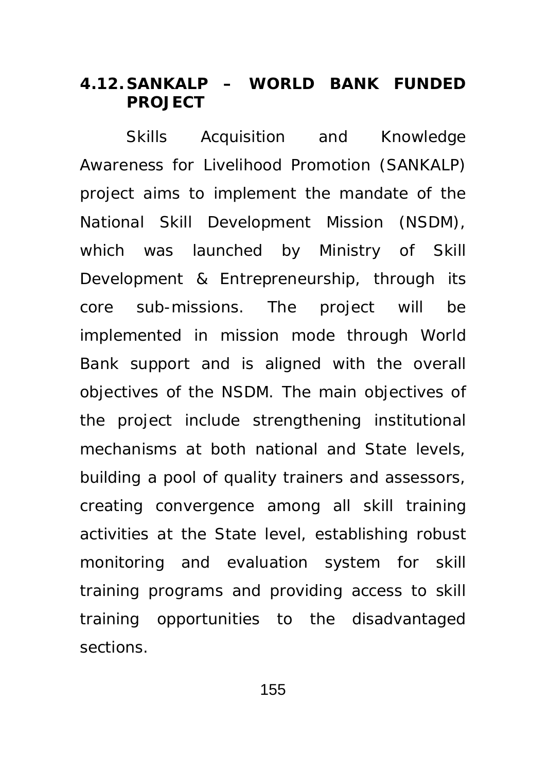### **4.12. SANKALP – WORLD BANK FUNDED PROJECT**

 Skills Acquisition and Knowledge Awareness for Livelihood Promotion (SANKALP) project aims to implement the mandate of the National Skill Development Mission (NSDM), which was launched by Ministry of Skill Development & Entrepreneurship, through its core sub-missions. The project will be implemented in mission mode through World Bank support and is aligned with the overall objectives of the NSDM. The main objectives of the project include strengthening institutional mechanisms at both national and State levels, building a pool of quality trainers and assessors, creating convergence among all skill training activities at the State level, establishing robust monitoring and evaluation system for skill training programs and providing access to skill training opportunities to the disadvantaged sections.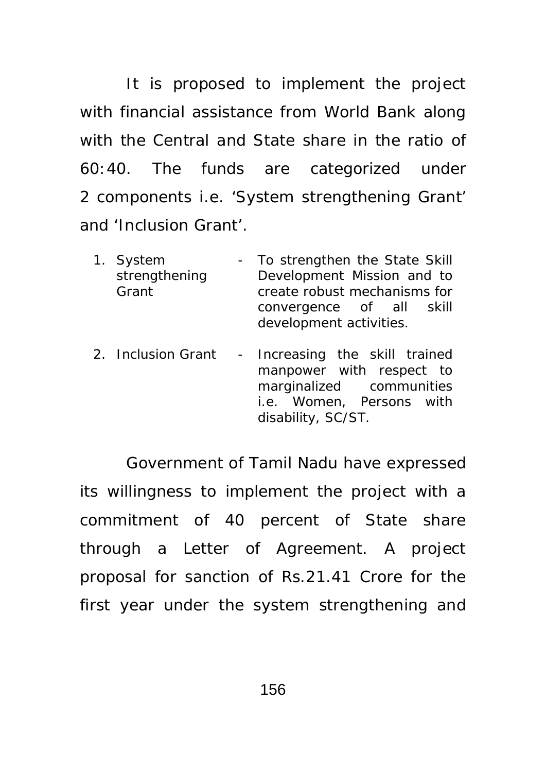It is proposed to implement the project with financial assistance from World Bank along with the Central and State share in the ratio of 60:40. The funds are categorized under 2 components i.e. 'System strengthening Grant' and 'Inclusion Grant'.

- 1. System strengthening Grant To strengthen the State Skill Development Mission and to create robust mechanisms for convergence of all skill development activities.
- 2. Inclusion Grant Increasing the skill trained manpower with respect to marginalized communities i.e. Women, Persons with disability, SC/ST.

Government of Tamil Nadu have expressed its willingness to implement the project with a commitment of 40 percent of State share through a Letter of Agreement. A project proposal for sanction of Rs.21.41 Crore for the first year under the system strengthening and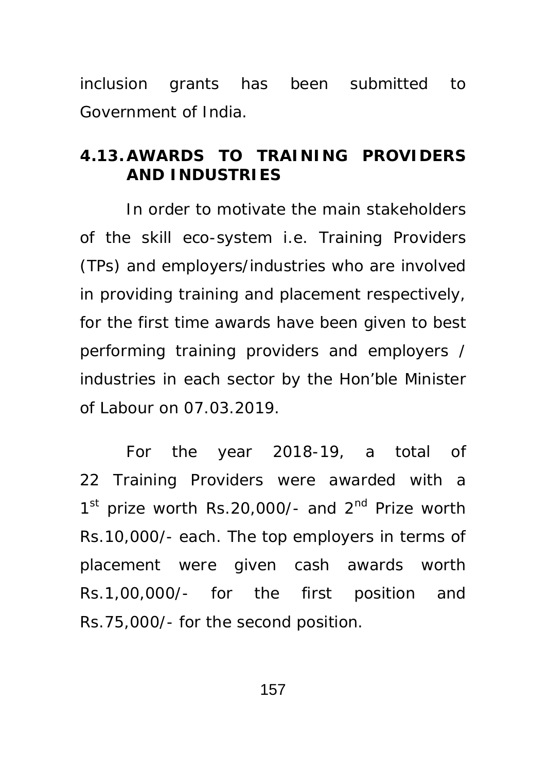inclusion grants has been submitted to Government of India.

## **4.13.AWARDS TO TRAINING PROVIDERS AND INDUSTRIES**

 In order to motivate the main stakeholders of the skill eco-system i.e. Training Providers (TPs) and employers/industries who are involved in providing training and placement respectively, for the first time awards have been given to best performing training providers and employers / industries in each sector by the Hon'ble Minister of Labour on 07.03.2019.

 For the year 2018-19, a total of 22 Training Providers were awarded with a  $1<sup>st</sup>$  prize worth Rs.20,000/- and  $2<sup>nd</sup>$  Prize worth Rs.10,000/- each. The top employers in terms of placement were given cash awards worth Rs.1,00,000/- for the first position and Rs.75,000/- for the second position.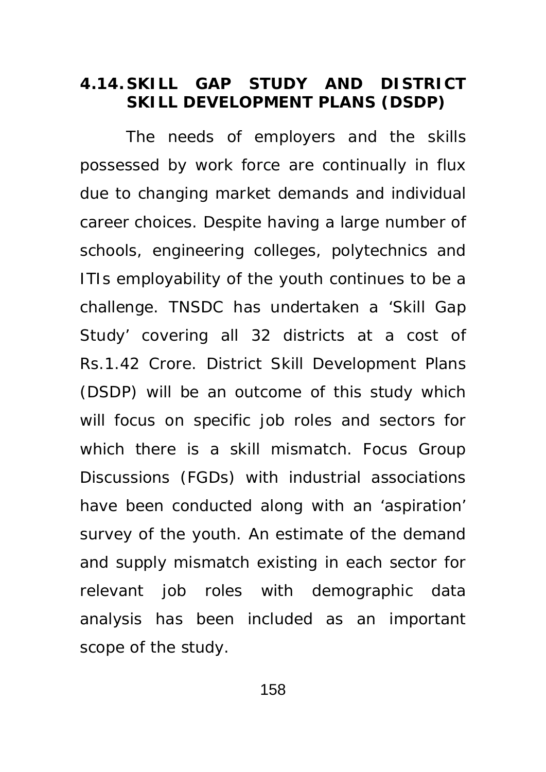#### **4.14. SKILL GAP STUDY AND DISTRICT SKILL DEVELOPMENT PLANS (DSDP)**

 The needs of employers and the skills possessed by work force are continually in flux due to changing market demands and individual career choices. Despite having a large number of schools, engineering colleges, polytechnics and ITIs employability of the youth continues to be a challenge. TNSDC has undertaken a 'Skill Gap Study' covering all 32 districts at a cost of Rs.1.42 Crore. District Skill Development Plans (DSDP) will be an outcome of this study which will focus on specific job roles and sectors for which there is a skill mismatch. Focus Group Discussions (FGDs) with industrial associations have been conducted along with an 'aspiration' survey of the youth. An estimate of the demand and supply mismatch existing in each sector for relevant job roles with demographic data analysis has been included as an important scope of the study.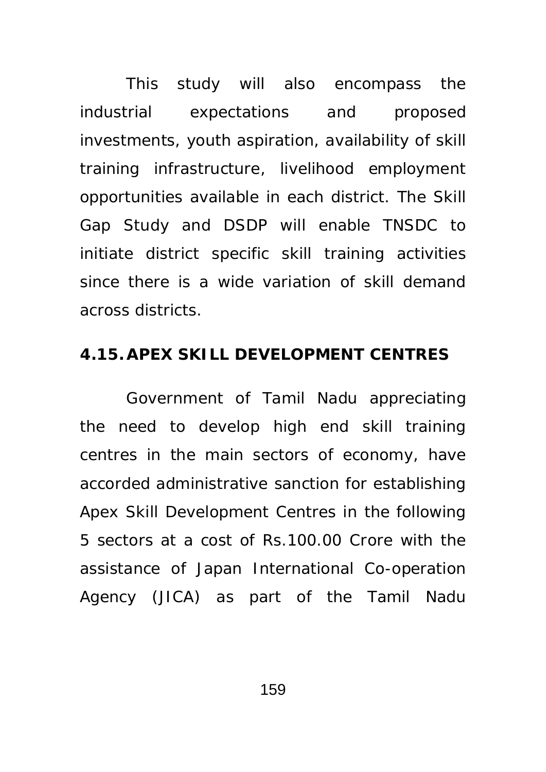This study will also encompass the industrial expectations and proposed investments, youth aspiration, availability of skill training infrastructure, livelihood employment opportunities available in each district. The Skill Gap Study and DSDP will enable TNSDC to initiate district specific skill training activities since there is a wide variation of skill demand across districts.

### **4.15.APEX SKILL DEVELOPMENT CENTRES**

 Government of Tamil Nadu appreciating the need to develop high end skill training centres in the main sectors of economy, have accorded administrative sanction for establishing Apex Skill Development Centres in the following 5 sectors at a cost of Rs.100.00 Crore with the assistance of Japan International Co-operation Agency (JICA) as part of the Tamil Nadu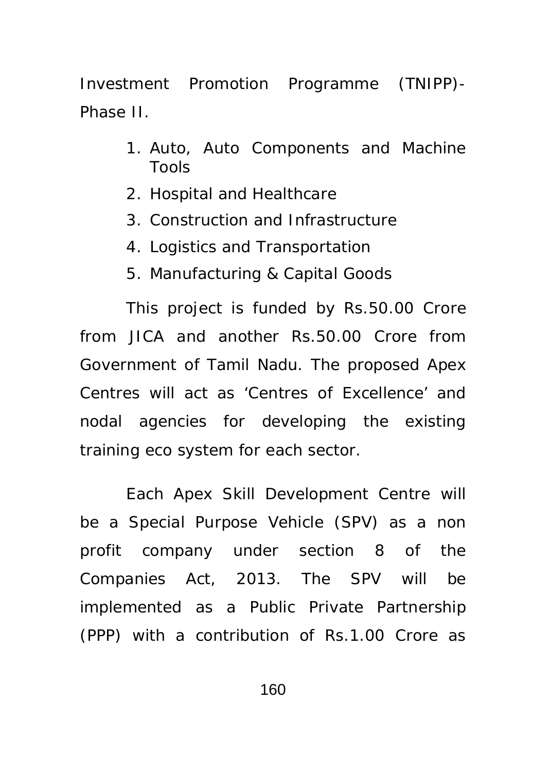Investment Promotion Programme (TNIPP)- Phase II.

- 1. Auto, Auto Components and Machine Tools
- 2. Hospital and Healthcare
- 3. Construction and Infrastructure
- 4. Logistics and Transportation
- 5. Manufacturing & Capital Goods

This project is funded by Rs.50.00 Crore from JICA and another Rs.50.00 Crore from Government of Tamil Nadu. The proposed Apex Centres will act as 'Centres of Excellence' and nodal agencies for developing the existing training eco system for each sector.

Each Apex Skill Development Centre will be a Special Purpose Vehicle (SPV) as a non profit company under section 8 of the Companies Act, 2013. The SPV will be implemented as a Public Private Partnership (PPP) with a contribution of Rs.1.00 Crore as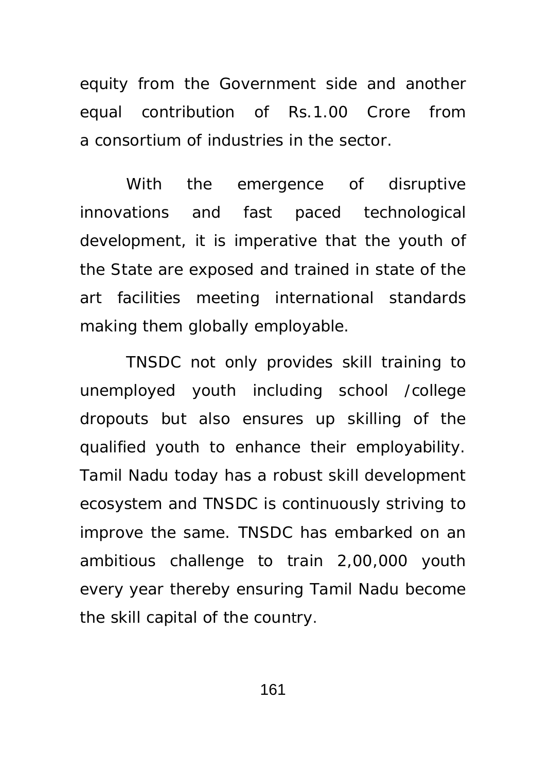equity from the Government side and another equal contribution of Rs.1.00 Crore from a consortium of industries in the sector.

With the emergence of disruptive innovations and fast paced technological development, it is imperative that the youth of the State are exposed and trained in state of the art facilities meeting international standards making them globally employable.

TNSDC not only provides skill training to unemployed youth including school /college dropouts but also ensures up skilling of the qualified youth to enhance their employability. Tamil Nadu today has a robust skill development ecosystem and TNSDC is continuously striving to improve the same. TNSDC has embarked on an ambitious challenge to train 2,00,000 youth every year thereby ensuring Tamil Nadu become the skill capital of the country.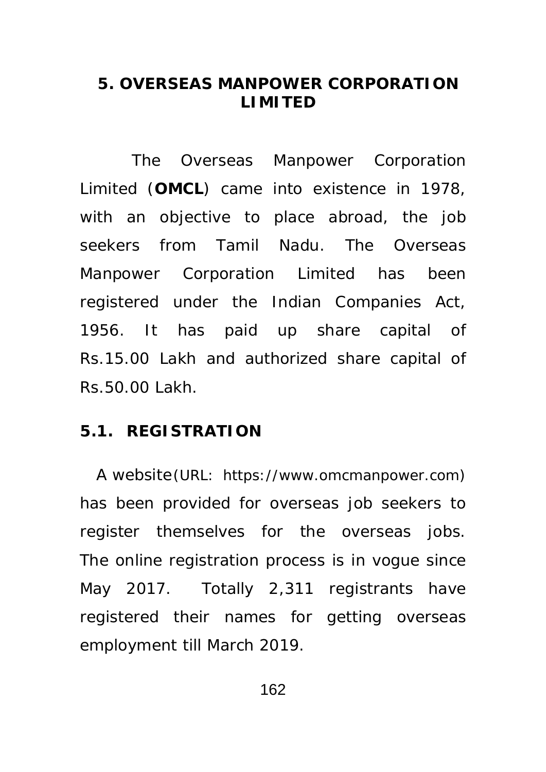### **5. OVERSEAS MANPOWER CORPORATION LIMITED**

 The Overseas Manpower Corporation Limited (**OMCL**) came into existence in 1978, with an objective to place abroad, the job seekers from Tamil Nadu. The Overseas Manpower Corporation Limited has been registered under the Indian Companies Act, 1956. It has paid up share capital of Rs.15.00 Lakh and authorized share capital of Rs.50.00 Lakh.

#### **5.1. REGISTRATION**

 A website (URL: https://www.omcmanpower.com) has been provided for overseas job seekers to register themselves for the overseas jobs. The online registration process is in vogue since May 2017. Totally 2,311 registrants have registered their names for getting overseas employment till March 2019.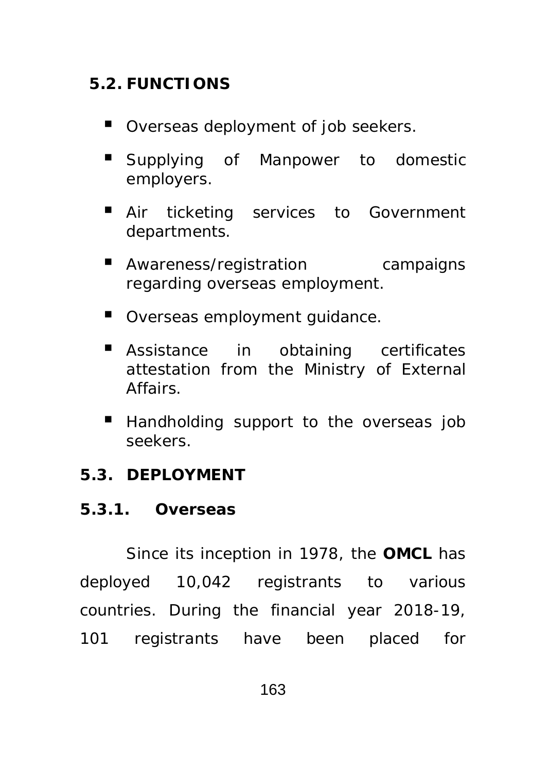# **5.2. FUNCTIONS**

- Overseas deployment of job seekers.
- **Supplying of Manpower to domestic** employers.
- Air ticketing services to Government departments.
- **Awareness/registration** campaigns regarding overseas employment.
- Overseas employment quidance.
- **E** Assistance in obtaining certificates attestation from the Ministry of External Affairs.
- Handholding support to the overseas job seekers.

## **5.3. DEPLOYMENT**

## **5.3.1. Overseas**

 Since its inception in 1978, the **OMCL** has deployed 10,042 registrants to various countries. During the financial year 2018-19, 101 registrants have been placed for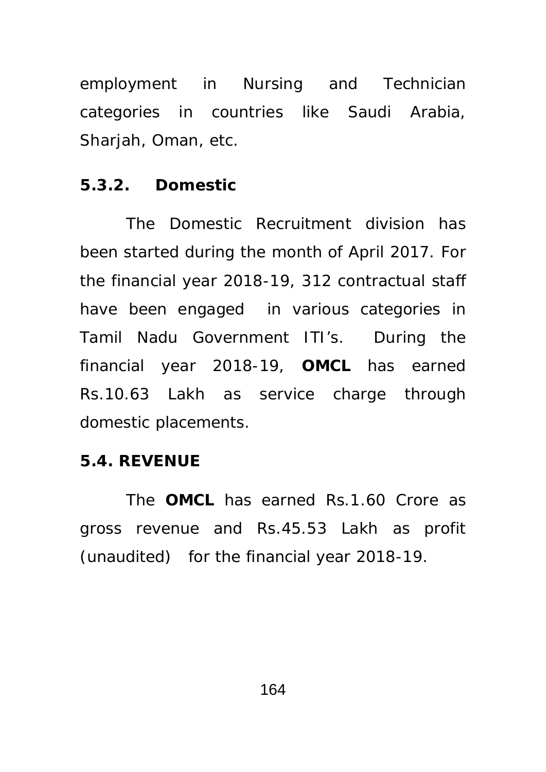employment in Nursing and Technician categories in countries like Saudi Arabia, Sharjah, Oman, etc.

## **5.3.2. Domestic**

 The Domestic Recruitment division has been started during the month of April 2017. For the financial year 2018-19, 312 contractual staff have been engaged in various categories in Tamil Nadu Government ITI's. During the financial year 2018-19, **OMCL** has earned Rs.10.63 Lakh as service charge through domestic placements.

## **5.4. REVENUE**

 The **OMCL** has earned Rs.1.60 Crore as gross revenue and Rs.45.53 Lakh as profit (unaudited) for the financial year 2018-19.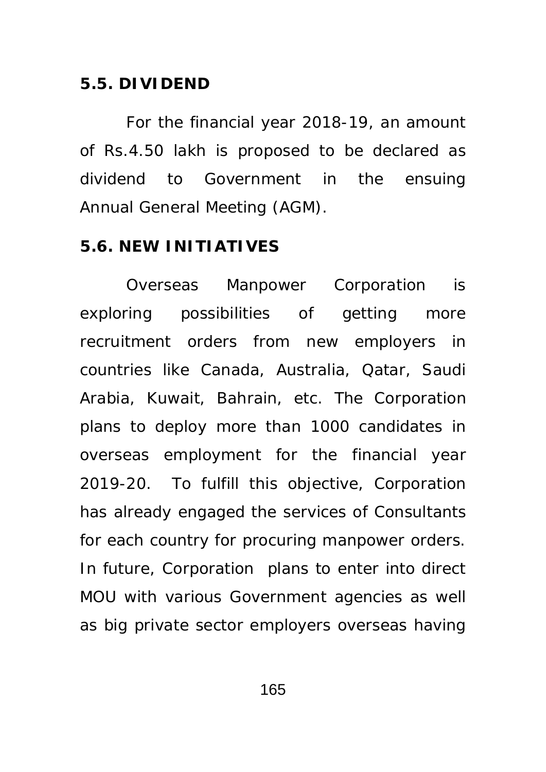#### **5.5. DIVIDEND**

 For the financial year 2018-19, an amount of Rs.4.50 lakh is proposed to be declared as dividend to Government in the ensuing Annual General Meeting (AGM).

#### **5.6. NEW INITIATIVES**

 Overseas Manpower Corporation is exploring possibilities of getting more recruitment orders from new employers in countries like Canada, Australia, Qatar, Saudi Arabia, Kuwait, Bahrain, etc. The Corporation plans to deploy more than 1000 candidates in overseas employment for the financial year 2019-20. To fulfill this objective, Corporation has already engaged the services of Consultants for each country for procuring manpower orders. In future, Corporation plans to enter into direct MOU with various Government agencies as well as big private sector employers overseas having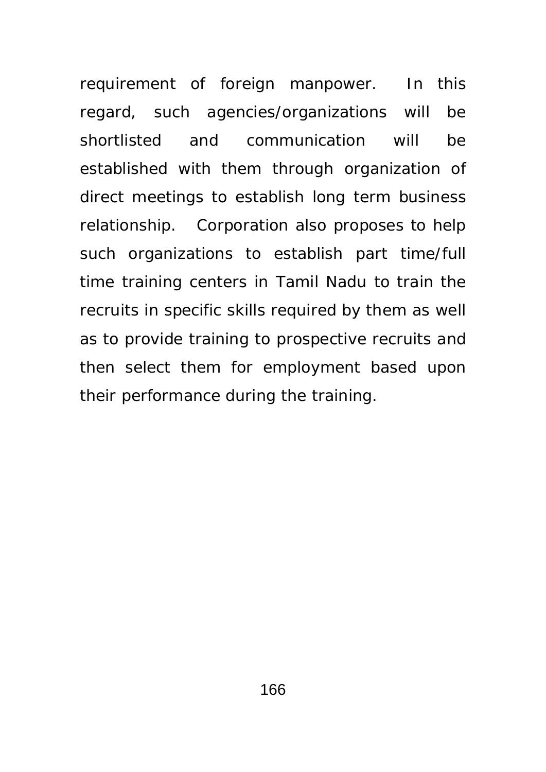requirement of foreign manpower. In this regard, such agencies/organizations will be shortlisted and communication will be established with them through organization of direct meetings to establish long term business relationship. Corporation also proposes to help such organizations to establish part time/full time training centers in Tamil Nadu to train the recruits in specific skills required by them as well as to provide training to prospective recruits and then select them for employment based upon their performance during the training.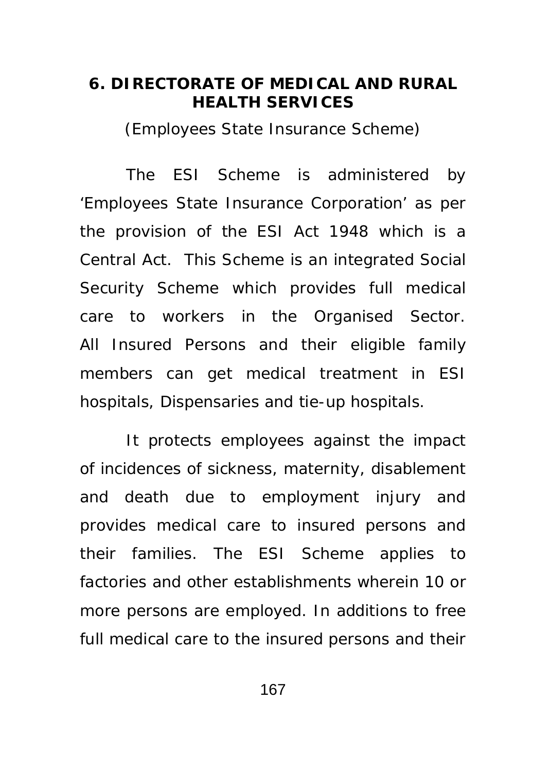#### **6. DIRECTORATE OF MEDICAL AND RURAL HEALTH SERVICES**

(Employees State Insurance Scheme)

The ESI Scheme is administered by 'Employees State Insurance Corporation' as per the provision of the ESI Act 1948 which is a Central Act. This Scheme is an integrated Social Security Scheme which provides full medical care to workers in the Organised Sector. All Insured Persons and their eligible family members can get medical treatment in ESI hospitals, Dispensaries and tie-up hospitals.

It protects employees against the impact of incidences of sickness, maternity, disablement and death due to employment injury and provides medical care to insured persons and their families. The ESI Scheme applies to factories and other establishments wherein 10 or more persons are employed. In additions to free full medical care to the insured persons and their

167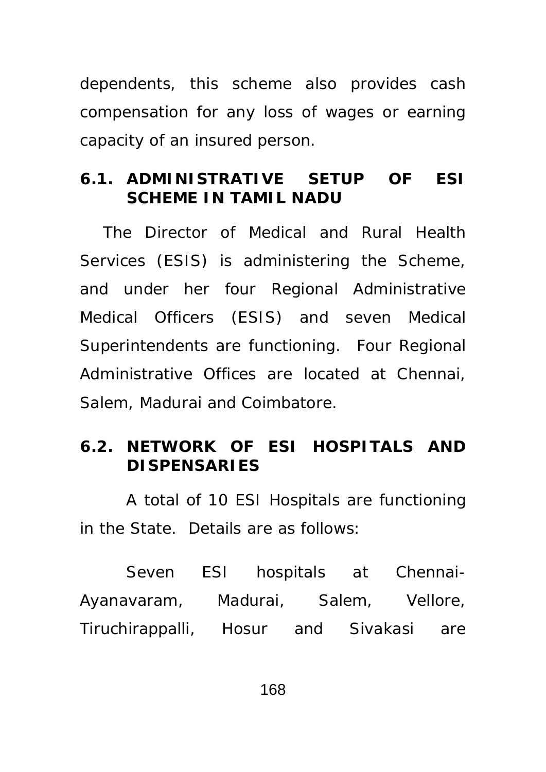dependents, this scheme also provides cash compensation for any loss of wages or earning capacity of an insured person.

### **6.1. ADMINISTRATIVE SETUP OF ESI SCHEME IN TAMIL NADU**

The Director of Medical and Rural Health Services (ESIS) is administering the Scheme, and under her four Regional Administrative Medical Officers (ESIS) and seven Medical Superintendents are functioning. Four Regional Administrative Offices are located at Chennai, Salem, Madurai and Coimbatore.

## **6.2. NETWORK OF ESI HOSPITALS AND DISPENSARIES**

 A total of 10 ESI Hospitals are functioning in the State. Details are as follows:

 Seven ESI hospitals at Chennai-Ayanavaram, Madurai, Salem, Vellore, Tiruchirappalli, Hosur and Sivakasi are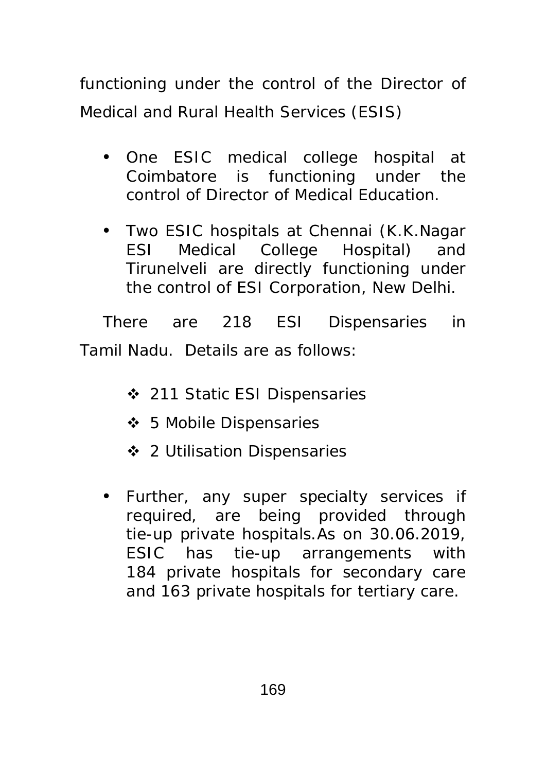functioning under the control of the Director of Medical and Rural Health Services (ESIS)

- One ESIC medical college hospital at Coimbatore is functioning under the control of Director of Medical Education.
- Two ESIC hospitals at Chennai (K.K.Nagar ESI Medical College Hospital) and Tirunelveli are directly functioning under the control of ESI Corporation, New Delhi.

There are 218 ESI Dispensaries in Tamil Nadu. Details are as follows:

- ❖ 211 Static ESI Dispensaries
- ❖ 5 Mobile Dispensaries
- 2 Utilisation Dispensaries
- Further, any super specialty services if required, are being provided through tie-up private hospitals.As on 30.06.2019, ESIC has tie-up arrangements with 184 private hospitals for secondary care and 163 private hospitals for tertiary care.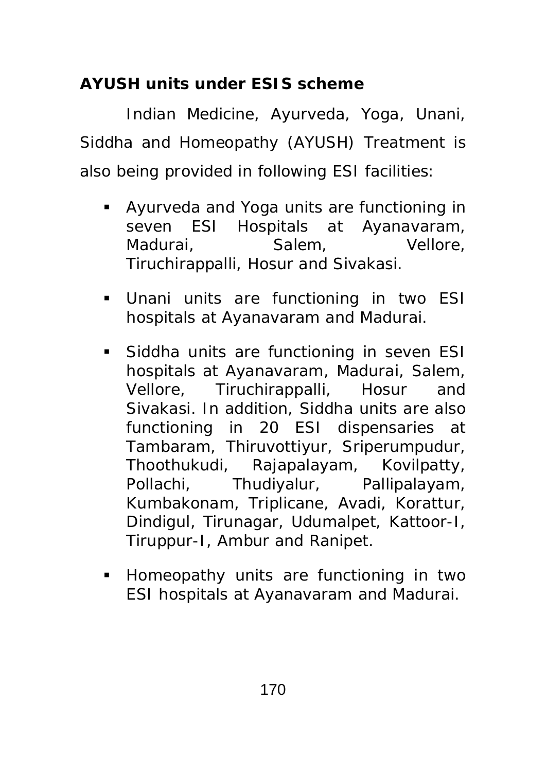# **AYUSH units under ESIS scheme**

 Indian Medicine, Ayurveda, Yoga, Unani, Siddha and Homeopathy (AYUSH) Treatment is also being provided in following ESI facilities:

- Ayurveda and Yoga units are functioning in seven ESI Hospitals at Ayanavaram, Madurai, Salem, Vellore, Tiruchirappalli, Hosur and Sivakasi.
- Unani units are functioning in two ESI hospitals at Ayanavaram and Madurai.
- **Siddha units are functioning in seven ESI** hospitals at Ayanavaram, Madurai, Salem, Vellore, Tiruchirappalli, Hosur and Sivakasi. In addition, Siddha units are also functioning in 20 ESI dispensaries at Tambaram, Thiruvottiyur, Sriperumpudur, Thoothukudi, Rajapalayam, Kovilpatty, Pollachi, Thudiyalur, Pallipalayam, Kumbakonam, Triplicane, Avadi, Korattur, Dindigul, Tirunagar, Udumalpet, Kattoor-I, Tiruppur-I, Ambur and Ranipet.
- **Homeopathy units are functioning in two** ESI hospitals at Ayanavaram and Madurai.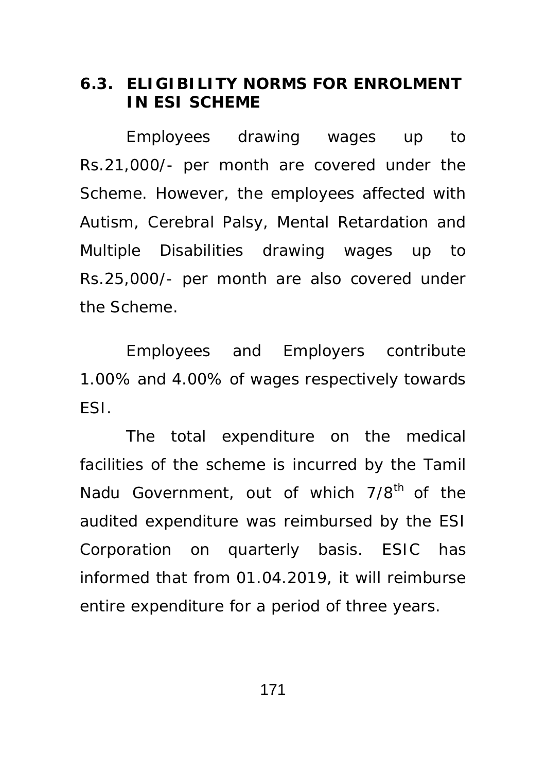#### **6.3. ELIGIBILITY NORMS FOR ENROLMENT IN ESI SCHEME**

 Employees drawing wages up to Rs.21,000/- per month are covered under the Scheme. However, the employees affected with Autism, Cerebral Palsy, Mental Retardation and Multiple Disabilities drawing wages up to Rs.25,000/- per month are also covered under the Scheme.

 Employees and Employers contribute 1.00% and 4.00% of wages respectively towards ESI.

 The total expenditure on the medical facilities of the scheme is incurred by the Tamil Nadu Government, out of which 7/8<sup>th</sup> of the audited expenditure was reimbursed by the ESI Corporation on quarterly basis. ESIC has informed that from 01.04.2019, it will reimburse entire expenditure for a period of three years.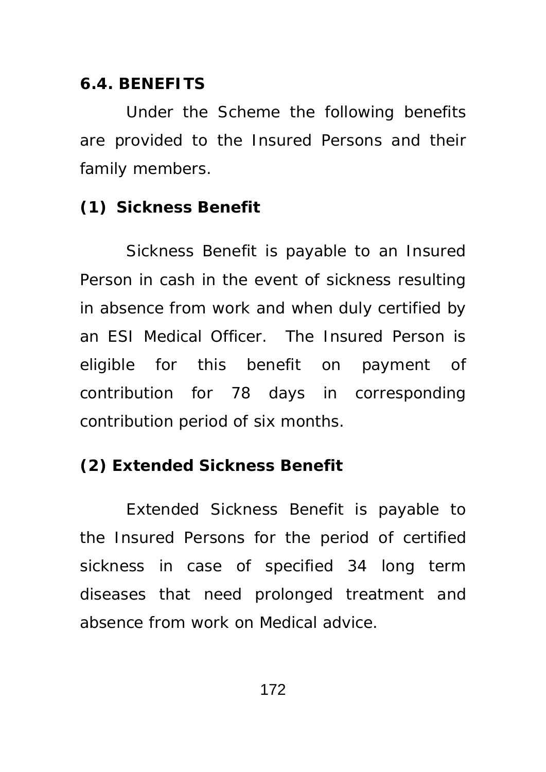#### **6.4. BENEFITS**

 Under the Scheme the following benefits are provided to the Insured Persons and their family members.

#### **(1) Sickness Benefit**

 Sickness Benefit is payable to an Insured Person in cash in the event of sickness resulting in absence from work and when duly certified by an ESI Medical Officer. The Insured Person is eligible for this benefit on payment of contribution for 78 days in corresponding contribution period of six months.

### **(2) Extended Sickness Benefit**

 Extended Sickness Benefit is payable to the Insured Persons for the period of certified sickness in case of specified 34 long term diseases that need prolonged treatment and absence from work on Medical advice.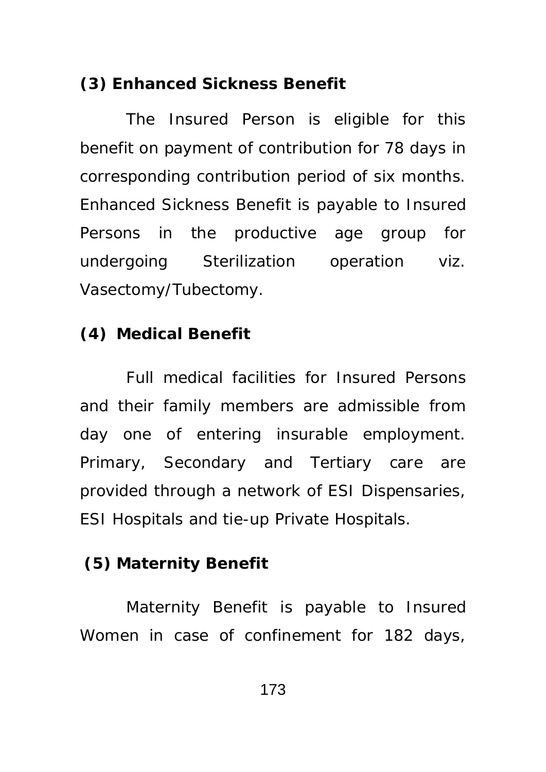### **(3) Enhanced Sickness Benefit**

 The Insured Person is eligible for this benefit on payment of contribution for 78 days in corresponding contribution period of six months. Enhanced Sickness Benefit is payable to Insured Persons in the productive age group for undergoing Sterilization operation viz. Vasectomy/Tubectomy.

### **(4) Medical Benefit**

 Full medical facilities for Insured Persons and their family members are admissible from day one of entering insurable employment. Primary, Secondary and Tertiary care are provided through a network of ESI Dispensaries, ESI Hospitals and tie-up Private Hospitals.

## **(5) Maternity Benefit**

 Maternity Benefit is payable to Insured Women in case of confinement for 182 days,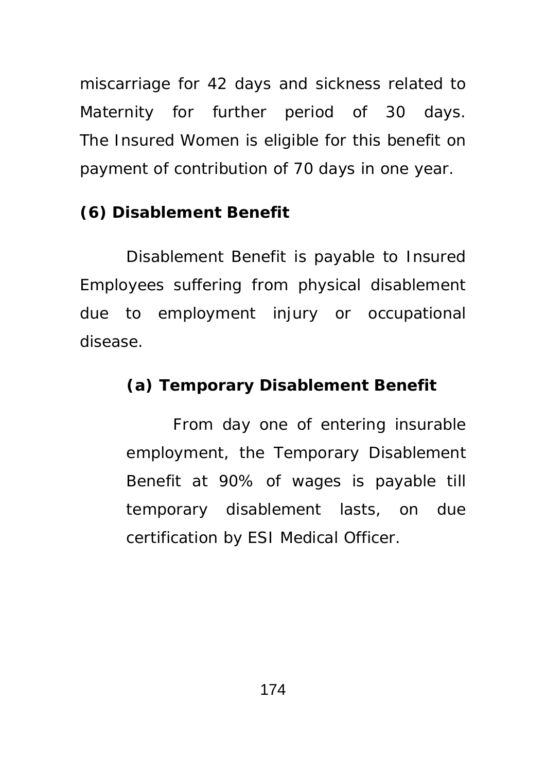miscarriage for 42 days and sickness related to Maternity for further period of 30 days. The Insured Women is eligible for this benefit on payment of contribution of 70 days in one year.

## **(6) Disablement Benefit**

 Disablement Benefit is payable to Insured Employees suffering from physical disablement due to employment injury or occupational disease.

## **(a) Temporary Disablement Benefit**

 From day one of entering insurable employment, the Temporary Disablement Benefit at 90% of wages is payable till temporary disablement lasts, on due certification by ESI Medical Officer.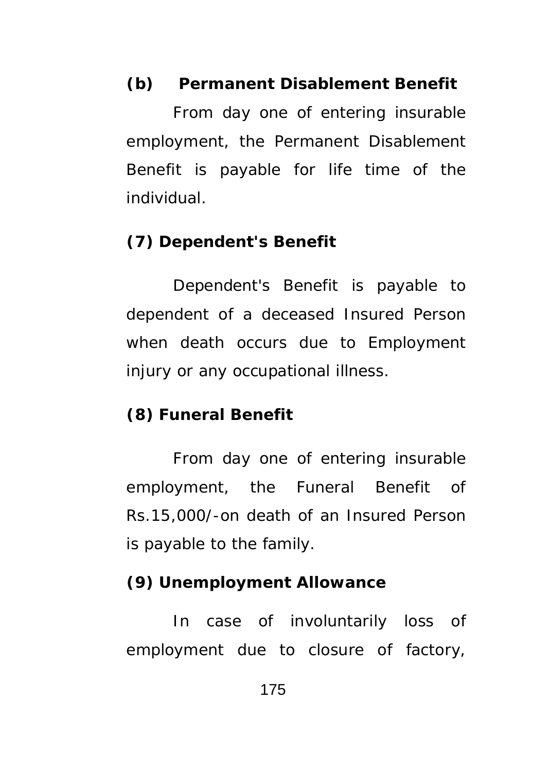## **(b) Permanent Disablement Benefit**

 From day one of entering insurable employment, the Permanent Disablement Benefit is payable for life time of the individual.

#### **(7) Dependent's Benefit**

 Dependent's Benefit is payable to dependent of a deceased Insured Person when death occurs due to Employment injury or any occupational illness.

### **(8) Funeral Benefit**

 From day one of entering insurable employment, the Funeral Benefit of Rs.15,000/-on death of an Insured Person is payable to the family.

#### **(9) Unemployment Allowance**

 In case of involuntarily loss of employment due to closure of factory,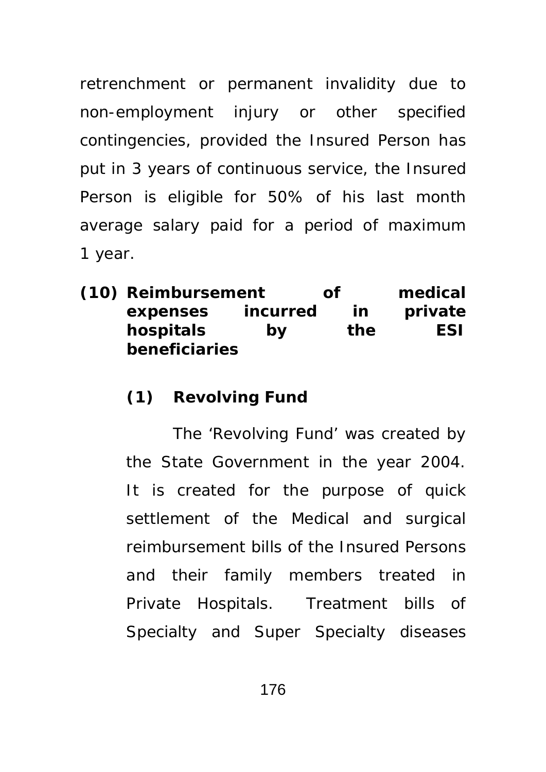retrenchment or permanent invalidity due to non-employment injury or other specified contingencies, provided the Insured Person has put in 3 years of continuous service, the Insured Person is eligible for 50% of his last month average salary paid for a period of maximum 1 year.

**(10) Reimbursement of medical expenses incurred in private hospitals by the ESI beneficiaries** 

## **(1) Revolving Fund**

 The 'Revolving Fund' was created by the State Government in the year 2004. It is created for the purpose of quick settlement of the Medical and surgical reimbursement bills of the Insured Persons and their family members treated in Private Hospitals. Treatment bills of Specialty and Super Specialty diseases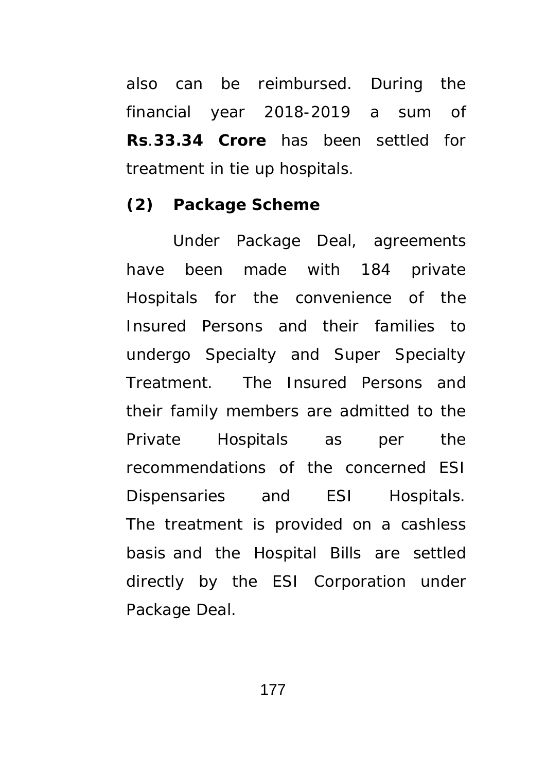also can be reimbursed. During the financial year 2018-2019 a sum of **Rs**.**33.34 Crore** has been settled for treatment in tie up hospitals.

#### **(2) Package Scheme**

 Under Package Deal, agreements have been made with 184 private Hospitals for the convenience of the Insured Persons and their families to undergo Specialty and Super Specialty Treatment. The Insured Persons and their family members are admitted to the Private Hospitals as per the recommendations of the concerned ESI Dispensaries and ESI Hospitals. The treatment is provided on a cashless basis and the Hospital Bills are settled directly by the ESI Corporation under Package Deal.

177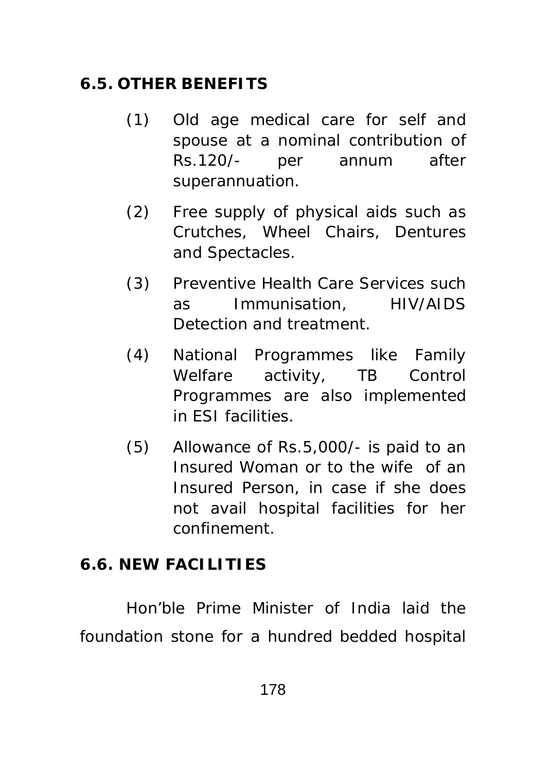# **6.5. OTHER BENEFITS**

- (1) Old age medical care for self and spouse at a nominal contribution of Rs.120/- per annum after superannuation.
- (2) Free supply of physical aids such as Crutches, Wheel Chairs, Dentures and Spectacles.
- (3) Preventive Health Care Services such as Immunisation, HIV/AIDS Detection and treatment.
- (4) National Programmes like Family Welfare activity, TB Control Programmes are also implemented in ESI facilities.
- (5) Allowance of Rs.5,000/- is paid to an Insured Woman or to the wife of an Insured Person, in case if she does not avail hospital facilities for her confinement.

# **6.6. NEW FACILITIES**

Hon'ble Prime Minister of India laid the foundation stone for a hundred bedded hospital